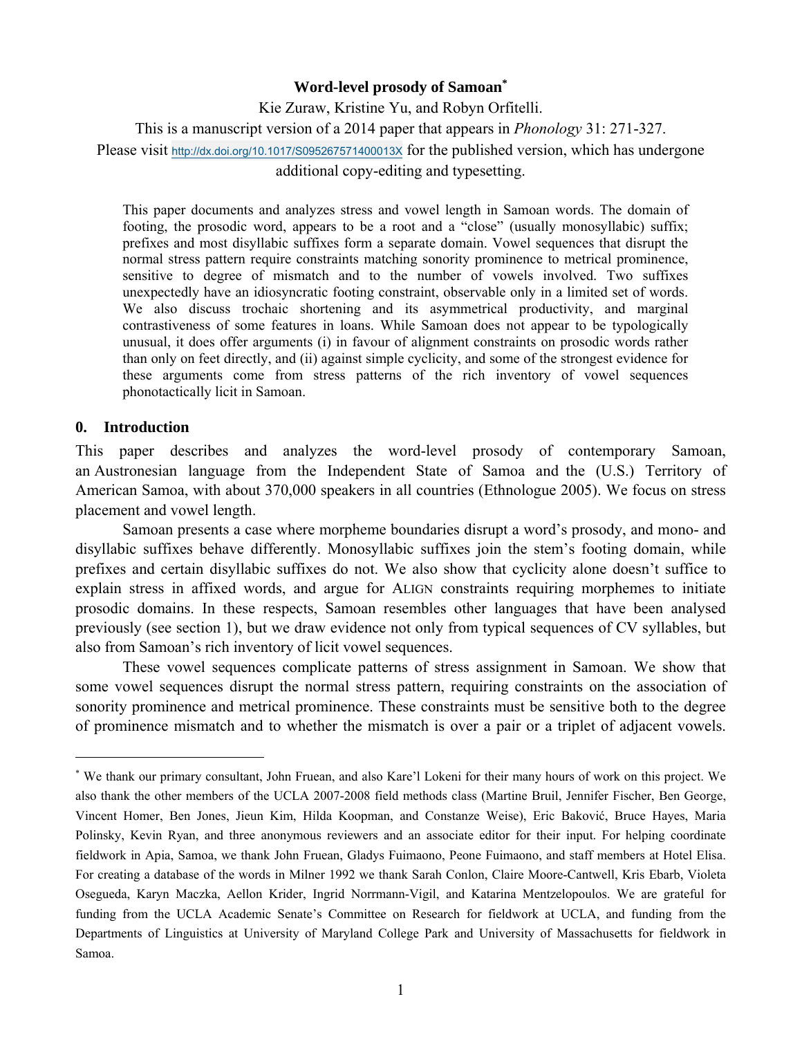### **Word-level prosody of Samoan\***

Kie Zuraw, Kristine Yu, and Robyn Orfitelli. This is a manuscript version of a 2014 paper that appears in *Phonology* 31: 271-327. Please visit http://dx.doi.org/10.1017/S095267571400013X for the published version, which has undergone additional copy-editing and typesetting.

This paper documents and analyzes stress and vowel length in Samoan words. The domain of footing, the prosodic word, appears to be a root and a "close" (usually monosyllabic) suffix; prefixes and most disyllabic suffixes form a separate domain. Vowel sequences that disrupt the normal stress pattern require constraints matching sonority prominence to metrical prominence, sensitive to degree of mismatch and to the number of vowels involved. Two suffixes unexpectedly have an idiosyncratic footing constraint, observable only in a limited set of words. We also discuss trochaic shortening and its asymmetrical productivity, and marginal contrastiveness of some features in loans. While Samoan does not appear to be typologically unusual, it does offer arguments (i) in favour of alignment constraints on prosodic words rather than only on feet directly, and (ii) against simple cyclicity, and some of the strongest evidence for these arguments come from stress patterns of the rich inventory of vowel sequences phonotactically licit in Samoan.

### **0. Introduction**

 $\overline{a}$ 

This paper describes and analyzes the word-level prosody of contemporary Samoan, an Austronesian language from the Independent State of Samoa and the (U.S.) Territory of American Samoa, with about 370,000 speakers in all countries (Ethnologue 2005). We focus on stress placement and vowel length.

 Samoan presents a case where morpheme boundaries disrupt a word's prosody, and mono- and disyllabic suffixes behave differently. Monosyllabic suffixes join the stem's footing domain, while prefixes and certain disyllabic suffixes do not. We also show that cyclicity alone doesn't suffice to explain stress in affixed words, and argue for ALIGN constraints requiring morphemes to initiate prosodic domains. In these respects, Samoan resembles other languages that have been analysed previously (see section 1), but we draw evidence not only from typical sequences of CV syllables, but also from Samoan's rich inventory of licit vowel sequences.

 These vowel sequences complicate patterns of stress assignment in Samoan. We show that some vowel sequences disrupt the normal stress pattern, requiring constraints on the association of sonority prominence and metrical prominence. These constraints must be sensitive both to the degree of prominence mismatch and to whether the mismatch is over a pair or a triplet of adjacent vowels.

<sup>\*</sup> We thank our primary consultant, John Fruean, and also Kare'l Lokeni for their many hours of work on this project. We also thank the other members of the UCLA 2007-2008 field methods class (Martine Bruil, Jennifer Fischer, Ben George, Vincent Homer, Ben Jones, Jieun Kim, Hilda Koopman, and Constanze Weise), Eric Baković, Bruce Hayes, Maria Polinsky, Kevin Ryan, and three anonymous reviewers and an associate editor for their input. For helping coordinate fieldwork in Apia, Samoa, we thank John Fruean, Gladys Fuimaono, Peone Fuimaono, and staff members at Hotel Elisa. For creating a database of the words in Milner 1992 we thank Sarah Conlon, Claire Moore-Cantwell, Kris Ebarb, Violeta Osegueda, Karyn Maczka, Aellon Krider, Ingrid Norrmann-Vigil, and Katarina Mentzelopoulos. We are grateful for funding from the UCLA Academic Senate's Committee on Research for fieldwork at UCLA, and funding from the Departments of Linguistics at University of Maryland College Park and University of Massachusetts for fieldwork in Samoa.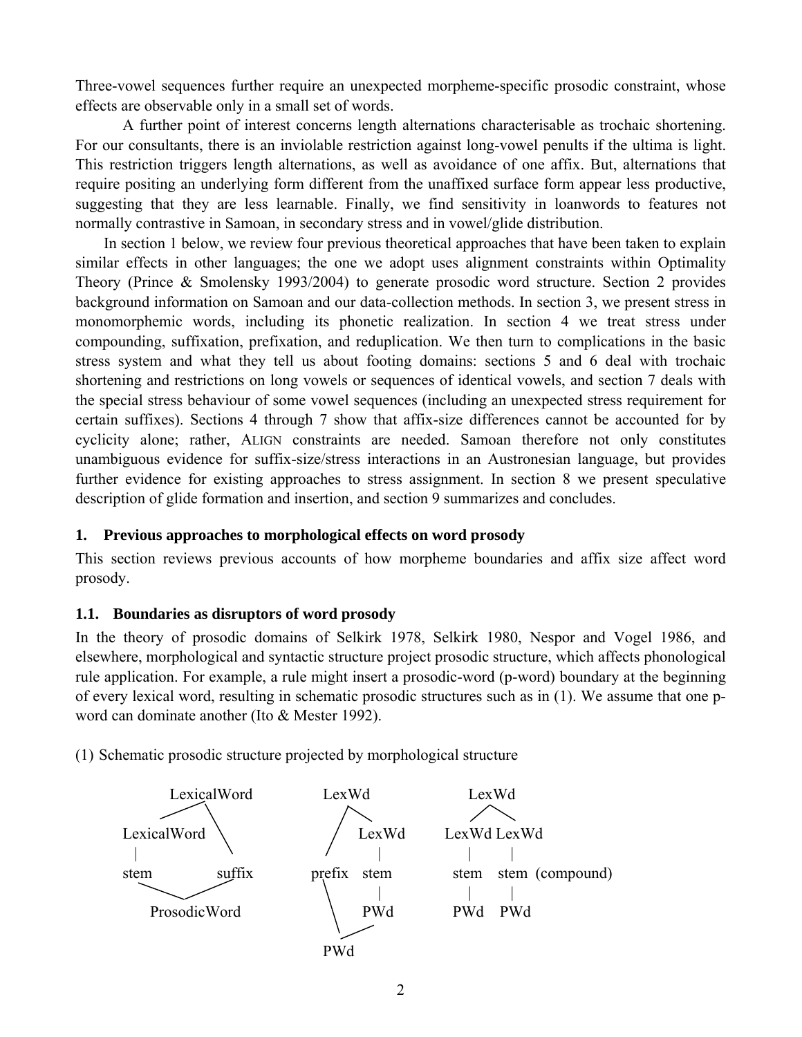Three-vowel sequences further require an unexpected morpheme-specific prosodic constraint, whose effects are observable only in a small set of words.

 A further point of interest concerns length alternations characterisable as trochaic shortening. For our consultants, there is an inviolable restriction against long-vowel penults if the ultima is light. This restriction triggers length alternations, as well as avoidance of one affix. But, alternations that require positing an underlying form different from the unaffixed surface form appear less productive, suggesting that they are less learnable. Finally, we find sensitivity in loanwords to features not normally contrastive in Samoan, in secondary stress and in vowel/glide distribution.

In section 1 below, we review four previous theoretical approaches that have been taken to explain similar effects in other languages; the one we adopt uses alignment constraints within Optimality Theory (Prince & Smolensky 1993/2004) to generate prosodic word structure. Section 2 provides background information on Samoan and our data-collection methods. In section 3, we present stress in monomorphemic words, including its phonetic realization. In section 4 we treat stress under compounding, suffixation, prefixation, and reduplication. We then turn to complications in the basic stress system and what they tell us about footing domains: sections 5 and 6 deal with trochaic shortening and restrictions on long vowels or sequences of identical vowels, and section 7 deals with the special stress behaviour of some vowel sequences (including an unexpected stress requirement for certain suffixes). Sections 4 through 7 show that affix-size differences cannot be accounted for by cyclicity alone; rather, ALIGN constraints are needed. Samoan therefore not only constitutes unambiguous evidence for suffix-size/stress interactions in an Austronesian language, but provides further evidence for existing approaches to stress assignment. In section 8 we present speculative description of glide formation and insertion, and section 9 summarizes and concludes.

# **1. Previous approaches to morphological effects on word prosody**

This section reviews previous accounts of how morpheme boundaries and affix size affect word prosody.

# **1.1. Boundaries as disruptors of word prosody**

In the theory of prosodic domains of Selkirk 1978, Selkirk 1980, Nespor and Vogel 1986, and elsewhere, morphological and syntactic structure project prosodic structure, which affects phonological rule application. For example, a rule might insert a prosodic-word (p-word) boundary at the beginning of every lexical word, resulting in schematic prosodic structures such as in (1). We assume that one pword can dominate another (Ito & Mester 1992).

(1) Schematic prosodic structure projected by morphological structure

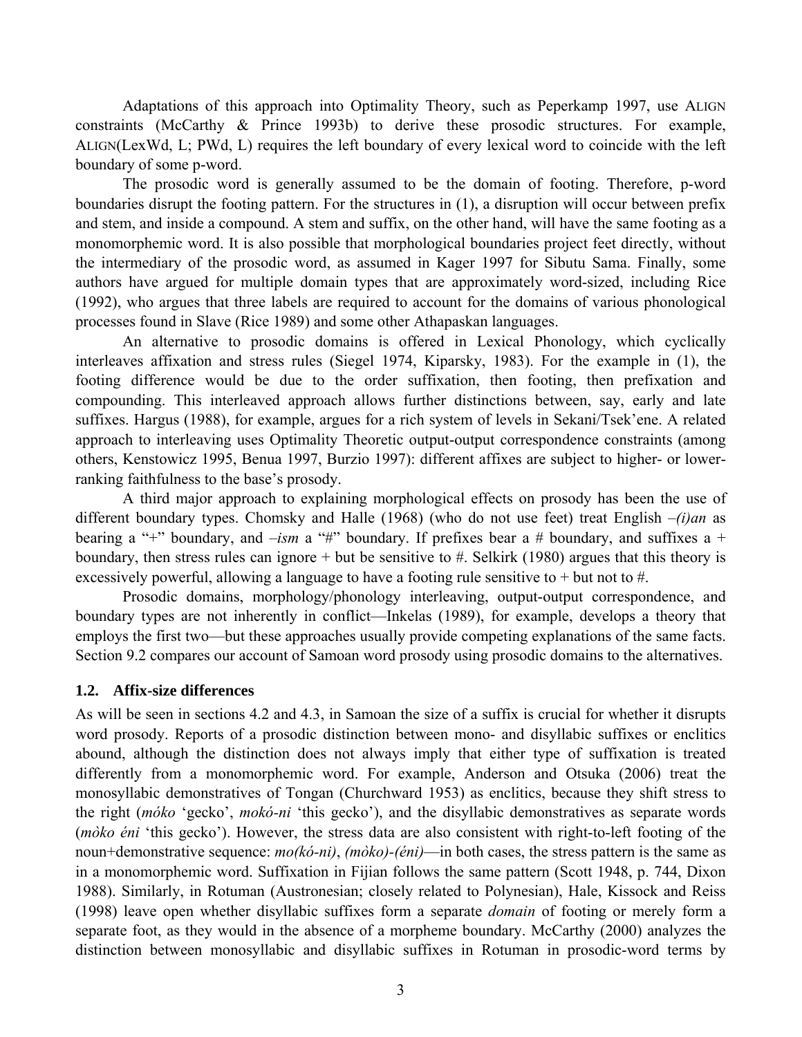Adaptations of this approach into Optimality Theory, such as Peperkamp 1997, use ALIGN constraints (McCarthy & Prince 1993b) to derive these prosodic structures. For example, ALIGN(LexWd, L; PWd, L) requires the left boundary of every lexical word to coincide with the left boundary of some p-word.

 The prosodic word is generally assumed to be the domain of footing. Therefore, p-word boundaries disrupt the footing pattern. For the structures in (1), a disruption will occur between prefix and stem, and inside a compound. A stem and suffix, on the other hand, will have the same footing as a monomorphemic word. It is also possible that morphological boundaries project feet directly, without the intermediary of the prosodic word, as assumed in Kager 1997 for Sibutu Sama. Finally, some authors have argued for multiple domain types that are approximately word-sized, including Rice (1992), who argues that three labels are required to account for the domains of various phonological processes found in Slave (Rice 1989) and some other Athapaskan languages.

 An alternative to prosodic domains is offered in Lexical Phonology, which cyclically interleaves affixation and stress rules (Siegel 1974, Kiparsky, 1983). For the example in (1), the footing difference would be due to the order suffixation, then footing, then prefixation and compounding. This interleaved approach allows further distinctions between, say, early and late suffixes. Hargus (1988), for example, argues for a rich system of levels in Sekani/Tsek'ene. A related approach to interleaving uses Optimality Theoretic output-output correspondence constraints (among others, Kenstowicz 1995, Benua 1997, Burzio 1997): different affixes are subject to higher- or lowerranking faithfulness to the base's prosody.

 A third major approach to explaining morphological effects on prosody has been the use of different boundary types. Chomsky and Halle (1968) (who do not use feet) treat English *–(i)an* as bearing a "+" boundary, and  $-ism$  a "#" boundary. If prefixes bear a # boundary, and suffixes a + boundary, then stress rules can ignore + but be sensitive to  $#$ . Selkirk (1980) argues that this theory is excessively powerful, allowing a language to have a footing rule sensitive to  $+$  but not to  $#$ .

 Prosodic domains, morphology/phonology interleaving, output-output correspondence, and boundary types are not inherently in conflict—Inkelas (1989), for example, develops a theory that employs the first two—but these approaches usually provide competing explanations of the same facts. Section 9.2 compares our account of Samoan word prosody using prosodic domains to the alternatives.

# **1.2. Affix-size differences**

As will be seen in sections 4.2 and 4.3, in Samoan the size of a suffix is crucial for whether it disrupts word prosody. Reports of a prosodic distinction between mono- and disyllabic suffixes or enclitics abound, although the distinction does not always imply that either type of suffixation is treated differently from a monomorphemic word. For example, Anderson and Otsuka (2006) treat the monosyllabic demonstratives of Tongan (Churchward 1953) as enclitics, because they shift stress to the right (*móko* 'gecko', *mokó-ni* 'this gecko'), and the disyllabic demonstratives as separate words (*mòko éni* 'this gecko'). However, the stress data are also consistent with right-to-left footing of the noun+demonstrative sequence: *mo(kó-ni)*, *(mòko)-(éni)*—in both cases, the stress pattern is the same as in a monomorphemic word. Suffixation in Fijian follows the same pattern (Scott 1948, p. 744, Dixon 1988). Similarly, in Rotuman (Austronesian; closely related to Polynesian), Hale, Kissock and Reiss (1998) leave open whether disyllabic suffixes form a separate *domain* of footing or merely form a separate foot, as they would in the absence of a morpheme boundary. McCarthy (2000) analyzes the distinction between monosyllabic and disyllabic suffixes in Rotuman in prosodic-word terms by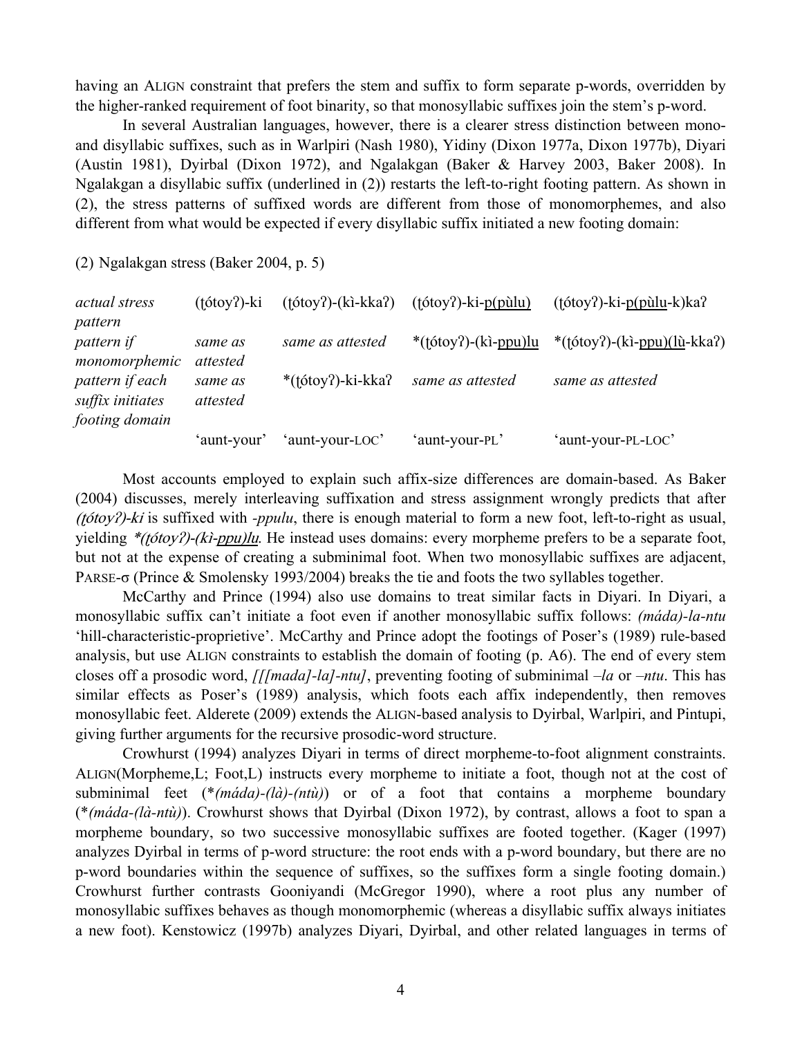having an ALIGN constraint that prefers the stem and suffix to form separate p-words, overridden by the higher-ranked requirement of foot binarity, so that monosyllabic suffixes join the stem's p-word.

 In several Australian languages, however, there is a clearer stress distinction between monoand disyllabic suffixes, such as in Warlpiri (Nash 1980), Yidiny (Dixon 1977a, Dixon 1977b), Diyari (Austin 1981), Dyirbal (Dixon 1972), and Ngalakgan (Baker & Harvey 2003, Baker 2008). In Ngalakgan a disyllabic suffix (underlined in (2)) restarts the left-to-right footing pattern. As shown in (2), the stress patterns of suffixed words are different from those of monomorphemes, and also different from what would be expected if every disyllabic suffix initiated a new footing domain:

(2) Ngalakgan stress (Baker 2004, p. 5)

| <i>actual stress</i>                                  | $(fotoy?)-ki$       | $(fotoy?)-(kikka?)$ | $(fotoy?)-ki-p(pùlu)$      | $(totopy?)-ki-p(pùlu-k)ka?$                                                                                                                           |
|-------------------------------------------------------|---------------------|---------------------|----------------------------|-------------------------------------------------------------------------------------------------------------------------------------------------------|
| pattern                                               |                     |                     |                            |                                                                                                                                                       |
| pattern if<br>monomorphemic                           | same as<br>attested | same as attested    | * $(fotoy?)-(k\in ppu)$ lu | *( $\frac{\text{t}(\text{otoy}) - (\text{k} - \text{ppu})(\text{h}-\text{k} \text{k} \cdot \text{h})}{(\text{h}-\text{k} - \text{k} \cdot \text{h})}$ |
| pattern if each<br>suffix initiates<br>footing domain | same as<br>attested | *(tótoy?)-ki-kka?   | same as attested           | same as attested                                                                                                                                      |
|                                                       | 'aunt-your'         | 'aunt-your-LOC'     | 'aunt-your-PL'             | 'aunt-your-PL-LOC'                                                                                                                                    |

 Most accounts employed to explain such affix-size differences are domain-based. As Baker (2004) discusses, merely interleaving suffixation and stress assignment wrongly predicts that after (ʈótoyʔ)-ki is suffixed with *-ppulu*, there is enough material to form a new foot, left-to-right as usual, yielding \*(totoy?)-(ki-ppu)lu. He instead uses domains: every morpheme prefers to be a separate foot, but not at the expense of creating a subminimal foot. When two monosyllabic suffixes are adjacent, PARSE-σ (Prince & Smolensky 1993/2004) breaks the tie and foots the two syllables together.

 McCarthy and Prince (1994) also use domains to treat similar facts in Diyari. In Diyari, a monosyllabic suffix can't initiate a foot even if another monosyllabic suffix follows: *(máda)-la-ntu* 'hill-characteristic-proprietive'. McCarthy and Prince adopt the footings of Poser's (1989) rule-based analysis, but use ALIGN constraints to establish the domain of footing (p. A6). The end of every stem closes off a prosodic word, *[[[mada]-la]-ntu]*, preventing footing of subminimal *–la* or *–ntu*. This has similar effects as Poser's (1989) analysis, which foots each affix independently, then removes monosyllabic feet. Alderete (2009) extends the ALIGN-based analysis to Dyirbal, Warlpiri, and Pintupi, giving further arguments for the recursive prosodic-word structure.

 Crowhurst (1994) analyzes Diyari in terms of direct morpheme-to-foot alignment constraints. ALIGN(Morpheme,L; Foot,L) instructs every morpheme to initiate a foot, though not at the cost of subminimal feet (\**(máda)-(là)-(ntù)*) or of a foot that contains a morpheme boundary (\**(máda-(là-ntù)*). Crowhurst shows that Dyirbal (Dixon 1972), by contrast, allows a foot to span a morpheme boundary, so two successive monosyllabic suffixes are footed together. (Kager (1997) analyzes Dyirbal in terms of p-word structure: the root ends with a p-word boundary, but there are no p-word boundaries within the sequence of suffixes, so the suffixes form a single footing domain.) Crowhurst further contrasts Gooniyandi (McGregor 1990), where a root plus any number of monosyllabic suffixes behaves as though monomorphemic (whereas a disyllabic suffix always initiates a new foot). Kenstowicz (1997b) analyzes Diyari, Dyirbal, and other related languages in terms of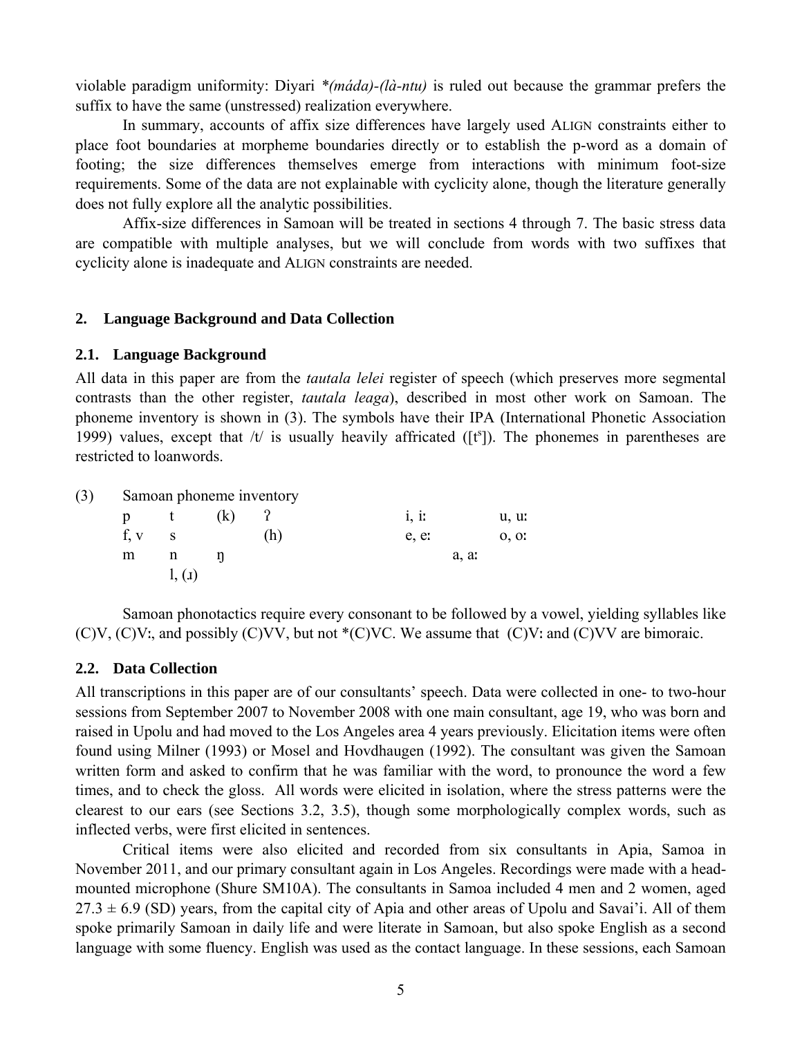violable paradigm uniformity: Diyari *\*(máda)-(là-ntu)* is ruled out because the grammar prefers the suffix to have the same (unstressed) realization everywhere.

 In summary, accounts of affix size differences have largely used ALIGN constraints either to place foot boundaries at morpheme boundaries directly or to establish the p-word as a domain of footing; the size differences themselves emerge from interactions with minimum foot-size requirements. Some of the data are not explainable with cyclicity alone, though the literature generally does not fully explore all the analytic possibilities.

 Affix-size differences in Samoan will be treated in sections 4 through 7. The basic stress data are compatible with multiple analyses, but we will conclude from words with two suffixes that cyclicity alone is inadequate and ALIGN constraints are needed.

#### **2. Language Background and Data Collection**

#### **2.1. Language Background**

All data in this paper are from the *tautala lelei* register of speech (which preserves more segmental contrasts than the other register, *tautala leaga*), described in most other work on Samoan. The phoneme inventory is shown in (3). The symbols have their IPA (International Phonetic Association 1999) values, except that  $/t/$  is usually heavily affricated ( $[t^s]$ ). The phonemes in parentheses are restricted to loanwords.

(3) Samoan phoneme inventory

| p | t        | (k)    | $\frac{1}{2}$ | i, ii | u, u  |
|---|----------|--------|---------------|-------|-------|
|   | $f, v$ s |        | (h)           | e, e: | 0, 0. |
| m | n        | n      |               |       | a, ar |
|   |          | 1, (1) |               |       |       |

 Samoan phonotactics require every consonant to be followed by a vowel, yielding syllables like  $(C)V$ ,  $(C)V$ ; and possibly  $(C)VV$ , but not  $(C)VC$ . We assume that  $(C)V$ : and  $(C)VV$  are bimoraic.

#### **2.2. Data Collection**

All transcriptions in this paper are of our consultants' speech. Data were collected in one- to two-hour sessions from September 2007 to November 2008 with one main consultant, age 19, who was born and raised in Upolu and had moved to the Los Angeles area 4 years previously. Elicitation items were often found using Milner (1993) or Mosel and Hovdhaugen (1992). The consultant was given the Samoan written form and asked to confirm that he was familiar with the word, to pronounce the word a few times, and to check the gloss. All words were elicited in isolation, where the stress patterns were the clearest to our ears (see Sections 3.2, 3.5), though some morphologically complex words, such as inflected verbs, were first elicited in sentences.

 Critical items were also elicited and recorded from six consultants in Apia, Samoa in November 2011, and our primary consultant again in Los Angeles. Recordings were made with a headmounted microphone (Shure SM10A). The consultants in Samoa included 4 men and 2 women, aged  $27.3 \pm 6.9$  (SD) years, from the capital city of Apia and other areas of Upolu and Savai'i. All of them spoke primarily Samoan in daily life and were literate in Samoan, but also spoke English as a second language with some fluency. English was used as the contact language. In these sessions, each Samoan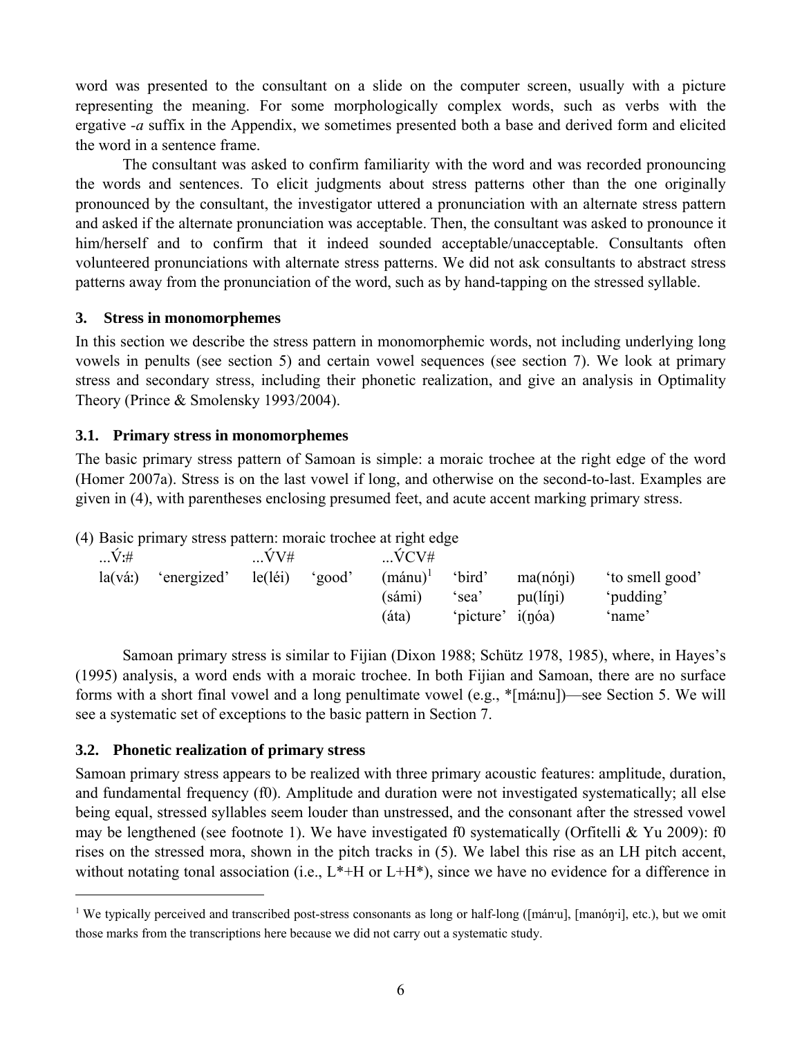word was presented to the consultant on a slide on the computer screen, usually with a picture representing the meaning. For some morphologically complex words, such as verbs with the ergative *-a* suffix in the Appendix, we sometimes presented both a base and derived form and elicited the word in a sentence frame.

The consultant was asked to confirm familiarity with the word and was recorded pronouncing the words and sentences. To elicit judgments about stress patterns other than the one originally pronounced by the consultant, the investigator uttered a pronunciation with an alternate stress pattern and asked if the alternate pronunciation was acceptable. Then, the consultant was asked to pronounce it him/herself and to confirm that it indeed sounded acceptable/unacceptable. Consultants often volunteered pronunciations with alternate stress patterns. We did not ask consultants to abstract stress patterns away from the pronunciation of the word, such as by hand-tapping on the stressed syllable.

# **3. Stress in monomorphemes**

In this section we describe the stress pattern in monomorphemic words, not including underlying long vowels in penults (see section 5) and certain vowel sequences (see section 7). We look at primary stress and secondary stress, including their phonetic realization, and give an analysis in Optimality Theory (Prince & Smolensky 1993/2004).

### **3.1. Primary stress in monomorphemes**

The basic primary stress pattern of Samoan is simple: a moraic trochee at the right edge of the word (Homer 2007a). Stress is on the last vowel if long, and otherwise on the second-to-last. Examples are given in (4), with parentheses enclosing presumed feet, and acute accent marking primary stress.

|  | (4) Basic primary stress pattern: moraic trochee at right edge |  |
|--|----------------------------------------------------------------|--|
|  |                                                                |  |

| $V$ :#           |             | VV#     |        | VCV#              |           |                     |                |
|------------------|-------------|---------|--------|-------------------|-----------|---------------------|----------------|
| $la(v\acute{a})$ | 'energized' | le(léi) | 'good' | $(\text{mánu})^1$ | 'bird'    | $ma(n6\eta i)$      | to smell good' |
|                  |             |         |        | (sámi)            | 'sea'     | pu(líni)            | 'pudding'      |
|                  |             |         |        | (áta)             | 'picture' | i(n <sub>o</sub> a) | 'name'         |

 Samoan primary stress is similar to Fijian (Dixon 1988; Schütz 1978, 1985), where, in Hayes's (1995) analysis, a word ends with a moraic trochee. In both Fijian and Samoan, there are no surface forms with a short final vowel and a long penultimate vowel (e.g., \*[máːnu])—see Section 5. We will see a systematic set of exceptions to the basic pattern in Section 7.

# **3.2. Phonetic realization of primary stress**

 $\overline{a}$ 

Samoan primary stress appears to be realized with three primary acoustic features: amplitude, duration, and fundamental frequency (f0). Amplitude and duration were not investigated systematically; all else being equal, stressed syllables seem louder than unstressed, and the consonant after the stressed vowel may be lengthened (see footnote 1). We have investigated f0 systematically (Orfitelli & Yu 2009): f0 rises on the stressed mora, shown in the pitch tracks in (5). We label this rise as an LH pitch accent, without notating tonal association (i.e.,  $L^*$ +H or  $L$ +H\*), since we have no evidence for a difference in

<sup>&</sup>lt;sup>1</sup> We typically perceived and transcribed post-stress consonants as long or half-long ([mán·u], [manóŋ·i], etc.), but we omit those marks from the transcriptions here because we did not carry out a systematic study.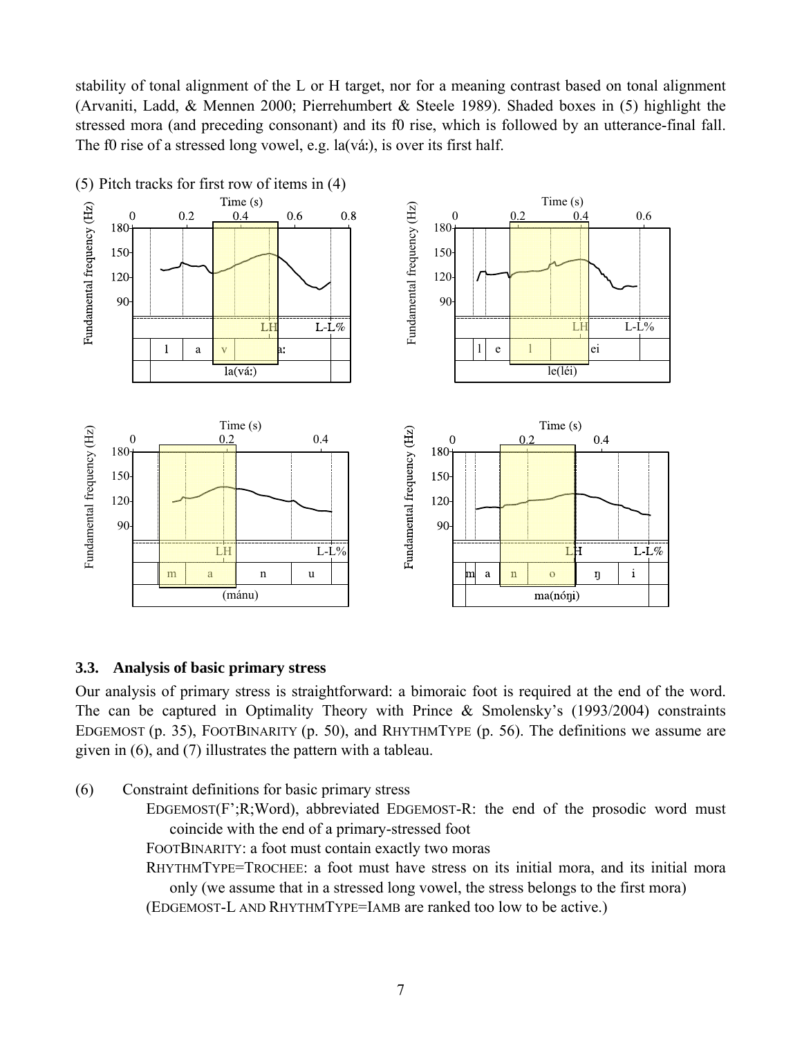stability of tonal alignment of the L or H target, nor for a meaning contrast based on tonal alignment (Arvaniti, Ladd, & Mennen 2000; Pierrehumbert & Steele 1989). Shaded boxes in (5) highlight the stressed mora (and preceding consonant) and its f0 rise, which is followed by an utterance-final fall. The f0 rise of a stressed long vowel, e.g. la(váː), is over its first half.



# **3.3. Analysis of basic primary stress**

Our analysis of primary stress is straightforward: a bimoraic foot is required at the end of the word. The can be captured in Optimality Theory with Prince & Smolensky's (1993/2004) constraints EDGEMOST (p. 35), FOOTBINARITY (p. 50), and RHYTHMTYPE (p. 56). The definitions we assume are given in (6), and (7) illustrates the pattern with a tableau.

- (6) Constraint definitions for basic primary stress
	- EDGEMOST(F';R;Word), abbreviated EDGEMOST-R: the end of the prosodic word must coincide with the end of a primary-stressed foot

FOOTBINARITY: a foot must contain exactly two moras

RHYTHMTYPE=TROCHEE: a foot must have stress on its initial mora, and its initial mora only (we assume that in a stressed long vowel, the stress belongs to the first mora)

(EDGEMOST-L AND RHYTHMTYPE=IAMB are ranked too low to be active.)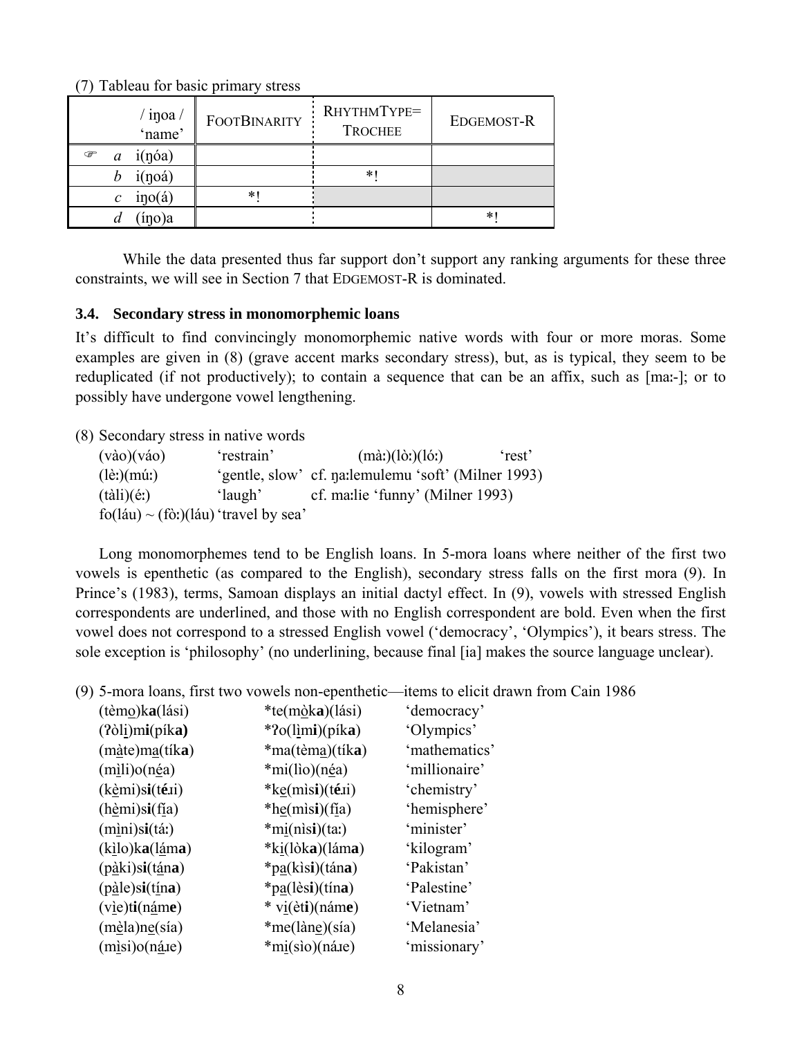(7) Tableau for basic primary stress

| $\frac{1}{2}$ in joa $\frac{1}{2}$ | <b>FOOTBINARITY</b> | RHYTHMTYPE=<br><b>TROCHEE</b> | EDGEMOST-R |
|------------------------------------|---------------------|-------------------------------|------------|
| i(n <sub>o</sub> a)<br>œ<br>a      |                     |                               |            |
| i(noá)                             |                     | *                             |            |
| ino(4)<br>$\mathcal{C}_{0}$        | $\ast$              |                               |            |
| íno)a                              |                     |                               | *          |

While the data presented thus far support don't support any ranking arguments for these three constraints, we will see in Section 7 that EDGEMOST-R is dominated.

# **3.4. Secondary stress in monomorphemic loans**

It's difficult to find convincingly monomorphemic native words with four or more moras. Some examples are given in (8) (grave accent marks secondary stress), but, as is typical, they seem to be reduplicated (if not productively); to contain a sequence that can be an affix, such as [maː-]; or to possibly have undergone vowel lengthening.

(8) Secondary stress in native words

| $(v\dot{a}o)(v\dot{a}o)$                 | 'restrain' | $(m\grave{a}$ : $)(l\grave{b}$ : $)(l\acute{b}$ : $)$ | 'rest' |
|------------------------------------------|------------|-------------------------------------------------------|--------|
| $(l\grave{e}$ : $)(m\acute{u}$ : $)$     |            | 'gentle, slow' cf. na: lemulemu 'soft' (Milner 1993)  |        |
| $(t\text{ali})(\text{\'e})$              | 'laugh'    | cf. maile 'funny' (Milner 1993)                       |        |
| $f_0$ (láu) ~ (fò:)(láu) 'travel by sea' |            |                                                       |        |

 Long monomorphemes tend to be English loans. In 5-mora loans where neither of the first two vowels is epenthetic (as compared to the English), secondary stress falls on the first mora (9). In Prince's (1983), terms, Samoan displays an initial dactyl effect. In (9), vowels with stressed English correspondents are underlined, and those with no English correspondent are bold. Even when the first vowel does not correspond to a stressed English vowel ('democracy', 'Olympics'), it bears stress. The sole exception is 'philosophy' (no underlining, because final [ia] makes the source language unclear).

(9) 5-mora loans, first two vowels non-epenthetic—items to elicit drawn from Cain 1986

| (tèmo)ka(lási)                                                                                   | *te(mòka)(lási)                   | 'democracy'   |
|--------------------------------------------------------------------------------------------------|-----------------------------------|---------------|
| $(2\delta l\underline{i})mi(pika)$                                                               | $*$ ?o(limi)(píka)                | 'Olympics'    |
| (m <u>à</u> te)ma(tík <b>a</b> )                                                                 | *ma(tèm <u>a</u> )(tík <b>a</b> ) | 'mathematics' |
| (mili) o(n <u>é</u> a)                                                                           | *mi(lio)(néa)                     | 'millionaire' |
| $(k$ èmi)s <b>i</b> $(t$ é.                                                                      | $*k$ <u>e(misi)</u> (téxi)        | 'chemistry'   |
| $(h\text{èmi})\text{si}(\text{fia})$                                                             | *he(misi) $(fia)$                 | 'hemisphere'  |
| (m <u>ì</u> ni)s <b>i</b> (táː)                                                                  | $*mij(n)si)(ta)$                  | 'minister'    |
| (kilo)ka(láma)                                                                                   | *ki(lòka)(láma)                   | 'kilogram'    |
| $(p\hat{a}k)$ si(tána)                                                                           | *p <u>a</u> (kisi)(tána)          | 'Pakistan'    |
| $(p \underline{\text{à}} \underline{\text{le}}) \underline{\text{si}} (\underline{\text{tina}})$ | $*pa(lèsi)(tína)$                 | 'Palestine'   |
| $(v)$ ie) ti $(n$ áme                                                                            | $*$ vi( $\dot{e}$ ti)(náme)       | 'Vietnam'     |
| (m <u>è</u> la)ne(sía)                                                                           | *me(làne)(sía)                    | 'Melanesia'   |
| $(misi)$ o(n <u>á</u> xe)                                                                        | *mi(sìo)(ná.re)                   | 'missionary'  |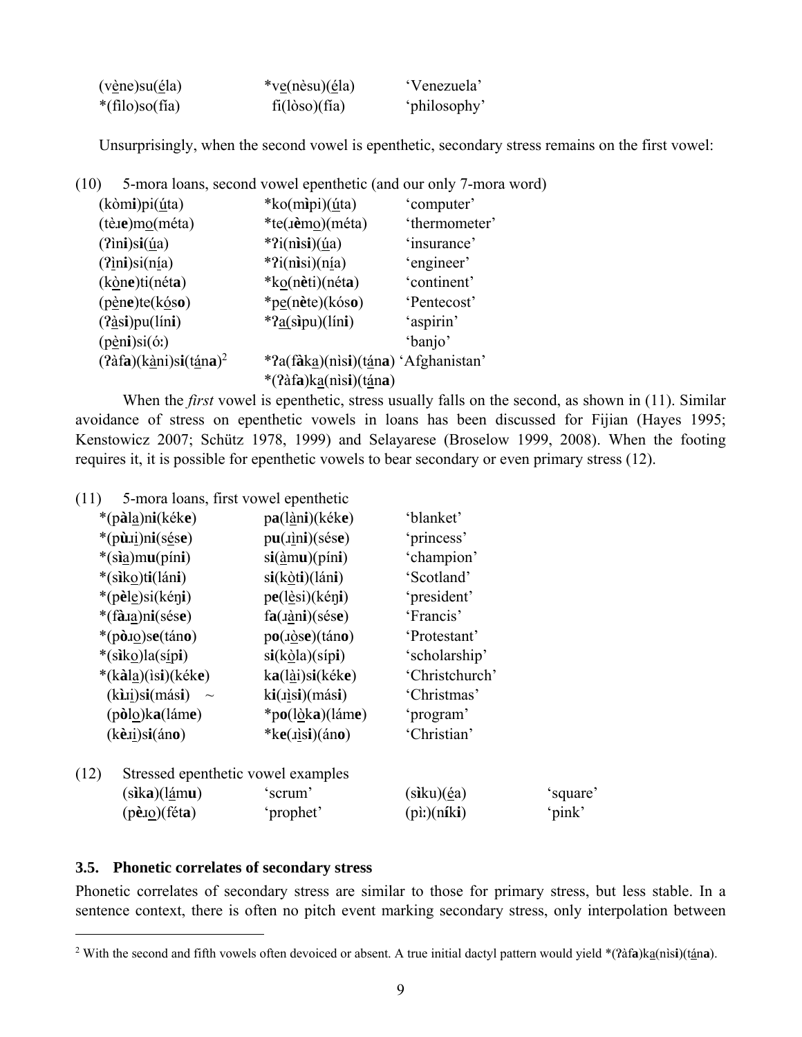| (v <u>è</u> ne)su( <i>él</i> a)       | *ve(nèsu)( $\acute{e}$ la) | 'Venezuela'  |
|---------------------------------------|----------------------------|--------------|
| $*(\text{filo})\text{so}(\text{fia})$ | $fi(l\delta so)(fia)$      | 'philosophy' |

Unsurprisingly, when the second vowel is epenthetic, secondary stress remains on the first vowel:

| (10)                                             |                                     | 5-mora loans, second vowel epenthetic (and our only 7-mora word) |
|--------------------------------------------------|-------------------------------------|------------------------------------------------------------------|
| $(k\delta m\mathbf{i})pi(\underline{u}ta)$       | *ko(mipi) $(i$ ta)                  | 'computer'                                                       |
| $(t\text{e}.\text{e})\text{mo}(\text{m}\'eta)$   | *te( <i>i</i> èmo)(méta)            | 'thermometer'                                                    |
| $(2)$ ini)si $(ia)$                              | *? $i(nisi)(\underline{u}a)$        | 'insurance'                                                      |
| $(2)$ <sub>ini</sub> )si $(n1a)$                 | $*$ ?i(nisi)(nia)                   | 'engineer'                                                       |
| $(k\text{one})$ ti(néta)                         | *ko(nèti)(néta)                     | 'continent'                                                      |
| $(p\grave{e}ne)te(k\acute{e}so)$                 | *pe(nète)(kóso)                     | 'Pentecost'                                                      |
| $(2\text{àsi})$ pu $(\text{lini})$               | $*2a(\text{sipu})(\text{lini})$     | 'aspirin'                                                        |
| $(p \nightharpoonup$ ni)si $(\nightharpoonup)$   |                                     | 'banjo'                                                          |
| $(2\hat{a}fa)(\hat{ka}ni)si(\hat{t}\hat{a}na)^2$ | *?a(fàka)(nìsi)(tána) 'Afghanistan' |                                                                  |
|                                                  | *(?àfa)ka(nìsi)(tána)               |                                                                  |

When the *first* vowel is epenthetic, stress usually falls on the second, as shown in (11). Similar avoidance of stress on epenthetic vowels in loans has been discussed for Fijian (Hayes 1995; Kenstowicz 2007; Schütz 1978, 1999) and Selayarese (Broselow 1999, 2008). When the footing requires it, it is possible for epenthetic vowels to bear secondary or even primary stress (12).

(11) 5-mora loans, first vowel epenthetic

| *(pàla)ni(kéke)                            | pa(làni)(kéke)                     | 'blanket'      |          |
|--------------------------------------------|------------------------------------|----------------|----------|
| *(pù.ui)ni(sése)                           | $pu(iini)(s\acute{e}s\acute{e})$   | 'princess'     |          |
| * $(sia)mu(pini)$                          | $si(\frac{\lambda}{2}mu)(pini)$    | 'champion'     |          |
| *(siko)ti(láni)                            | $si(k\text{òti})(l\text{áni})$     | 'Scotland'     |          |
| *(pèle)si(kéni)                            | pe(l <u>è</u> si)(kéni)            | 'president'    |          |
| *(fà.u <u>a</u> )ni(sése)                  | $fa(i\hat{a}ni)(s\hat{e}s\hat{e})$ | 'Francis'      |          |
| *(pò.10)se(táno)                           | po(i <u>o</u> se)(táno)            | 'Protestant'   |          |
| *(siko)la(sípi)                            | $si(k\delta a)(sipi)$              | 'scholarship'  |          |
| *(kàl <u>a</u> )(is <b>i</b> )(kéke)       | $ka(l\hat{a}i)si(k\hat{e}ke)$      | 'Christchurch' |          |
| $(k)$ ij)si $(m$ ási<br>$\sim$             | ki(ijsi)(mási)                     | 'Christmas'    |          |
| (pòlo)ka(láme)                             | *po(lòka)(láme)                    | 'program'      |          |
| $(kèxi)$ si $(áno)$                        | * $ke(ijsi)(áno)$                  | 'Christian'    |          |
| (12)<br>Stressed epenthetic vowel examples |                                    |                |          |
| $(\text{sika})(\text{lámu})$               | 'scrum'                            | siku)(éa)      | 'square' |

(p**è**ɹo)(fét**a**) 'prophet' (pìː)(n**í**k**i**) 'pink'

# **3.5. Phonetic correlates of secondary stress**

 $\overline{a}$ 

Phonetic correlates of secondary stress are similar to those for primary stress, but less stable. In a sentence context, there is often no pitch event marking secondary stress, only interpolation between

<sup>&</sup>lt;sup>2</sup> With the second and fifth vowels often devoiced or absent. A true initial dactyl pattern would yield \*(?àfa)k<u>a</u>(nìsi)(tána).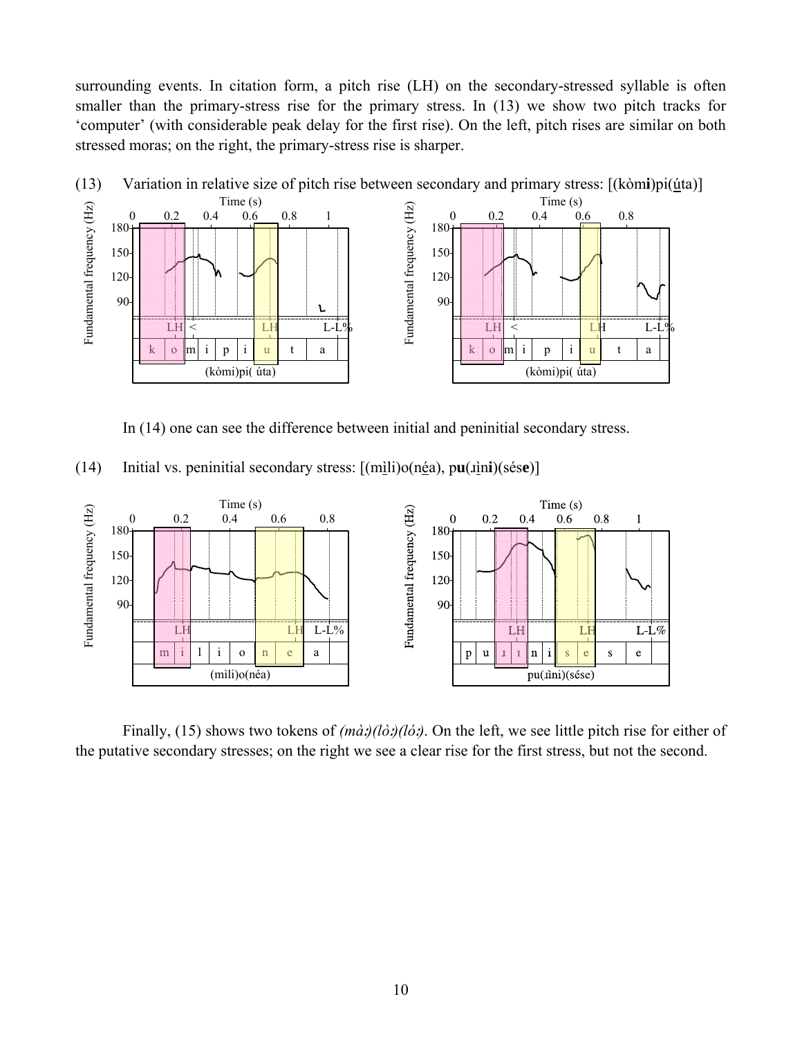surrounding events. In citation form, a pitch rise (LH) on the secondary-stressed syllable is often smaller than the primary-stress rise for the primary stress. In (13) we show two pitch tracks for 'computer' (with considerable peak delay for the first rise). On the left, pitch rises are similar on both stressed moras; on the right, the primary-stress rise is sharper.



In (14) one can see the difference between initial and peninitial secondary stress.

| (14) |  |  |  |  |  |  | Initial vs. peninitial secondary stress: $[(\text{mili})o(\text{n\'ea})$ , $\text{pu}(\text{iini})(\text{s\'ese})]$ |
|------|--|--|--|--|--|--|---------------------------------------------------------------------------------------------------------------------|
|------|--|--|--|--|--|--|---------------------------------------------------------------------------------------------------------------------|



 Finally, (15) shows two tokens of *(mà*ː*)(lò*ː*)(ló*ː*)*. On the left, we see little pitch rise for either of the putative secondary stresses; on the right we see a clear rise for the first stress, but not the second.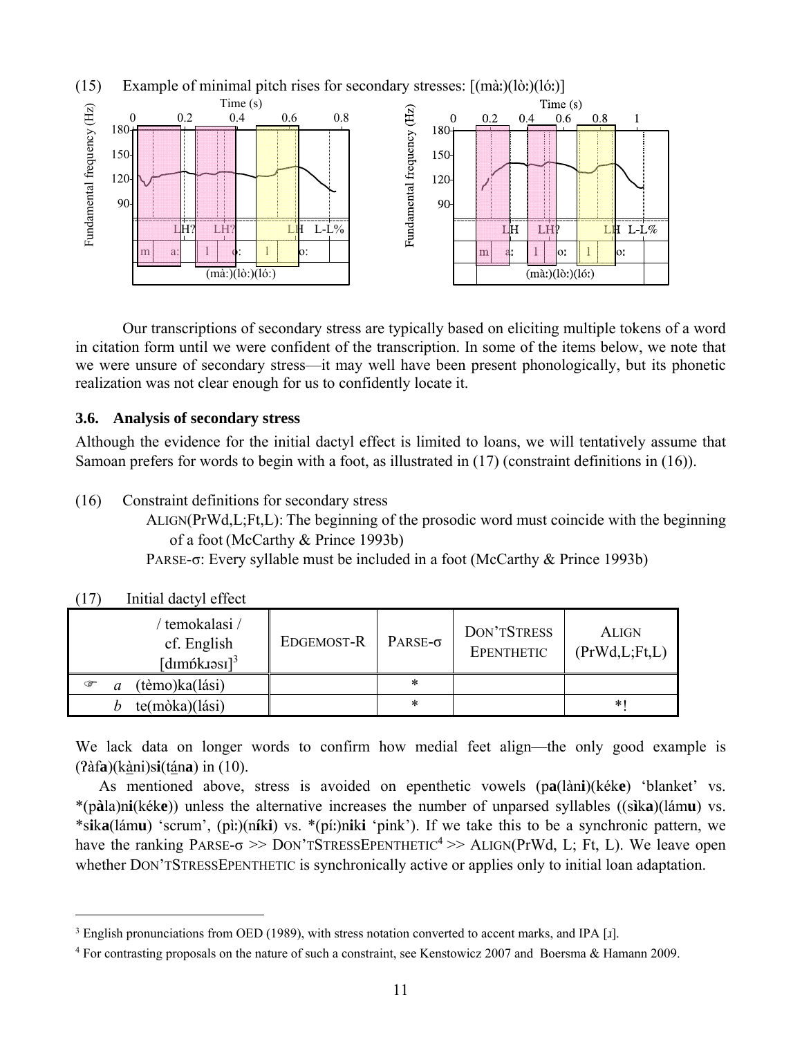

 Our transcriptions of secondary stress are typically based on eliciting multiple tokens of a word in citation form until we were confident of the transcription. In some of the items below, we note that we were unsure of secondary stress—it may well have been present phonologically, but its phonetic realization was not clear enough for us to confidently locate it.

# **3.6. Analysis of secondary stress**

Although the evidence for the initial dactyl effect is limited to loans, we will tentatively assume that Samoan prefers for words to begin with a foot, as illustrated in (17) (constraint definitions in (16)).

(16) Constraint definitions for secondary stress

ALIGN(PrWd,L;Ft,L): The beginning of the prosodic word must coincide with the beginning of a foot (McCarthy & Prince 1993b)

PARSE-σ: Every syllable must be included in a foot (McCarthy & Prince 1993b)

| ' temokalasi /<br>cf. English<br>$[d$ ımpkuəsi $]^{3}$ | EDGEMOST-R | $PARSE-\sigma$ | DON'TSTRESS<br>EPENTHETIC | <b>ALIGN</b><br>(PrWd, L; Ft, L) |
|--------------------------------------------------------|------------|----------------|---------------------------|----------------------------------|
| (tèmo)ka(lási)<br>☞<br>a                               |            | *              |                           |                                  |
| te(mòka)(lási)                                         |            | *              |                           | *1                               |

(17) Initial dactyl effect

 $\overline{a}$ 

We lack data on longer words to confirm how medial feet align—the only good example is (Ɂàf**a**)(kàni)s**i**(tán**a**) in (10).

 As mentioned above, stress is avoided on epenthetic vowels (p**a**(làn**i**)(kék**e**) 'blanket' vs. \*(p**à**la)n**i**(kék**e**)) unless the alternative increases the number of unparsed syllables ((s**ì**k**a**)(lám**u**) vs. \*s**i**k**a**(lám**u**) 'scrum', (pìː)(n**í**k**i**) vs. \*(píː)n**i**k**i** 'pink'). If we take this to be a synchronic pattern, we have the ranking PARSE- $\sigma \gg$  DON'TSTRESSEPENTHETIC<sup>4</sup> $\gg$  ALIGN(PrWd, L; Ft, L). We leave open whether DON'TSTRESSEPENTHETIC is synchronically active or applies only to initial loan adaptation.

<sup>&</sup>lt;sup>3</sup> English pronunciations from OED (1989), with stress notation converted to accent marks, and IPA [1].

<sup>4</sup> For contrasting proposals on the nature of such a constraint, see Kenstowicz 2007 and Boersma & Hamann 2009.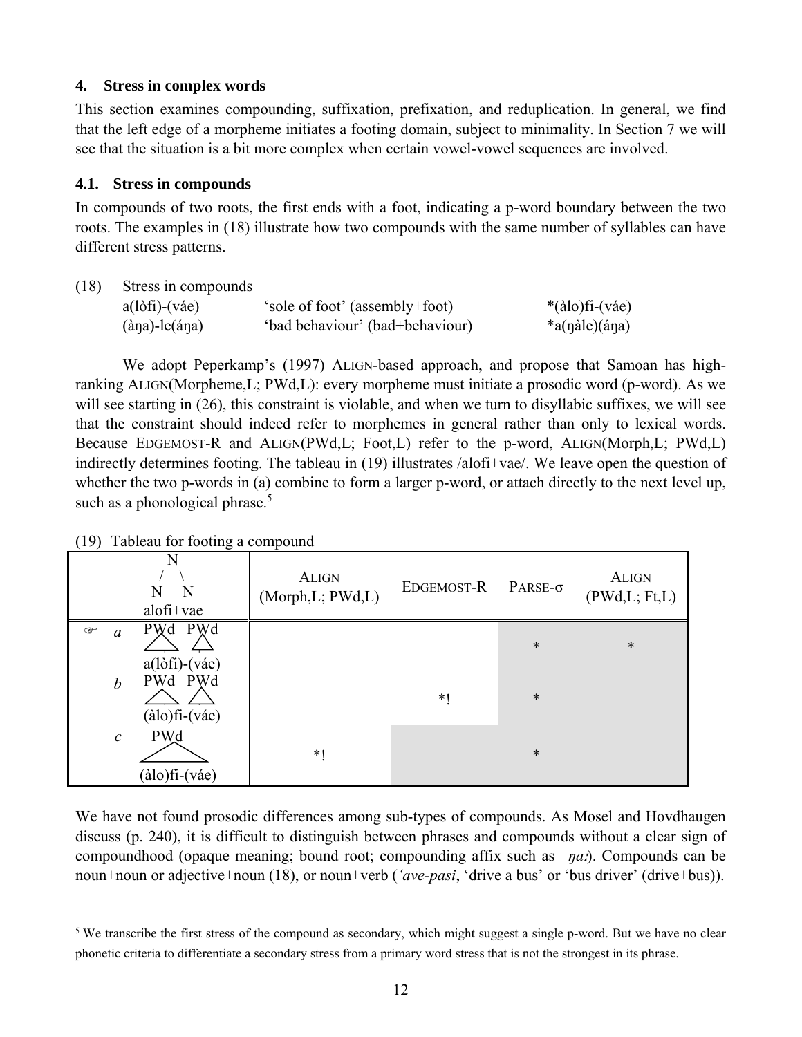# **4. Stress in complex words**

This section examines compounding, suffixation, prefixation, and reduplication. In general, we find that the left edge of a morpheme initiates a footing domain, subject to minimality. In Section 7 we will see that the situation is a bit more complex when certain vowel-vowel sequences are involved.

# **4.1. Stress in compounds**

In compounds of two roots, the first ends with a foot, indicating a p-word boundary between the two roots. The examples in (18) illustrate how two compounds with the same number of syllables can have different stress patterns.

(18) Stress in compounds

| $a(l\delta f\mathbf{i})-(v\mathbf{a}e)$ | 'sole of foot' (assembly+foot)  | $*(\text{alo})$ fi-(váe) |
|-----------------------------------------|---------------------------------|--------------------------|
| $(\text{àna})$ -le $(\text{ána})$       | 'bad behaviour' (bad+behaviour) | $a$ (nàle)(ána)          |

 We adopt Peperkamp's (1997) ALIGN-based approach, and propose that Samoan has highranking ALIGN(Morpheme,L; PWd,L): every morpheme must initiate a prosodic word (p-word). As we will see starting in (26), this constraint is violable, and when we turn to disyllabic suffixes, we will see that the constraint should indeed refer to morphemes in general rather than only to lexical words. Because EDGEMOST-R and ALIGN(PWd,L; Foot,L) refer to the p-word, ALIGN(Morph,L; PWd,L) indirectly determines footing. The tableau in (19) illustrates /alofi+vae/. We leave open the question of whether the two p-words in (a) combine to form a larger p-word, or attach directly to the next level up, such as a phonological phrase. $5$ 

|                           | N<br>N<br>N<br>alofi+vae                        | <b>ALIGN</b><br>(Morph, L; PWd, L) | EDGEMOST-R | PARSE- $\sigma$ | <b>ALIGN</b><br>(PWd, L; Ft, L) |
|---------------------------|-------------------------------------------------|------------------------------------|------------|-----------------|---------------------------------|
| $\circledast$<br>$\alpha$ | PWd PWd<br>$a$ (lòfi)-(váe)                     |                                    |            | $\ast$          | $\ast$                          |
| $\boldsymbol{b}$          | PWd PWd<br>$(\text{àlo})$ fi- $(\text{váe})$    |                                    | $*1$       | $\ast$          |                                 |
| $\mathcal{C}$             | <b>PWd</b><br>$(\text{àlo})$ fi- $(\text{váe})$ | $*1$                               |            | $\ast$          |                                 |

(19) Tableau for footing a compound

 $\overline{a}$ 

We have not found prosodic differences among sub-types of compounds. As Mosel and Hovdhaugen discuss (p. 240), it is difficult to distinguish between phrases and compounds without a clear sign of compoundhood (opaque meaning; bound root; compounding affix such as *–ŋa*ː). Compounds can be noun+noun or adjective+noun (18), or noun+verb (*'ave-pasi*, 'drive a bus' or 'bus driver' (drive+bus)).

<sup>&</sup>lt;sup>5</sup> We transcribe the first stress of the compound as secondary, which might suggest a single p-word. But we have no clear phonetic criteria to differentiate a secondary stress from a primary word stress that is not the strongest in its phrase.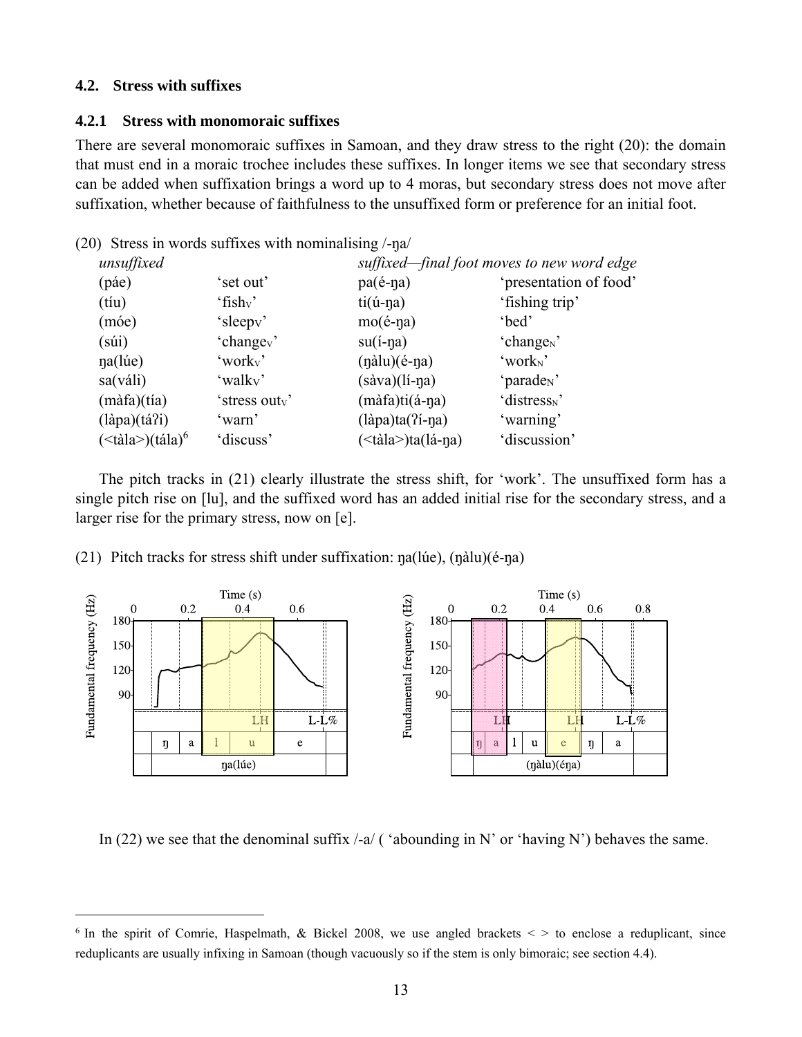# **4.2. Stress with suffixes**

 $\overline{a}$ 

#### **4.2.1 Stress with monomoraic suffixes**

There are several monomoraic suffixes in Samoan, and they draw stress to the right (20): the domain that must end in a moraic trochee includes these suffixes. In longer items we see that secondary stress can be added when suffixation brings a word up to 4 moras, but secondary stress does not move after suffixation, whether because of faithfulness to the unsuffixed form or preference for an initial foot.

|                                |                                  | suffixed—final foot moves to new word edge                  |
|--------------------------------|----------------------------------|-------------------------------------------------------------|
| 'set out'                      | $pa(e-na)$                       | 'presentation of food'                                      |
| $^{\circ}$ fish <sub>v</sub> ' | $ti($ ú-na)                      | 'fishing trip'                                              |
| 'sleepy'                       | $mo(\acute{e}\text{-}\eta a)$    | 'bed'                                                       |
| 'change <sub>v</sub> '         | $su(i$ -na)                      | 'change <sub>N</sub> '                                      |
| 'work <sub>v</sub> '           | $(n\text{àlu})(\text{é-na})$     | 'work <sub>N</sub> '                                        |
| 'walky'                        | $(sàva)(lí-\eta a)$              | 'parade <sub>N</sub> '                                      |
| 'stress outv'                  | $(m\hat{a}fa)ti(\hat{a}-\eta a)$ | 'distress <sub>N</sub> '                                    |
| 'warn'                         | $(làpa)ta(7i-1a)$                | 'warning'                                                   |
| 'discuss'                      | ( iala > ta(lá-na)               | 'discussion'                                                |
|                                |                                  | (20) Stress in words suffixes with nominalising $\ell$ -na/ |

 The pitch tracks in (21) clearly illustrate the stress shift, for 'work'. The unsuffixed form has a single pitch rise on [lu], and the suffixed word has an added initial rise for the secondary stress, and a larger rise for the primary stress, now on [e].

(21) Pitch tracks for stress shift under suffixation: ŋa(lúe), (ŋàlu)(é-ŋa)



In (22) we see that the denominal suffix  $\ell$ -a/ ( 'abounding in N' or 'having N') behaves the same.

<sup>&</sup>lt;sup>6</sup> In the spirit of Comrie, Haspelmath, & Bickel 2008, we use angled brackets  $\lt$  > to enclose a reduplicant, since reduplicants are usually infixing in Samoan (though vacuously so if the stem is only bimoraic; see section 4.4).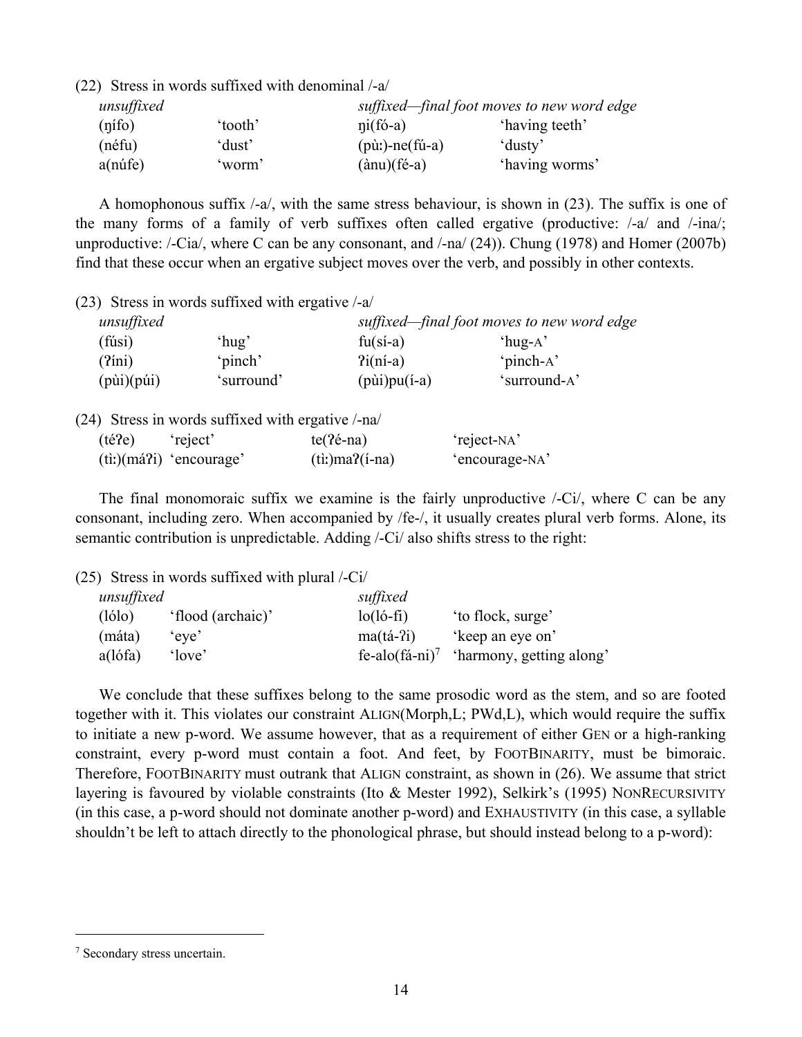| unsuffixed |         |                                                | suffixed—final foot moves to new word edge |  |  |
|------------|---------|------------------------------------------------|--------------------------------------------|--|--|
| (nifo)     | 'tooth' | $\pi$ i(fó-a)                                  | 'having teeth'                             |  |  |
| (néfu)     | 'dust'  | $(\text{p}\`{u})$ -ne $(\mathit{fu}\text{-}a)$ | 'dusty'                                    |  |  |
| $a(n$ úfe) | worm'   | $(\text{ànu})(\text{f\'e-a})$                  | 'having worms'                             |  |  |

 A homophonous suffix /-a/, with the same stress behaviour, is shown in (23). The suffix is one of the many forms of a family of verb suffixes often called ergative (productive: /-a/ and /-ina/; unproductive: /-Cia/, where C can be any consonant, and /-na/ (24)). Chung (1978) and Homer (2007b) find that these occur when an ergative subject moves over the verb, and possibly in other contexts.

(23) Stress in words suffixed with ergative /-a/

(22) Stress in words suffixed with denominal /-a/

| unsuffixed                 |            |                          | suffixed—final foot moves to new word edge |  |  |
|----------------------------|------------|--------------------------|--------------------------------------------|--|--|
| (fúsi)                     | $'$ hug'   | $fu(s'_1-a)$             | $'$ hug-A $'$                              |  |  |
| $(2$ íni)                  | 'pinch'    | $2i(ni-a)$               | 'pinch-A'                                  |  |  |
| $(p\ddot{u}i)(p\ddot{u}i)$ | 'surround' | $(p\ddot{u})$ pu $(i-a)$ | 'surround-A'                               |  |  |

(24) Stress in words suffixed with ergative /-na/

| (té?e) | 'reject'                          | $te(2\acute{e}-na)$  | 'reject-NA'    |
|--------|-----------------------------------|----------------------|----------------|
|        | $(iti)(m\acute{a}7i)$ 'encourage' | $(ti!)$ ma? $(i-na)$ | 'encourage-NA' |

 The final monomoraic suffix we examine is the fairly unproductive /-Ci/, where C can be any consonant, including zero. When accompanied by /fe-/, it usually creates plural verb forms. Alone, its semantic contribution is unpredictable. Adding /-Ci/ also shifts stress to the right:

(25) Stress in words suffixed with plural /-Ci/

| unsuffixed |                   | suffixed                   |                          |
|------------|-------------------|----------------------------|--------------------------|
| (lólo)     | 'flood (archaic)' | $lo(ló-fi)$                | to flock, surge'         |
| (máta)     | 'eve'             | $ma(tá-2i)$                | 'keep an eye on'         |
| $a$ (lófa) | 'love'            | fe-alo(fá-ni) <sup>7</sup> | 'harmony, getting along' |

 We conclude that these suffixes belong to the same prosodic word as the stem, and so are footed together with it. This violates our constraint ALIGN(Morph,L; PWd,L), which would require the suffix to initiate a new p-word. We assume however, that as a requirement of either GEN or a high-ranking constraint, every p-word must contain a foot. And feet, by FOOTBINARITY, must be bimoraic. Therefore, FOOTBINARITY must outrank that ALIGN constraint, as shown in (26). We assume that strict layering is favoured by violable constraints (Ito & Mester 1992), Selkirk's (1995) NONRECURSIVITY (in this case, a p-word should not dominate another p-word) and EXHAUSTIVITY (in this case, a syllable shouldn't be left to attach directly to the phonological phrase, but should instead belong to a p-word):

<sup>7</sup> Secondary stress uncertain.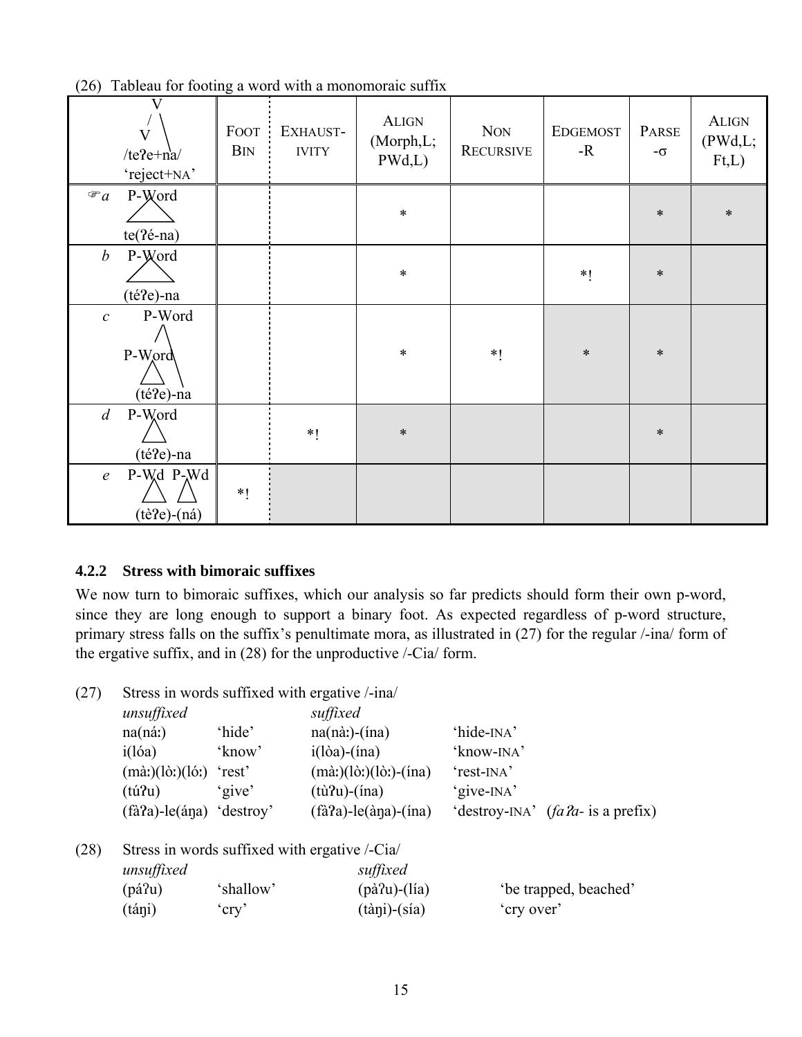|                  | V<br>$\overline{V}$<br>/te?e+ $n$ a/<br>'reject+NA' | <b>FOOT</b><br><b>B</b> IN | EXHAUST-<br><b>IVITY</b> | <b>ALIGN</b><br>(Morph,L;<br>PWd,L) | <b>NON</b><br><b>RECURSIVE</b> | <b>EDGEMOST</b><br>$-R$ | PARSE<br>$-\sigma$ | <b>ALIGN</b><br>(PWd, L;<br>Ft,L) |
|------------------|-----------------------------------------------------|----------------------------|--------------------------|-------------------------------------|--------------------------------|-------------------------|--------------------|-----------------------------------|
| $\mathcal{F}a$   | P-Word<br>$te(2é-na)$                               |                            |                          | $\ast$                              |                                |                         | $\ast$             | $\ast$                            |
| $\boldsymbol{b}$ | P-Word<br>(té?e)-na                                 |                            |                          | $\ast$                              |                                | $*1$                    | $\ast$             |                                   |
| $\mathcal C$     | P-Word<br>P-Word<br>(té?e)-na                       |                            |                          | $\ast$                              | $*1$                           | $\ast$                  | $\ast$             |                                   |
| $\overline{d}$   | P-Word<br>(té?e)-na                                 |                            | $*1$                     | $\ast$                              |                                |                         | $\ast$             |                                   |
| $\mathfrak{e}$   | P-Wd P-Wd<br>$(t\hat{e}$ ?e $)$ - $(n\hat{a})$      | $*1$                       |                          |                                     |                                |                         |                    |                                   |

(26) Tableau for footing a word with a monomoraic suffix

# **4.2.2 Stress with bimoraic suffixes**

We now turn to bimoraic suffixes, which our analysis so far predicts should form their own p-word, since they are long enough to support a binary foot. As expected regardless of p-word structure, primary stress falls on the suffix's penultimate mora, as illustrated in (27) for the regular /-ina/ form of the ergative suffix, and in (28) for the unproductive /-Cia/ form.

(27) Stress in words suffixed with ergative /-ina/

| (21) |                                                                               |              | $\sigma$ and $\sigma$ and $\sigma$ are $\sigma$ and $\sigma$ and $\sigma$ are $\sigma$ and $\sigma$ |                                        |
|------|-------------------------------------------------------------------------------|--------------|-----------------------------------------------------------------------------------------------------|----------------------------------------|
|      | unsuffixed                                                                    |              | suffixed                                                                                            |                                        |
|      | $na(n\acute{a})$                                                              | 'hide'       | $na(nà!)-(ina)$                                                                                     | 'hide- <sub>INA</sub> '                |
|      | i(lóa)                                                                        | 'know'       | $i$ (lòa)-(ína)                                                                                     | 'know-INA'                             |
|      | $(m\grave{a}$ : $)(l\grave{o}$ : $)(l\acute{o}$ : $)(l\acute{o}$ : $)$ 'rest' |              | $(m\grave{a}$ : $)(l\grave{o}$ : $)(l\grave{o}$ : $)$ - $(ina)$                                     | 'rest-INA'                             |
|      | (tú?u)                                                                        | 'give'       | $(t\hat{u}Pu)$ - $(\text{ina})$                                                                     | 'give-INA'                             |
|      | $(fàPa)$ -le $(ápa)$ 'destroy'                                                |              | $(f\hat{a} a)$ -le $(\hat{a} \eta a)$ - $(\hat{a} \eta a)$                                          | 'destroy-INA' $(fa\,2a$ - is a prefix) |
| (28) |                                                                               |              | Stress in words suffixed with ergative /-Cia/                                                       |                                        |
|      | unsuffixed                                                                    |              | suffixed                                                                                            |                                        |
|      | (pá $\Omega$ u)                                                               | 'shallow'    | (pà $?u$ )- $($ lía)                                                                                | 'be trapped, beached'                  |
|      | (táni)                                                                        | $\gamma$ cry | $(t\grave{a}$ ni)- $(s\acute{a}a)$                                                                  | 'cry over'                             |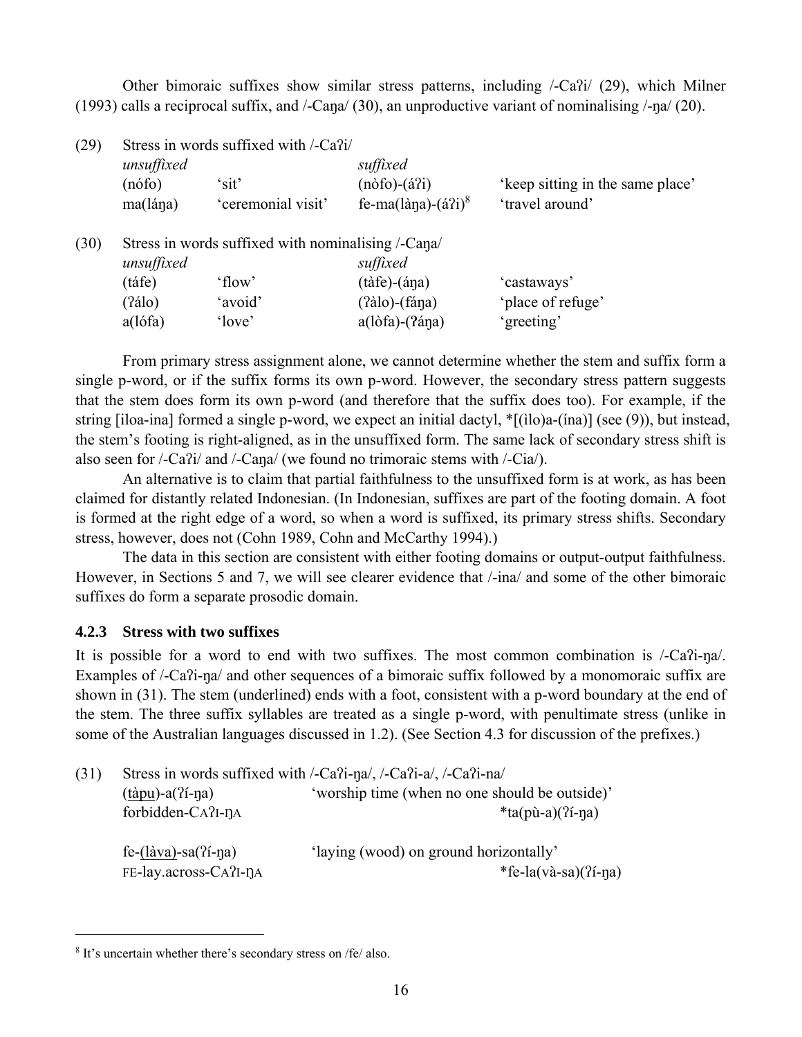Other bimoraic suffixes show similar stress patterns, including /-Caʔi/ (29), which Milner (1993) calls a reciprocal suffix, and /-Caŋa/ (30), an unproductive variant of nominalising /-ŋa/ (20).

| (29) |            | Stress in words suffixed with /-Ca?i/              |                                          |                                  |
|------|------------|----------------------------------------------------|------------------------------------------|----------------------------------|
|      | unsuffixed |                                                    | suffixed                                 |                                  |
|      | $(n$ ófo)  | 'sit'                                              | $(n\delta f) - (\acute{a}3i)$            | 'keep sitting in the same place' |
|      | ma(lána)   | 'ceremonial visit'                                 | fe-ma(làna)- $(\hat{a}$ ?i) <sup>8</sup> | 'travel around'                  |
| (30) |            | Stress in words suffixed with nominalising /-Cana/ |                                          |                                  |
|      | unsuffixed |                                                    | suffixed                                 |                                  |
|      | (táfe)     | 'flow'                                             | $(t\)$ - $(\text{áqa})$                  | 'castaways'                      |
|      | (2álo)     | 'avoid'                                            | $(2\text{àlo})$ - $(f$ ána)              | 'place of refuge'                |
|      | a(lófa)    | 'love'                                             | $a(l\delta f a) - (2\delta f a)$         | 'greeting'                       |

From primary stress assignment alone, we cannot determine whether the stem and suffix form a single p-word, or if the suffix forms its own p-word. However, the secondary stress pattern suggests that the stem does form its own p-word (and therefore that the suffix does too). For example, if the string [iloa-ina] formed a single p-word, we expect an initial dactyl, \*[(ìlo)a-(ína)] (see (9)), but instead, the stem's footing is right-aligned, as in the unsuffixed form. The same lack of secondary stress shift is also seen for /-Caʔi/ and /-Caŋa/ (we found no trimoraic stems with /-Cia/).

An alternative is to claim that partial faithfulness to the unsuffixed form is at work, as has been claimed for distantly related Indonesian. (In Indonesian, suffixes are part of the footing domain. A foot is formed at the right edge of a word, so when a word is suffixed, its primary stress shifts. Secondary stress, however, does not (Cohn 1989, Cohn and McCarthy 1994).)

The data in this section are consistent with either footing domains or output-output faithfulness. However, in Sections 5 and 7, we will see clearer evidence that /-ina/ and some of the other bimoraic suffixes do form a separate prosodic domain.

# **4.2.3 Stress with two suffixes**

It is possible for a word to end with two suffixes. The most common combination is /-Caʔi-ŋa/. Examples of /-Ca?i-ŋa/ and other sequences of a bimoraic suffix followed by a monomoraic suffix are shown in (31). The stem (underlined) ends with a foot, consistent with a p-word boundary at the end of the stem. The three suffix syllables are treated as a single p-word, with penultimate stress (unlike in some of the Australian languages discussed in 1.2). (See Section 4.3 for discussion of the prefixes.)

| (31) | Stress in words suffixed with /-Ca?i-na/, /-Ca?i-a/, /-Ca?i-na/ |                                                |  |  |  |
|------|-----------------------------------------------------------------|------------------------------------------------|--|--|--|
|      | $(t$ àpu)-a $(2i$ -na)                                          | 'worship time (when no one should be outside)' |  |  |  |
|      | $for bidden-CA$ ? $I-1A$                                        | $*$ ta(pù-a)( $\hat{i}$ -na)                   |  |  |  |
|      | fe- $(làva)$ -sa $(?i$ -na)                                     | 'laying (wood) on ground horizontally'         |  |  |  |
|      | FE-lay.across-CA?I-DA                                           | *fe-la(và-sa) $($ ?í-na)                       |  |  |  |

<sup>8</sup> It's uncertain whether there's secondary stress on /fe/ also.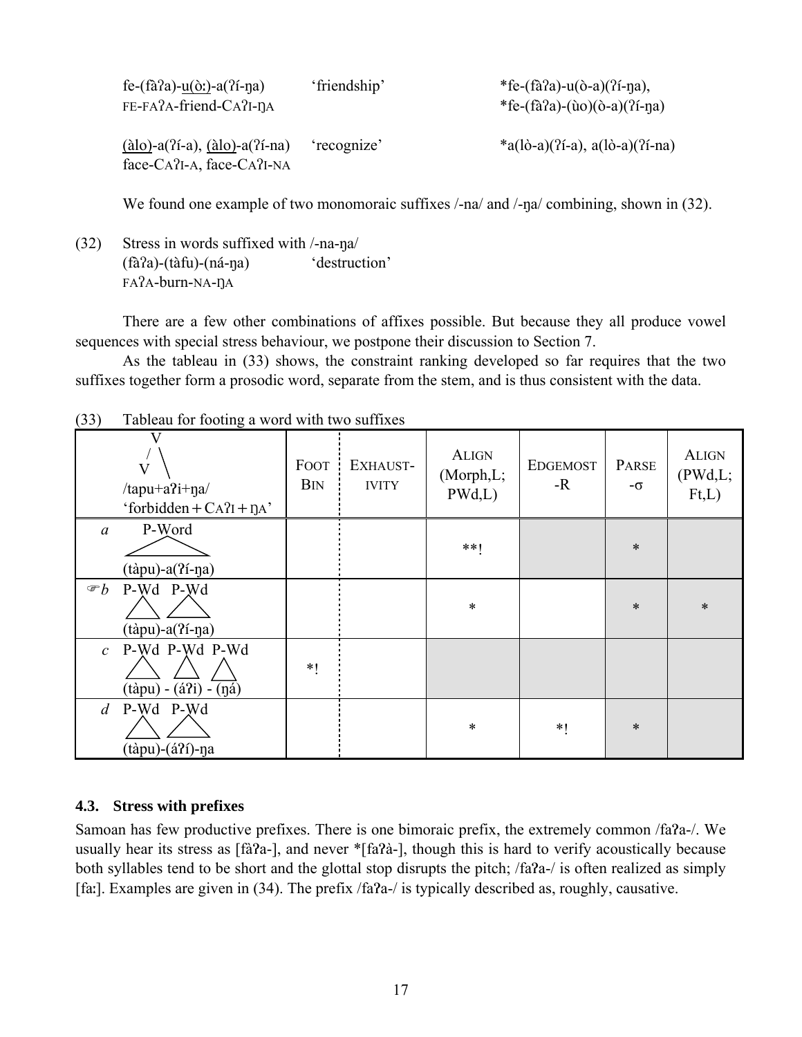| fe- $(f\hat{a}a)$ -u( $\hat{o}$ :)-a( $2f$ -na)<br>FE-FA?A-friend-CA?I-DA                                     | 'friendship' | *fe-(fà?a)-u(ò-a)(?í-na),<br>*fe-(fà?a)-(ùo)(ò-a)(?í-na) |
|---------------------------------------------------------------------------------------------------------------|--------------|----------------------------------------------------------|
| $(\dot{a}$ lo)-a $(\dot{a}$ <sup>2</sup> i-a), $(\dot{a}$ lo)-a $(\dot{a}$ i-na)<br>face-CA?I-A, face-CA?I-NA | 'recognize'  | $*(a)(\delta-a)(\delta-a), a(\delta-a)(\delta-na)$       |

We found one example of two monomoraic suffixes /-na/ and /-na/ combining, shown in (32).

(32) Stress in words suffixed with /-na-ŋa/ (fàʔa)-(tàfu)-(ná-ŋa) 'destruction' FAʔA-burn-NA-ŊA

 There are a few other combinations of affixes possible. But because they all produce vowel sequences with special stress behaviour, we postpone their discussion to Section 7.

 As the tableau in (33) shows, the constraint ranking developed so far requires that the two suffixes together form a prosodic word, separate from the stem, and is thus consistent with the data.

| $\sqrt{2}$        | radical for footing a word with two barriage                                             |                           |                          |                                      |                         |             |                                    |
|-------------------|------------------------------------------------------------------------------------------|---------------------------|--------------------------|--------------------------------------|-------------------------|-------------|------------------------------------|
|                   | $\overline{\mathsf{V}}$<br>$/$ tapu+a?i+ŋa $/$<br>'forbidden + $CA$ ? $I$ + $\eta$ $A$ ' | <b>FOOT</b><br><b>BIN</b> | EXHAUST-<br><b>IVITY</b> | <b>ALIGN</b><br>(Morph, L;<br>PWd,L) | <b>EDGEMOST</b><br>$-R$ | PARSE<br>-σ | <b>ALIGN</b><br>(PWd, L;<br>Ft, L) |
| $\mathfrak{a}$    | P-Word<br>$(t$ àpu)-a $(2i$ -ŋa)                                                         |                           |                          | $**1$                                |                         | $\ast$      |                                    |
| $\mathcal{F}b$    | P-Wd P-Wd<br>$(t$ àpu)-a $(2i$ -na)                                                      |                           |                          | $\ast$                               |                         | $\ast$      | $\ast$                             |
| $\mathcal{C}$     | P-Wd P-Wd P-Wd<br>$(tàpu) - (\acute{a}3i) - (\acute{a}3)$                                | $*1$                      |                          |                                      |                         |             |                                    |
| $d_{\mathcal{A}}$ | P-Wd P-Wd<br>(tàpu)-(á?í)-ŋa                                                             |                           |                          | $\ast$                               | $*1$                    | $\ast$      |                                    |

(33) Tableau for footing a word with two suffixes

# **4.3. Stress with prefixes**

Samoan has few productive prefixes. There is one bimoraic prefix, the extremely common /fa?a-/. We usually hear its stress as [fà?a-], and never \*[fa?à-], though this is hard to verify acoustically because both syllables tend to be short and the glottal stop disrupts the pitch; /fa?a-/ is often realized as simply [fa:]. Examples are given in (34). The prefix /fa?a-/ is typically described as, roughly, causative.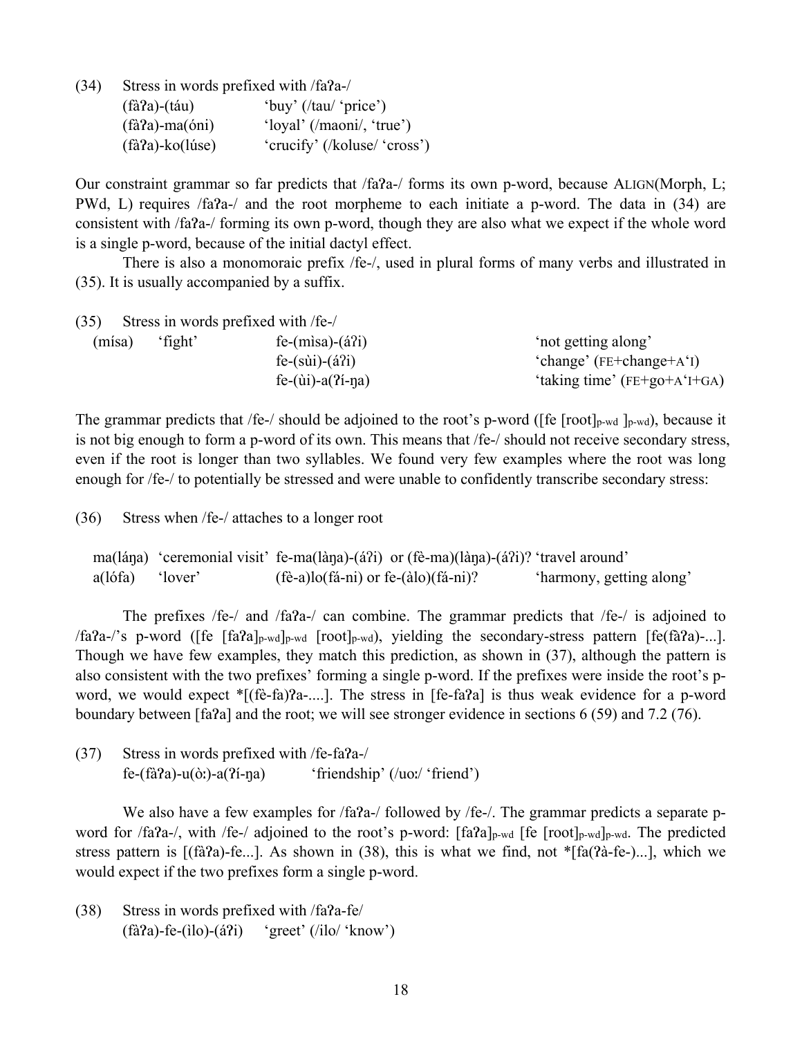$(34)$  Stress in words prefixed with  $/fa^2a$ -/

| $\sim$ $\sim$ | $(fà a)-(táu)$          | 'buy' $(ltau/$ 'price')             |
|---------------|-------------------------|-------------------------------------|
|               | $(fà a)$ -ma $(óni)$    | 'loyal' $($ /maoni $/$ , 'true' $)$ |
|               | $(f\hat{a}a)$ -ko(lúse) | 'crucify' (/koluse/ 'cross')        |

Our constraint grammar so far predicts that /fa?a-/ forms its own p-word, because ALIGN(Morph, L; PWd, L) requires /faɁa-/ and the root morpheme to each initiate a p-word. The data in (34) are consistent with /fa?a-/ forming its own p-word, though they are also what we expect if the whole word is a single p-word, because of the initial dactyl effect.

 There is also a monomoraic prefix /fe-/, used in plural forms of many verbs and illustrated in (35). It is usually accompanied by a suffix.

| (35)   |         | Stress in words prefixed with /fe-/ |                                |
|--------|---------|-------------------------------------|--------------------------------|
| (mísa) | 'fight' | $fe-(misa)-(a'i)$                   | 'not getting along'            |
|        |         | $fe-(s\ddot{u})-(\dot{a}^2i)$       | 'change' $(FE + change + A'I)$ |
|        |         | fe- $(iii)$ -a $(2i$ -na)           | 'taking time' $(FE+go+A'H-GA)$ |

The grammar predicts that /fe-/ should be adjoined to the root's p-word ([fe  $[root]_{p-wd}$ ], because it is not big enough to form a p-word of its own. This means that /fe-/ should not receive secondary stress, even if the root is longer than two syllables. We found very few examples where the root was long enough for /fe-/ to potentially be stressed and were unable to confidently transcribe secondary stress:

(36) Stress when /fe-/ attaches to a longer root

```
 ma(láŋa) 'ceremonial visit' fe-ma(làŋa)-(áʔi) or (fè-ma)(làŋa)-(áʔi)? 'travel around' 
 a(lófa) 'lover' (fè-a)lo(fá-ni) or fe-(àlo)(fá-ni)? 'harmony, getting along'
```
The prefixes /fe-/ and /fa?a-/ can combine. The grammar predicts that /fe-/ is adjoined to /fa?a-/'s p-word ([fe  $[fa$ ?a]<sub>p-wd</sub>]<sub>p-wd</sub>  $[root]_{p-wd}$ , yielding the secondary-stress pattern  $[fe$ (fà?a)-...]. Though we have few examples, they match this prediction, as shown in (37), although the pattern is also consistent with the two prefixes' forming a single p-word. If the prefixes were inside the root's pword, we would expect  $\sqrt{\pi}$  (fè-fa)?a-....]. The stress in [fe-fa?a] is thus weak evidence for a p-word boundary between [faɁa] and the root; we will see stronger evidence in sections 6 (59) and 7.2 (76).

 $(37)$  Stress in words prefixed with /fe-fa?a-/  $f\text{e}-(\text{fà}7a)-u(\text{o}t)-a(7i-\eta a)$  'friendship' (/uoː/ 'friend')

We also have a few examples for /fa?a-/ followed by /fe-/. The grammar predicts a separate pword for /fa?a-/, with /fe-/ adjoined to the root's p-word: [fa?a]<sub>p-wd</sub> [fe [root]<sub>p-wd</sub>]<sub>p-wd</sub>. The predicted stress pattern is  $[(\hat{a}2a) - \hat{e}$ ...]. As shown in (38), this is what we find, not \* $[\hat{a}2\hat{a} - \hat{e}$ -)...], which we would expect if the two prefixes form a single p-word.

 $(38)$  Stress in words prefixed with  $/fa2a-fe/$  $(f\hat{a}7a)$ -fe-(ilo)-( $\hat{a}7i$ ) 'greet' (/ilo/ 'know')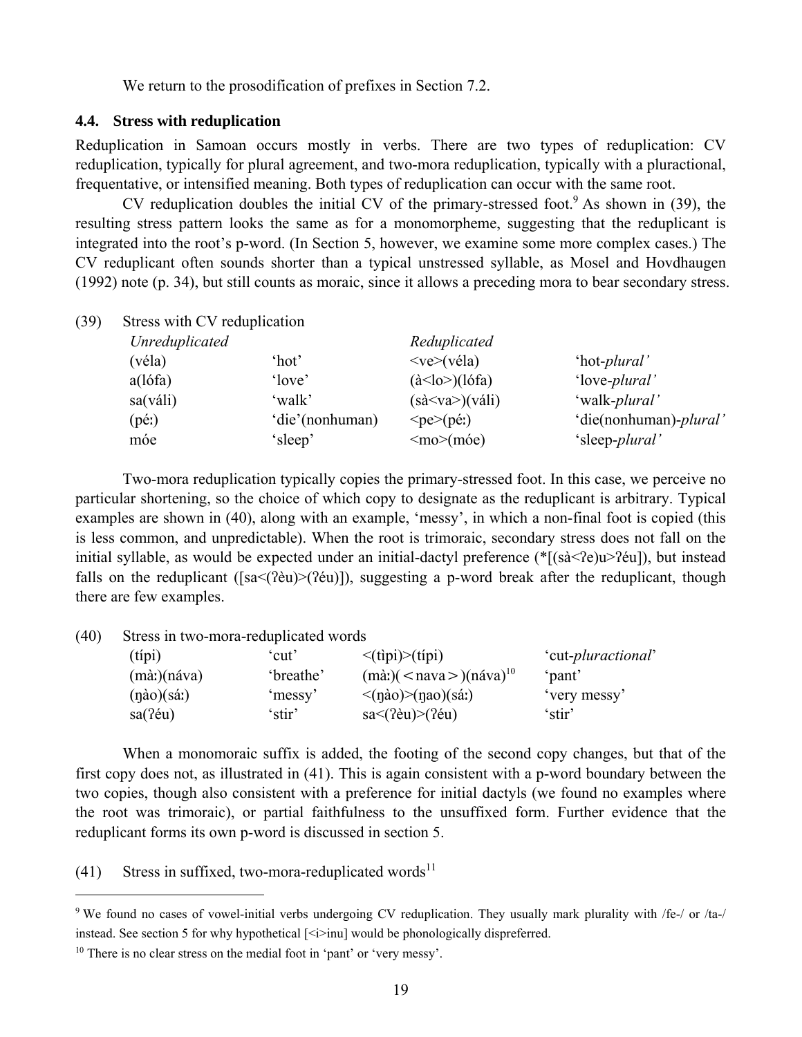We return to the prosodification of prefixes in Section 7.2.

#### **4.4. Stress with reduplication**

Reduplication in Samoan occurs mostly in verbs. There are two types of reduplication: CV reduplication, typically for plural agreement, and two-mora reduplication, typically with a pluractional, frequentative, or intensified meaning. Both types of reduplication can occur with the same root.

CV reduplication doubles the initial CV of the primary-stressed foot. As shown in  $(39)$ , the resulting stress pattern looks the same as for a monomorpheme, suggesting that the reduplicant is integrated into the root's p-word. (In Section 5, however, we examine some more complex cases.) The CV reduplicant often sounds shorter than a typical unstressed syllable, as Mosel and Hovdhaugen (1992) note (p. 34), but still counts as moraic, since it allows a preceding mora to bear secondary stress.

| Unreduplicated        |                 | Reduplicated                                  |                         |
|-----------------------|-----------------|-----------------------------------------------|-------------------------|
| (véla)                | 'hot'           | $<$ ve $>$ (véla)                             | 'hot- <i>plural</i> '   |
| $a$ (lófa)            | 'love'          | $(\dot{a}$ <lo><math>)(\dot{a}</math>fa)</lo> | 'love- <i>plural</i> '  |
| sa(váli)              | 'walk'          | $(s\grave{a} < v\grave{a} >)(v\acute{a}li)$   | 'walk- <i>plural</i> '  |
| $(p \leftrightarrow)$ | 'die'(nonhuman) | $\langle$ pe $\rangle$ (pé:)                  | 'die(nonhuman)-plural'  |
| móe                   | 'sleep'         | $\leq$ mo $\geq$ (móe)                        | 'sleep- <i>plural</i> ' |
|                       |                 | Stress with CV reduplication                  |                         |

 Two-mora reduplication typically copies the primary-stressed foot. In this case, we perceive no particular shortening, so the choice of which copy to designate as the reduplicant is arbitrary. Typical examples are shown in (40), along with an example, 'messy', in which a non-final foot is copied (this is less common, and unpredictable). When the root is trimoraic, secondary stress does not fall on the initial syllable, as would be expected under an initial-dactyl preference (\*[(sà<ʔe)u>ʔéu]), but instead falls on the reduplicant ([sa<(?eu)>(?eu)]), suggesting a p-word break after the reduplicant, though there are few examples.

(40) Stress in two-mora-reduplicated words

| $(t$ ipi $)$              | cut'      | $\langle$ (tipi) $\rangle$ (típi)                    | 'cut- <i>pluractional</i> ' |
|---------------------------|-----------|------------------------------------------------------|-----------------------------|
| $(m\dot{a})$ (náva)       | 'breathe' | $(m\alpha)$ $(<$ nava $>$ $)(n\alpha)$ <sup>10</sup> | `pant'                      |
| $(n\dot{a}o)(s\acute{a})$ | 'messy'   | $\langle$ (nào) $\rangle$ (nao)(sá:)                 | 'very messy'                |
| $sa(2\acute{e}u)$         | stir'     | $sa<$ (?èu) $>($ ?éu)                                | 'stir'                      |

 When a monomoraic suffix is added, the footing of the second copy changes, but that of the first copy does not, as illustrated in (41). This is again consistent with a p-word boundary between the two copies, though also consistent with a preference for initial dactyls (we found no examples where the root was trimoraic), or partial faithfulness to the unsuffixed form. Further evidence that the reduplicant forms its own p-word is discussed in section 5.

 $(41)$  Stress in suffixed, two-mora-reduplicated words<sup>11</sup>

<sup>&</sup>lt;sup>9</sup> We found no cases of vowel-initial verbs undergoing CV reduplication. They usually mark plurality with /fe-/ or /ta-/ instead. See section 5 for why hypothetical  $\leq i$  inul would be phonologically dispreferred.

<sup>&</sup>lt;sup>10</sup> There is no clear stress on the medial foot in 'pant' or 'very messy'.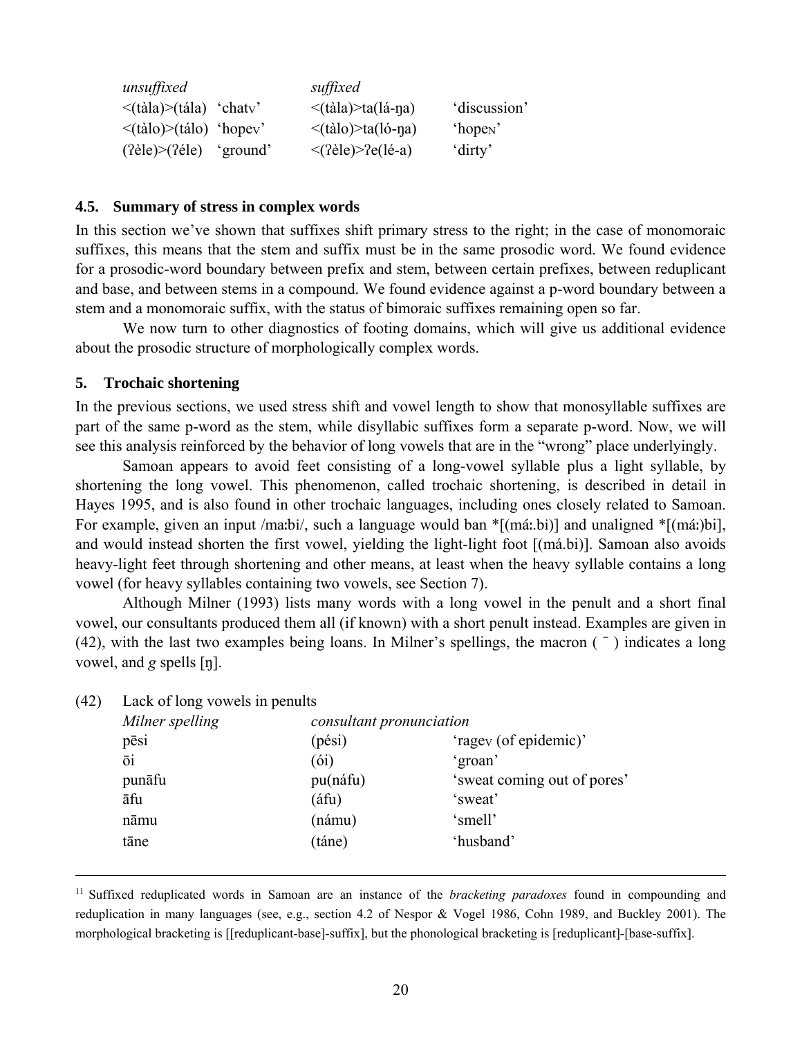| unsuffixed                      |          | suffixed                  |                      |
|---------------------------------|----------|---------------------------|----------------------|
| $\langle$ (tàla)>(tála) 'chaty' |          | $\leq$ (tàla)>ta(lá-na)   | 'discussion'         |
| $\langle$ (tàlo)>(tálo) 'hopev' |          | $\leq$ (tàlo)>ta(ló-na)   | 'hope <sub>N</sub> ' |
| $(2\text{èle})>(2\text{èle})$   | 'ground' | $\langle$ (?èle)>?e(lé-a) | 'dirty'              |

#### **4.5. Summary of stress in complex words**

In this section we've shown that suffixes shift primary stress to the right; in the case of monomoraic suffixes, this means that the stem and suffix must be in the same prosodic word. We found evidence for a prosodic-word boundary between prefix and stem, between certain prefixes, between reduplicant and base, and between stems in a compound. We found evidence against a p-word boundary between a stem and a monomoraic suffix, with the status of bimoraic suffixes remaining open so far.

 We now turn to other diagnostics of footing domains, which will give us additional evidence about the prosodic structure of morphologically complex words.

#### **5. Trochaic shortening**

In the previous sections, we used stress shift and vowel length to show that monosyllable suffixes are part of the same p-word as the stem, while disyllabic suffixes form a separate p-word. Now, we will see this analysis reinforced by the behavior of long vowels that are in the "wrong" place underlyingly.

 Samoan appears to avoid feet consisting of a long-vowel syllable plus a light syllable, by shortening the long vowel. This phenomenon, called trochaic shortening, is described in detail in Hayes 1995, and is also found in other trochaic languages, including ones closely related to Samoan. For example, given an input /maːbi/, such a language would ban \*[(máː.bi)] and unaligned \*[(máː)bi], and would instead shorten the first vowel, yielding the light-light foot [(má.bi)]. Samoan also avoids heavy-light feet through shortening and other means, at least when the heavy syllable contains a long vowel (for heavy syllables containing two vowels, see Section 7).

 Although Milner (1993) lists many words with a long vowel in the penult and a short final vowel, our consultants produced them all (if known) with a short penult instead. Examples are given in (42), with the last two examples being loans. In Milner's spellings, the macron  $($ <sup>-</sup> $)$  indicates a long vowel, and *g* spells [ŋ].

| (42) | Lack of long vowels in penults |                          |                             |  |  |  |
|------|--------------------------------|--------------------------|-----------------------------|--|--|--|
|      | Milner spelling                | consultant pronunciation |                             |  |  |  |
|      | pēsi                           | (pési)                   | 'ragev (of epidemic)'       |  |  |  |
|      | ōi                             | (6i)                     | 'groan'                     |  |  |  |
|      | punāfu                         | pu(náfu)                 | 'sweat coming out of pores' |  |  |  |
|      | āfu                            | (áfu)                    | 'sweat'                     |  |  |  |
|      | nāmu                           | (námu)                   | 'smell'                     |  |  |  |
|      | tāne                           | (táne)                   | 'husband'                   |  |  |  |
|      |                                |                          |                             |  |  |  |

(42) Lack of long vowels in penults

 11 Suffixed reduplicated words in Samoan are an instance of the *bracketing paradoxes* found in compounding and reduplication in many languages (see, e.g., section 4.2 of Nespor & Vogel 1986, Cohn 1989, and Buckley 2001). The morphological bracketing is [[reduplicant-base]-suffix], but the phonological bracketing is [reduplicant]-[base-suffix].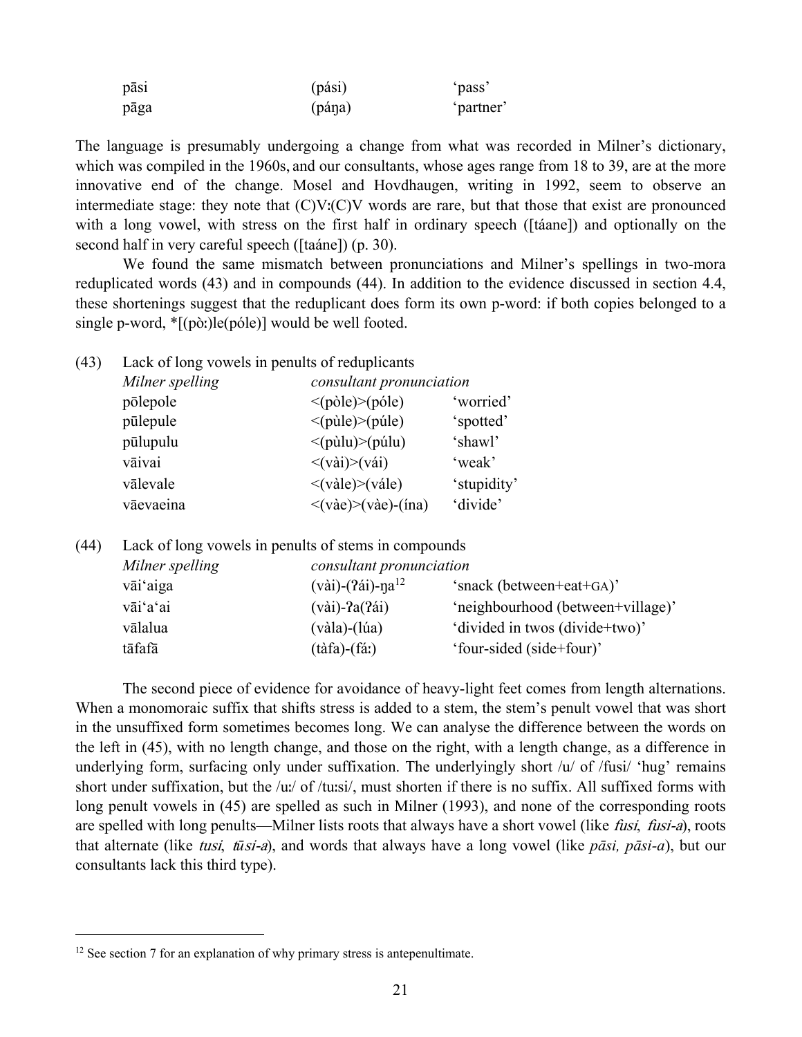| $-$<br>pasi | (pási) | `pass`    |  |  |
|-------------|--------|-----------|--|--|
| pāga        | (pána) | 'partner' |  |  |

The language is presumably undergoing a change from what was recorded in Milner's dictionary, which was compiled in the 1960s, and our consultants, whose ages range from 18 to 39, are at the more innovative end of the change. Mosel and Hovdhaugen, writing in 1992, seem to observe an intermediate stage: they note that (C)Vː(C)V words are rare, but that those that exist are pronounced with a long vowel, with stress on the first half in ordinary speech ([táane]) and optionally on the second half in very careful speech ([taáne]) (p. 30).

 We found the same mismatch between pronunciations and Milner's spellings in two-mora reduplicated words (43) and in compounds (44). In addition to the evidence discussed in section 4.4, these shortenings suggest that the reduplicant does form its own p-word: if both copies belonged to a single p-word, \*[(pòː)le(póle)] would be well footed.

| (43) | Lack of long vowels in penults of reduplicants |                                              |             |  |  |  |  |
|------|------------------------------------------------|----------------------------------------------|-------------|--|--|--|--|
|      | Milner spelling                                | consultant pronunciation                     |             |  |  |  |  |
|      | põlepole                                       | $\langle$ (pòle) $\rangle$ (póle)            | 'worried'   |  |  |  |  |
|      | pūlepule                                       | $\leq$ (pùle) $\geq$ (púle)                  | 'spotted'   |  |  |  |  |
|      | pūlupulu                                       | $\leq$ (pùlu) $\geq$ (púlu)                  | 'shawl'     |  |  |  |  |
|      | vāivai                                         | $\langle \text{v\`a}i \rangle \rangle$ (vái) | 'weak'      |  |  |  |  |
|      | vālevale                                       | $\langle$ (vàle) $\rangle$ (vále)            | 'stupidity' |  |  |  |  |
|      | vāevaeina                                      | $\langle$ (vàe)>(vàe)-(ína)                  | 'divide'    |  |  |  |  |

(44) Lack of long vowels in penults of stems in compounds

| Milner spelling | consultant pronunciation                            |                                   |
|-----------------|-----------------------------------------------------|-----------------------------------|
| vāi aiga        | $(v\grave{a}i)$ - $(2\acute{a}i)$ -na <sup>12</sup> | 'snack (between+eat+GA)'          |
| vāi'a'ai        | $(vai)$ -?a $(24i)$                                 | 'neighbourhood (between+village)' |
| vālalua         | $(v\grave{a}la)$ - $(l\acute{u}a)$                  | 'divided in twos (divide+two)'    |
| tāfafā          | $(t\hat{a}fa)$ - $(f\hat{a})$                       | 'four-sided (side+four)'          |
|                 |                                                     |                                   |

 The second piece of evidence for avoidance of heavy-light feet comes from length alternations. When a monomoraic suffix that shifts stress is added to a stem, the stem's penult vowel that was short in the unsuffixed form sometimes becomes long. We can analyse the difference between the words on the left in (45), with no length change, and those on the right, with a length change, as a difference in underlying form, surfacing only under suffixation. The underlyingly short  $\lambda u$  of /fusi/ 'hug' remains short under suffixation, but the /uː/ of /tuːsi/, must shorten if there is no suffix. All suffixed forms with long penult vowels in (45) are spelled as such in Milner (1993), and none of the corresponding roots are spelled with long penults—Milner lists roots that always have a short vowel (like *fusi, fusi-a*), roots that alternate (like tusi, t*ū*si-a), and words that always have a long vowel (like *pāsi, pāsi-a*), but our consultants lack this third type).

<sup>&</sup>lt;sup>12</sup> See section 7 for an explanation of why primary stress is antepenultimate.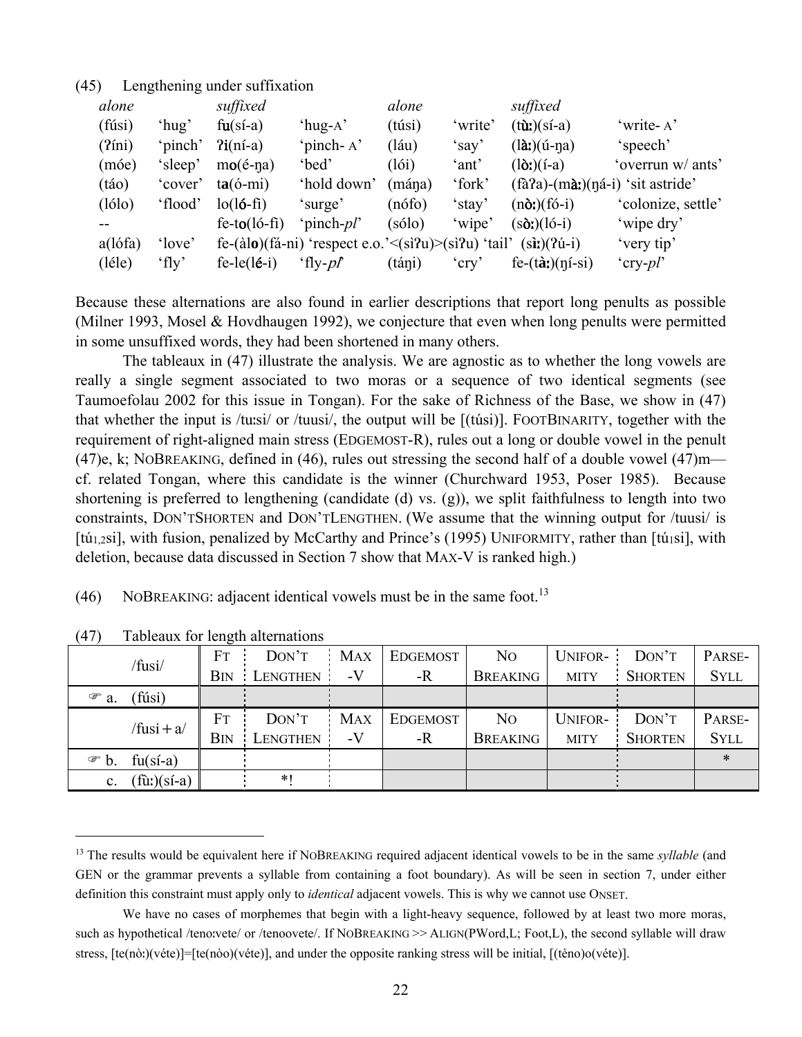### (45) Lengthening under suffixation

| alone      |         | suffixed              |                                                                                                          | alone           |          | suffixed                                                    |                    |
|------------|---------|-----------------------|----------------------------------------------------------------------------------------------------------|-----------------|----------|-------------------------------------------------------------|--------------------|
| (fúsi)     | 'hug'   | $fu(sí-a)$            | 'hug-A $'$                                                                                               | (túsi)          | 'write'  | $(t\mathbf{\hat{u}})(s\mathbf{i}-a)$                        | 'write-A'          |
| $(2$ íni)  | 'pinch' | $Pi(ní-a)$            | 'pinch-A'                                                                                                | $(l\acute{a}u)$ | 'say'    | $(l\hat{a})$ (ú-na)                                         | 'speech'           |
| (móe)      | 'sleep' | $mo($ é-na)           | 'bed'                                                                                                    | (l6i)           | 'ant'    | $(l\delta)$ (í-a)                                           | 'overrun w/ ants'  |
| (táo)      | 'cover' | $ta(6-mi)$            | 'hold down'                                                                                              | (mána)          | 'fork'   | $(f\hat{a}a)$ - $(m\hat{a})$ : $(n\hat{a}-i)$ 'sit astride' |                    |
| (lólo)     | 'flood' | $lo(l6-fi)$           | 'surge'                                                                                                  | $(n$ ófo)       | 'stay'   | $(n\delta)$ (fó-i)                                          | 'colonize, settle' |
|            |         | $fe-to(ló-fi)$        | 'pinch- <i>pl</i> '                                                                                      | (sólo)          | 'wipe'   | $(s\delta t)(16-i)$                                         | 'wipe dry'         |
| $a$ (lófa) | 'love'  |                       | fe- $(\text{alo})(\text{fa-ni})$ 'respect e.o.' $\leq$ (si $\text{Pu}$ ) $\geq$ (si $\text{Pu}$ ) 'tail' |                 |          | $(s\mathbf{i} \mathbf{i})$ $(2\mathbf{i} - \mathbf{i})$     | 'very tip'         |
| (léle)     | 'fly'   | $fe-le(l\acute{e}-i)$ | 'fly- $p$ f'                                                                                             | (táni)          | $'$ cry' | $fe-(\hat{a}t)(\eta i-si)$                                  | 'cry-pl'           |

Because these alternations are also found in earlier descriptions that report long penults as possible (Milner 1993, Mosel & Hovdhaugen 1992), we conjecture that even when long penults were permitted in some unsuffixed words, they had been shortened in many others.

 The tableaux in (47) illustrate the analysis. We are agnostic as to whether the long vowels are really a single segment associated to two moras or a sequence of two identical segments (see Taumoefolau 2002 for this issue in Tongan). For the sake of Richness of the Base, we show in (47) that whether the input is /tuːsi/ or /tuusi/, the output will be [(túsi)]. FOOTBINARITY, together with the requirement of right-aligned main stress (EDGEMOST-R), rules out a long or double vowel in the penult (47)e, k; NOBREAKING, defined in (46), rules out stressing the second half of a double vowel (47) $m$ cf. related Tongan, where this candidate is the winner (Churchward 1953, Poser 1985). Because shortening is preferred to lengthening (candidate (d) vs. (g)), we split faithfulness to length into two constraints, DON'TSHORTEN and DON'TLENGTHEN. (We assume that the winning output for /tuusi/ is [tú<sub>1,2</sub>si], with fusion, penalized by McCarthy and Prince's (1995) UNIFORMITY, rather than [tú<sub>1</sub>si], with deletion, because data discussed in Section 7 show that MAX-V is ranked high.)

|  | (46) NOBREAKING: adjacent identical vowels must be in the same foot. <sup>13</sup> |  |  |  |  |
|--|------------------------------------------------------------------------------------|--|--|--|--|
|  |                                                                                    |  |  |  |  |

|                   | $\tau$ , ,<br>I dolvada for folight differentiations |             |                 |                 |                 |                 |             |                |             |
|-------------------|------------------------------------------------------|-------------|-----------------|-----------------|-----------------|-----------------|-------------|----------------|-------------|
| /fusi/            | <b>FT</b>                                            | DON'T       | <b>MAX</b>      | <b>EDGEMOST</b> | N <sub>O</sub>  | UNIFOR-:        | DON'T       | PARSE-         |             |
|                   |                                                      | <b>B</b> IN | LENGTHEN        | -V              | -R              | <b>BREAKING</b> | <b>MITY</b> | <b>SHORTEN</b> | <b>SYLL</b> |
| $\mathcal{F}$ a.  | (fúsi)                                               |             |                 |                 |                 |                 |             |                |             |
| $/fusi + a/$      |                                                      | FT          | DON'T           | <b>MAX</b>      | <b>EDGEMOST</b> | N <sub>O</sub>  | UNIFOR-     | DON'T          | PARSE-      |
|                   |                                                      | Bin         | <b>LENGTHEN</b> | $-V$            | -R              | <b>BREAKING</b> | <b>MITY</b> | <b>SHORTEN</b> | <b>SYLL</b> |
| $\circledcirc$ b. | $fu(sí-a)$                                           |             |                 |                 |                 |                 |             |                | ∗           |
| c.                | $(f\hat{u}$ : $)(s\hat{i}$ -a)                       |             | $*1$            |                 |                 |                 |             |                |             |

(47) Tableaux for length alternations

<sup>13</sup> The results would be equivalent here if NOBREAKING required adjacent identical vowels to be in the same *syllable* (and GEN or the grammar prevents a syllable from containing a foot boundary). As will be seen in section 7, under either definition this constraint must apply only to *identical* adjacent vowels. This is why we cannot use ONSET.

We have no cases of morphemes that begin with a light-heavy sequence, followed by at least two more moras, such as hypothetical /teno:vete/ or /tenoovete/. If NOBREAKING >> ALIGN(PWord,L; Foot,L), the second syllable will draw stress,  $[te(n\delta:)(v\acute{e}te)]=[te(n\delta o)(v\acute{e}te)]$ , and under the opposite ranking stress will be initial,  $[(t\grave{e}no)o(v\acute{e}te)]$ .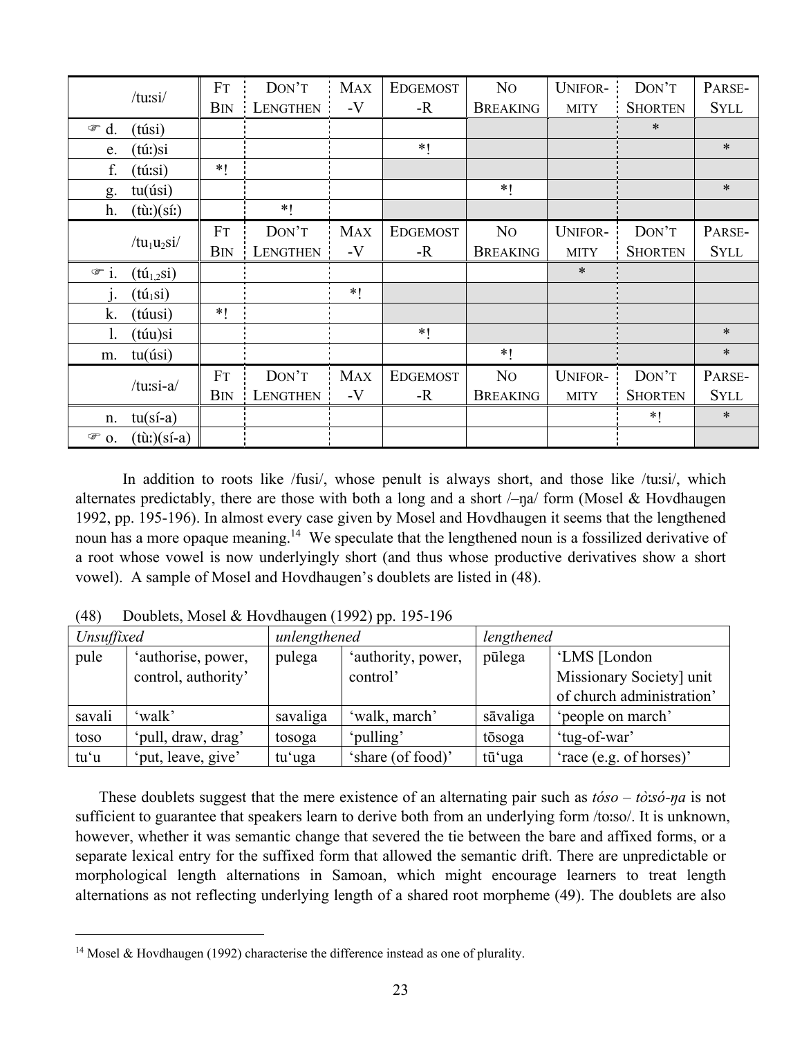|                      | /tursi/                                | FT          | DON'T           | <b>MAX</b> | <b>EDGEMOST</b> | N <sub>O</sub>  | <b>UNIFOR-</b> | DON'T          | PARSE-      |
|----------------------|----------------------------------------|-------------|-----------------|------------|-----------------|-----------------|----------------|----------------|-------------|
|                      |                                        | <b>B</b> IN | <b>LENGTHEN</b> | $-V$       | $-R$            | <b>BREAKING</b> | <b>MITY</b>    | <b>SHORTEN</b> | <b>SYLL</b> |
| $\circledcirc$<br>d. | (túsi)                                 |             |                 |            |                 |                 |                | $\ast$         |             |
| e.                   | (túː)si                                |             |                 |            | $*1$            |                 |                |                | $\ast$      |
| f.                   | (túːsi)                                | $*1$        |                 |            |                 |                 |                |                |             |
| g.                   | tu(isi)                                |             |                 |            |                 | $*1$            |                |                | $\ast$      |
| h.                   | $(t\hat{u}t)(s\hat{i}t)$               |             | $\ast$ (        |            |                 |                 |                |                |             |
|                      |                                        | FT          | DON'T           | <b>MAX</b> | <b>EDGEMOST</b> | N <sub>O</sub>  | <b>UNIFOR-</b> | DON'T          | PARSE-      |
|                      | $/tu_1u_2si/$                          | Bin         | <b>LENGTHEN</b> | $-V$       | -R              | <b>BREAKING</b> | <b>MITY</b>    | <b>SHORTEN</b> | <b>SYLL</b> |
| $\mathcal{F}$ i.     | $(t\acute{u}_{1,2}si)$                 |             |                 |            |                 |                 | $\ast$         |                |             |
| 1.                   | $(t \acute{\mathrm{u}}_1 \mathrm{si})$ |             |                 | $*1$       |                 |                 |                |                |             |
| k.                   | (túusi)                                | $*1$        |                 |            |                 |                 |                |                |             |
| 1.                   | (túu)si                                |             |                 |            | $*1$            |                 |                |                | $\ast$      |
| m.                   | tu(iisi)                               |             |                 |            |                 | $*1$            |                |                | $\ast$      |
|                      |                                        | <b>FT</b>   | DON'T           | <b>MAX</b> | <b>EDGEMOST</b> | N <sub>O</sub>  | <b>UNIFOR-</b> | DON'T          | PARSE-      |
|                      | /tu:si-a/                              | <b>B</b> IN | <b>LENGTHEN</b> | $-V$       | -R              | <b>BREAKING</b> | <b>MITY</b>    | <b>SHORTEN</b> | <b>SYLL</b> |
| n.                   | $tu(sí-a)$                             |             |                 |            |                 |                 |                | $*1$           | $\ast$      |
| $\mathcal{F}$ 0.     | $(t\ddot{u})(s\acute{i}-a)$            |             |                 |            |                 |                 |                |                |             |

 In addition to roots like /fusi/, whose penult is always short, and those like /tuːsi/, which alternates predictably, there are those with both a long and a short  $\ell$ –na/ form (Mosel & Hovdhaugen 1992, pp. 195-196). In almost every case given by Mosel and Hovdhaugen it seems that the lengthened noun has a more opaque meaning.<sup>14</sup> We speculate that the lengthened noun is a fossilized derivative of a root whose vowel is now underlyingly short (and thus whose productive derivatives show a short vowel). A sample of Mosel and Hovdhaugen's doublets are listed in (48).

| Unsuffixed |                     | unlengthened |                    | lengthened |                           |
|------------|---------------------|--------------|--------------------|------------|---------------------------|
| pule       | 'authorise, power,  | pulega       | 'authority, power, | pūlega     | 'LMS [London              |
|            | control, authority' |              | control'           |            | Missionary Society] unit  |
|            |                     |              |                    |            | of church administration' |
| savali     | 'walk'              | savaliga     | 'walk, march'      | sāvaliga   | 'people on march'         |
| toso       | 'pull, draw, drag'  | tosoga       | 'pulling'          | tōsoga     | 'tug-of-war'              |
| tu'u       | 'put, leave, give'  | tu'uga       | 'share (of food)'  | tūʻuga     | 'race (e.g. of horses)'   |

(48) Doublets, Mosel & Hovdhaugen (1992) pp. 195-196

These doublets suggest that the mere existence of an alternating pair such as *tóso* – *tò*ː*só-ŋa* is not sufficient to guarantee that speakers learn to derive both from an underlying form /toːso/. It is unknown, however, whether it was semantic change that severed the tie between the bare and affixed forms, or a separate lexical entry for the suffixed form that allowed the semantic drift. There are unpredictable or morphological length alternations in Samoan, which might encourage learners to treat length alternations as not reflecting underlying length of a shared root morpheme (49). The doublets are also

<sup>&</sup>lt;sup>14</sup> Mosel & Hovdhaugen (1992) characterise the difference instead as one of plurality.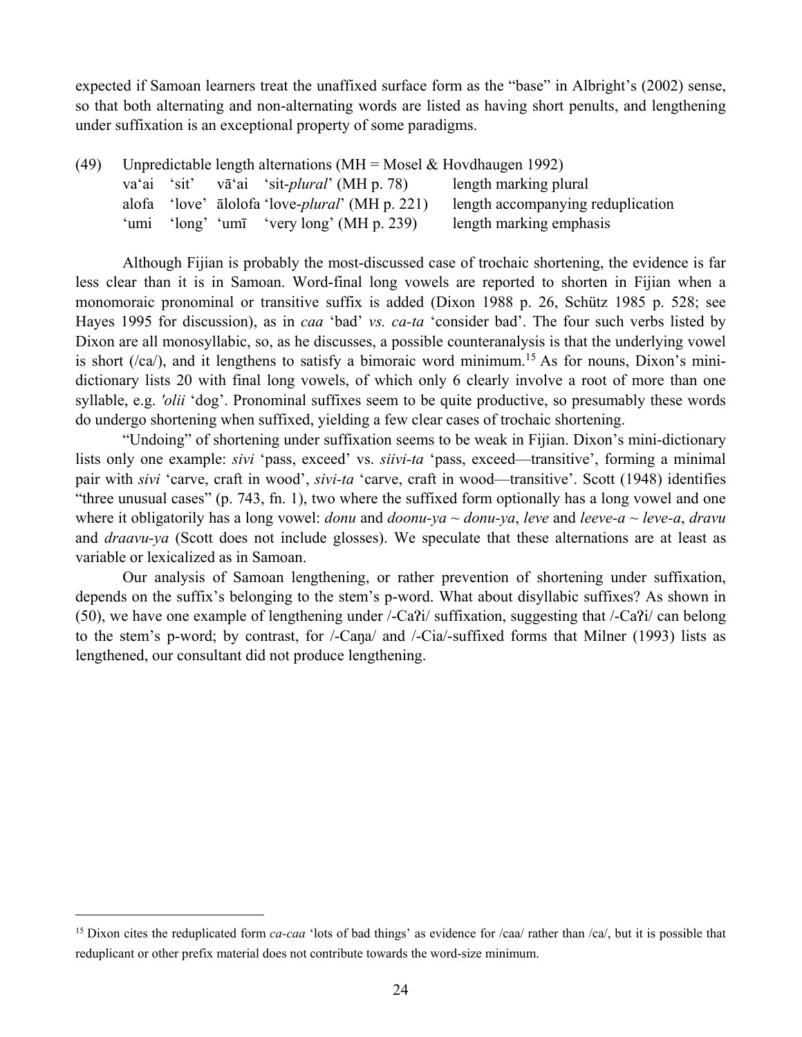expected if Samoan learners treat the unaffixed surface form as the "base" in Albright's (2002) sense, so that both alternating and non-alternating words are listed as having short penults, and lengthening under suffixation is an exceptional property of some paradigms.

| (49) | Unpredictable length alternations (MH = Mosel & Hovdhaugen 1992) |  |  |                                                         |                                   |  |
|------|------------------------------------------------------------------|--|--|---------------------------------------------------------|-----------------------------------|--|
|      |                                                                  |  |  | va'ai 'sit' vā'ai 'sit-plural' (MH p. 78)               | length marking plural             |  |
|      |                                                                  |  |  | alofa 'love' alolofa 'love- <i>plural</i> ' (MH p. 221) | length accompanying reduplication |  |
|      | `umı                                                             |  |  | 'long' 'umī 'very long' (MH p. 239)                     | length marking emphasis           |  |

 Although Fijian is probably the most-discussed case of trochaic shortening, the evidence is far less clear than it is in Samoan. Word-final long vowels are reported to shorten in Fijian when a monomoraic pronominal or transitive suffix is added (Dixon 1988 p. 26, Schütz 1985 p. 528; see Hayes 1995 for discussion), as in *caa* 'bad' *vs. ca-ta* 'consider bad'. The four such verbs listed by Dixon are all monosyllabic, so, as he discusses, a possible counteranalysis is that the underlying vowel is short ( $\ell$ ca $\ell$ ), and it lengthens to satisfy a bimoraic word minimum.<sup>15</sup> As for nouns, Dixon's minidictionary lists 20 with final long vowels, of which only 6 clearly involve a root of more than one syllable, e.g. *'olii* 'dog'. Pronominal suffixes seem to be quite productive, so presumably these words do undergo shortening when suffixed, yielding a few clear cases of trochaic shortening.

"Undoing" of shortening under suffixation seems to be weak in Fijian. Dixon's mini-dictionary lists only one example: *sivi* 'pass, exceed' vs. *siivi-ta* 'pass, exceed—transitive', forming a minimal pair with *sivi* 'carve, craft in wood', *sivi-ta* 'carve, craft in wood—transitive'. Scott (1948) identifies "three unusual cases" (p. 743, fn. 1), two where the suffixed form optionally has a long vowel and one where it obligatorily has a long vowel: *donu* and *doonu-ya*  $\sim$  *donu-ya*, *leve* and *leeve-a*  $\sim$  *leve-a*, *dravu* and *draavu-ya* (Scott does not include glosses). We speculate that these alternations are at least as variable or lexicalized as in Samoan.

 Our analysis of Samoan lengthening, or rather prevention of shortening under suffixation, depends on the suffix's belonging to the stem's p-word. What about disyllabic suffixes? As shown in (50), we have one example of lengthening under /-Ca?i/ suffixation, suggesting that /-Ca?i/ can belong to the stem's p-word; by contrast, for /-Caŋa/ and /-Cia/-suffixed forms that Milner (1993) lists as lengthened, our consultant did not produce lengthening.

<sup>&</sup>lt;sup>15</sup> Dixon cites the reduplicated form *ca-caa* 'lots of bad things' as evidence for /caa/ rather than /ca/, but it is possible that reduplicant or other prefix material does not contribute towards the word-size minimum.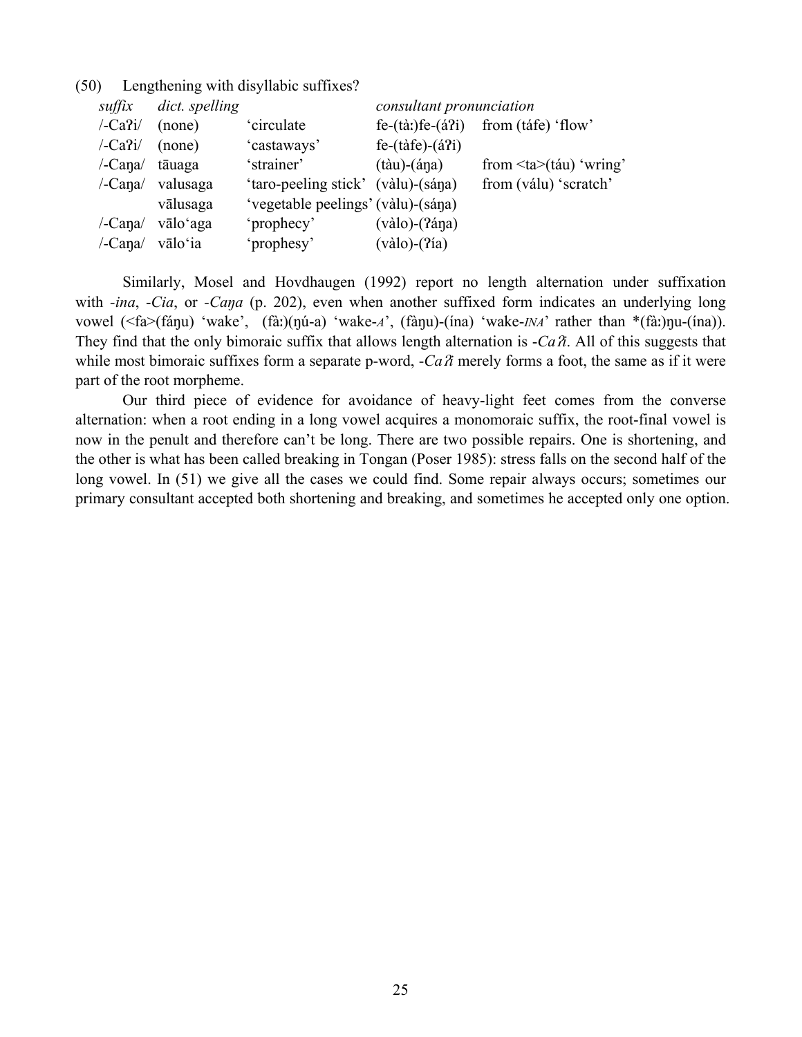| suffix          | dict. spelling |                                    | consultant pronunciation          |                                         |
|-----------------|----------------|------------------------------------|-----------------------------------|-----------------------------------------|
| $-Ca$ ?i/       | (none)         | 'circulate                         | $fe-(\hat{a})fe-(\hat{a}2i)$      | from (táfe) 'flow'                      |
| $\sqrt{-Ca^2i}$ | (none)         | 'castaways'                        | $fe-(t\)-(\acute{a}7i)$           |                                         |
| /-Cana/         | tāuaga         | 'strainer'                         | $(t\dot{a}u)$ - $(\dot{a}\eta a)$ | from $\langle ta \rangle$ (táu) 'wring' |
| /-Cana/         | valusaga       | 'taro-peeling stick' (vàlu)-(sána) |                                   | from (válu) 'scratch'                   |
|                 | vālusaga       | 'vegetable peelings' (vàlu)-(sána) |                                   |                                         |
| /-Cana/         | vālo'aga       | 'prophecy'                         | $(vàlo)$ - $(2ána)$               |                                         |
| /-Cana/         | vālo'ia        | 'prophesy'                         | $(vàlo)-(?ia)$                    |                                         |

(50) Lengthening with disyllabic suffixes?

 Similarly, Mosel and Hovdhaugen (1992) report no length alternation under suffixation with *-ina*, *-Cia*, or *-Cana* (p. 202), even when another suffixed form indicates an underlying long vowel (<fa>(fáŋu) 'wake', (fàː)(ŋú-a) 'wake-*A*', (fàŋu)-(ína) 'wake-*INA*' rather than \*(fàː)ŋu-(ína)). They find that the only bimoraic suffix that allows length alternation is -*Ca*ʔ*i*. All of this suggests that while most bimoraic suffixes form a separate p-word,  $-ca\lambda$  merely forms a foot, the same as if it were part of the root morpheme.

 Our third piece of evidence for avoidance of heavy-light feet comes from the converse alternation: when a root ending in a long vowel acquires a monomoraic suffix, the root-final vowel is now in the penult and therefore can't be long. There are two possible repairs. One is shortening, and the other is what has been called breaking in Tongan (Poser 1985): stress falls on the second half of the long vowel. In (51) we give all the cases we could find. Some repair always occurs; sometimes our primary consultant accepted both shortening and breaking, and sometimes he accepted only one option.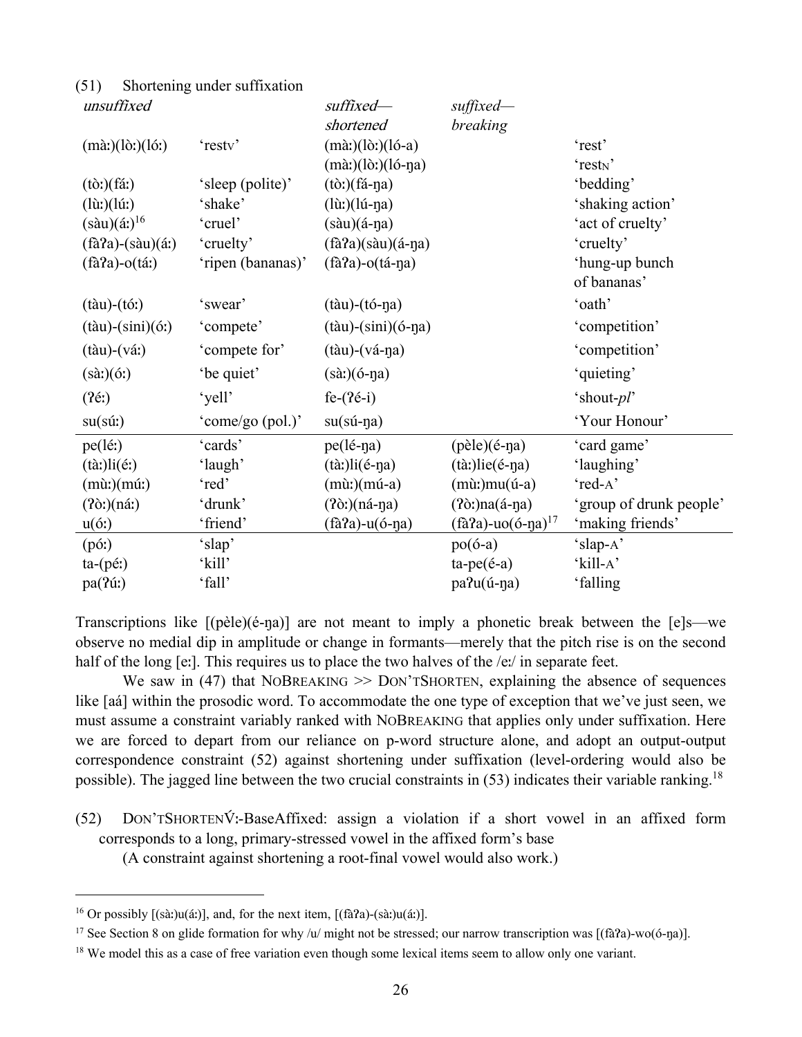| unsuffixed                                |                   | suffixed-                                    | suffixed-                                   |                         |
|-------------------------------------------|-------------------|----------------------------------------------|---------------------------------------------|-------------------------|
|                                           |                   | shortened                                    | breaking                                    |                         |
| $(m\`{a}$ : $)(l\`{o}$ : $)(l\`{o}$ : $)$ | 'resty'           | $(m\grave{a})(l\grave{o})(l\acute{o}-a)$     |                                             | 'rest'                  |
|                                           |                   | $(m\grave{a})$ (lò:)(ló-ŋa)                  |                                             | 'rest <sub>N</sub> '    |
| $(t\delta t)(f\acute{a}t)$                | 'sleep (polite)'  | $(t\delta)$ $(f\acute{a}$ -na)               |                                             | 'bedding'               |
| $(l\hat{u}t)(l\hat{u}t)$                  | 'shake'           | $(l\mathbf{\hat{u}})(l\mathbf{\hat{u}}$ -na) |                                             | 'shaking action'        |
| $(s\grave{a}u)(\acute{a}t)^{16}$          | 'cruel'           | $(s\grave{a}u)(\acute{a}$ -na)               |                                             | 'act of cruelty'        |
| $(f\hat{a}a)$ - $(s\hat{a}u)(\hat{a})$    | 'cruelty'         | $(fàPa)(sàu)(á-pa)$                          |                                             | 'cruelty'               |
| $(f\hat{a}a)-o(f\hat{a})$                 | 'ripen (bananas)' | $(fà a) - o(fá - na)$                        |                                             | 'hung-up bunch          |
|                                           |                   |                                              |                                             | of bananas'             |
| $(t\grave{a}u)$ - $(t\acute{o}:$          | 'swear'           | $(t\hat{a}u)$ - $(t\hat{o}$ -ŋa)             |                                             | 'oath'                  |
| $(t\text{àu})-(\sin i)(6t)$               | 'compete'         | $(t\grave{a}u)$ - $(sini)(\acute{o}$ -ŋa)    |                                             | 'competition'           |
| $(t\hat{a}u)$ - $(v\hat{a})$              | 'compete for'     | $(t\grave{a}u)$ - $(v\acute{a}$ -na)         |                                             | 'competition'           |
| $(s\grave{a}$ : $)(\acute{o}$ : $)$       | 'be quiet'        | $(sà!)$ $(6-na)$                             |                                             | 'quieting'              |
| (2é!)                                     | 'yell'            | $fe-(2e-i)$                                  |                                             | 'shout-pl'              |
| $su(s\acute{u}t)$                         | 'come/go (pol.)'  | $su(sú-na)$                                  |                                             | 'Your Honour'           |
| $pe(l\acute{e}t)$                         | 'cards'           | pe(lé-ŋa)                                    | $(p\grave{e}$ le $)(\acute{e}$ -na $)$      | 'card game'             |
| $(t\grave{a})$ li $(\acute{e})$           | 'laugh'           | $(t\grave{a})$ li $(\acute{e}$ -ŋa)          | $(tà!)$ lie(é-ŋa)                           | 'laughing'              |
| $(m\mathbf{\hat{u}})(m\mathbf{\hat{u}})$  | 'red'             | $(m\mathbf{\hat{u}})(m\mathbf{\hat{u}})$ -a) | $(m\mathbf{\hat{u}})mu(\mathbf{\hat{u}}-a)$ | 'red-A'                 |
| $(2\delta)$ (ná:)                         | 'drunk'           | $(2\delta)$ (ná-na)                          | $(2\delta)$ na $(\acute{a}$ -na)            | 'group of drunk people' |
| u(6)                                      | 'friend'          | $(fàa) - u(ó-na)$                            | (fà?a)-uo(ó-ŋa) <sup>17</sup>               | 'making friends'        |
| $(p\acute{o}:$                            | 'slap'            |                                              | $po(6-a)$                                   | 'slap-A'                |
| $ta-(p\acute{e}t)$                        | 'kill'            |                                              | $ta-pe(é-a)$                                | 'kill-A'                |
| pa(?ú:)                                   | 'fall'            |                                              | pa?u(ú-ŋa)                                  | 'falling                |

Transcriptions like [(pèle)(é-ŋa)] are not meant to imply a phonetic break between the [e]s—we observe no medial dip in amplitude or change in formants—merely that the pitch rise is on the second half of the long [eː]. This requires us to place the two halves of the /eː/ in separate feet.

We saw in  $(47)$  that NOBREAKING  $\geq$  DON'TSHORTEN, explaining the absence of sequences like [aá] within the prosodic word. To accommodate the one type of exception that we've just seen, we must assume a constraint variably ranked with NOBREAKING that applies only under suffixation. Here we are forced to depart from our reliance on p-word structure alone, and adopt an output-output correspondence constraint (52) against shortening under suffixation (level-ordering would also be possible). The jagged line between the two crucial constraints in  $(53)$  indicates their variable ranking.<sup>18</sup>

(52) DON'TSHORTENV́ ː-BaseAffixed: assign a violation if a short vowel in an affixed form corresponds to a long, primary-stressed vowel in the affixed form's base

(A constraint against shortening a root-final vowel would also work.)

 $\overline{a}$ 

(51) Shortening under suffixation

<sup>&</sup>lt;sup>16</sup> Or possibly  $[(s\text{à:})\text{u}(\text{á:})]$ , and, for the next item,  $[(f\text{à?a})-(s\text{à:})\text{u}(\text{á:})]$ .

<sup>&</sup>lt;sup>17</sup> See Section 8 on glide formation for why /u/ might not be stressed; our narrow transcription was [(fà $2a$ )-wo(ó-ŋa)].

<sup>&</sup>lt;sup>18</sup> We model this as a case of free variation even though some lexical items seem to allow only one variant.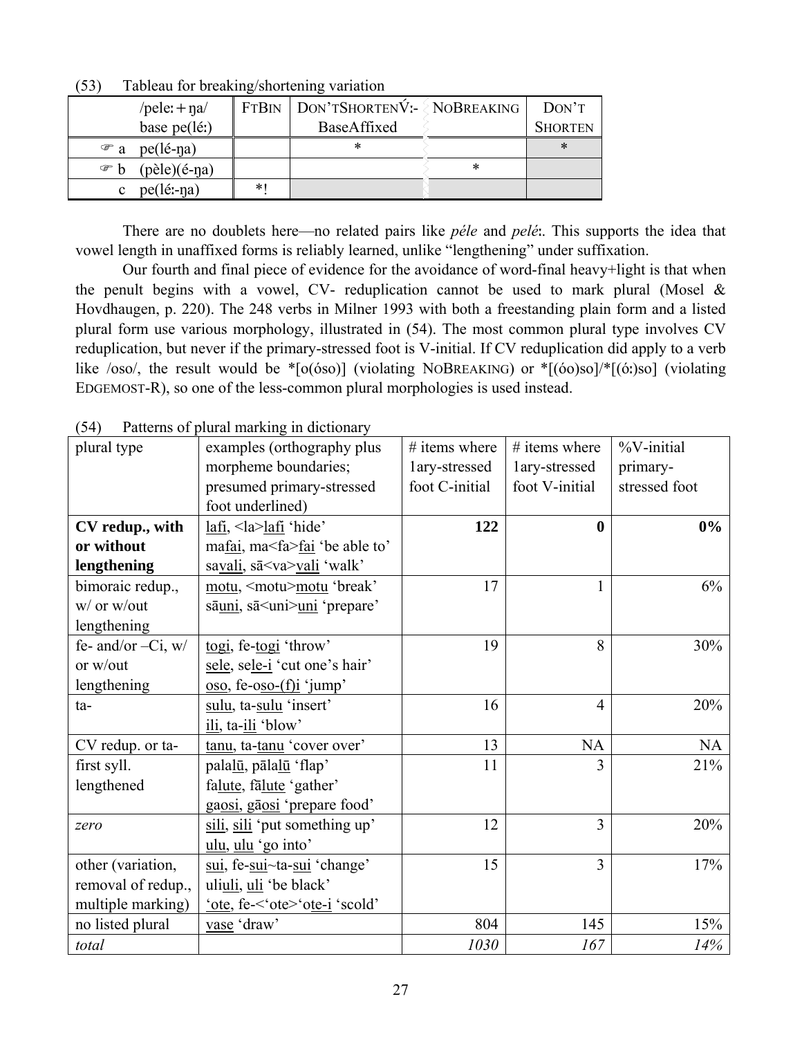|                                | . . |                                       |   |                |
|--------------------------------|-----|---------------------------------------|---|----------------|
| /pele: $+$ na/                 |     | $FTBN   DON'TSHORTENV:- \$ NOBREAKING |   | DON'T          |
| base pe(lé:)                   |     | BaseAffixed                           |   | <b>SHORTEN</b> |
| $pe(lé-na)$<br>$\mathcal{F}$ a |     | ∗                                     |   | ∗              |
| (pèle)(é-na)<br>া ক            |     |                                       | ∗ |                |
| pe(lé:-na)                     | *   |                                       |   |                |

(53) Tableau for breaking/shortening variation

 There are no doublets here—no related pairs like *péle* and *pelé*ː. This supports the idea that vowel length in unaffixed forms is reliably learned, unlike "lengthening" under suffixation.

 Our fourth and final piece of evidence for the avoidance of word-final heavy+light is that when the penult begins with a vowel, CV- reduplication cannot be used to mark plural (Mosel  $\&$ Hovdhaugen, p. 220). The 248 verbs in Milner 1993 with both a freestanding plain form and a listed plural form use various morphology, illustrated in (54). The most common plural type involves CV reduplication, but never if the primary-stressed foot is V-initial. If CV reduplication did apply to a verb like /oso/, the result would be \*[o(óso)] (violating NOBREAKING) or \*[(óo)so]/\*[(óː)so] (violating EDGEMOST-R), so one of the less-common plural morphologies is used instead.

|                       | I alterno of praiar marking in dictionary |                 |                  |                |
|-----------------------|-------------------------------------------|-----------------|------------------|----------------|
| plural type           | examples (orthography plus                | $#$ items where | $#$ items where  | $\%$ V-initial |
|                       | morpheme boundaries;                      | lary-stressed   | lary-stressed    | primary-       |
|                       | presumed primary-stressed                 | foot C-initial  | foot V-initial   | stressed foot  |
|                       | foot underlined)                          |                 |                  |                |
| CV redup., with       | $lafi$ , $\langle$ la $>$ lafi 'hide'     | 122             | $\boldsymbol{0}$ | $0\%$          |
| or without            | mafai, ma <fa>fai 'be able to'</fa>       |                 |                  |                |
| lengthening           | savali, sā <va>vali 'walk'</va>           |                 |                  |                |
| bimoraic redup.,      | motu, <motu>motu 'break'</motu>           | 17              | $\mathbf{1}$     | 6%             |
| w/ or w/out           | sāuni, sā <uni>uni 'prepare'</uni>        |                 |                  |                |
| lengthening           |                                           |                 |                  |                |
| fe- and/or $-Ci$ , w/ | togi, fe-togi 'throw'                     | 19              | 8                | 30%            |
| or w/out              | sele, sele-i 'cut one's hair'             |                 |                  |                |
| lengthening           | $\cos$ , fe-oso-(f)i 'jump'               |                 |                  |                |
| ta-                   | sulu, ta-sulu 'insert'                    | 16              | $\overline{4}$   | 20%            |
|                       | ili, ta-ili 'blow'                        |                 |                  |                |
| CV redup. or ta-      | tanu, ta-tanu 'cover over'                | 13              | <b>NA</b>        | <b>NA</b>      |
| first syll.           | palalū, pālalū 'flap'                     | 11              | 3                | 21%            |
| lengthened            | falute, falute 'gather'                   |                 |                  |                |
|                       | gaosi, gāosi 'prepare food'               |                 |                  |                |
| zero                  | sili, sili 'put something up'             | 12              | $\overline{3}$   | 20%            |
|                       | ulu, ulu 'go into'                        |                 |                  |                |
| other (variation,     | sui, fe-sui~ta-sui 'change'               | 15              | $\overline{3}$   | 17%            |
| removal of redup.,    | uliuli, uli 'be black'                    |                 |                  |                |
| multiple marking)     | 'ote, fe-<'ote>'ote-i 'scold'             |                 |                  |                |
| no listed plural      | vase 'draw'                               | 804             | 145              | 15%            |
| total                 |                                           | 1030            | 167              | 14%            |

(54) Patterns of plural marking in dictionary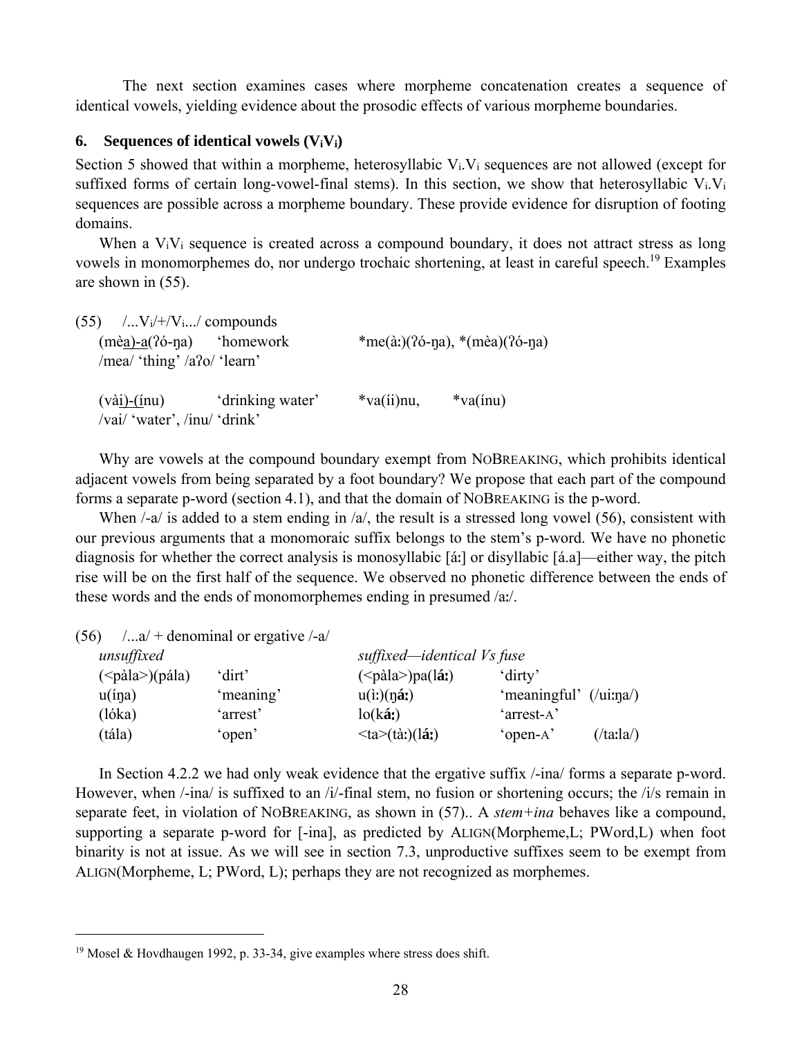The next section examines cases where morpheme concatenation creates a sequence of identical vowels, yielding evidence about the prosodic effects of various morpheme boundaries.

#### **6.** Sequences of identical vowels  $(V_iV_i)$

Section 5 showed that within a morpheme, heterosyllabic V<sub>i</sub>.V<sub>i</sub> sequences are not allowed (except for suffixed forms of certain long-vowel-final stems). In this section, we show that heterosyllabic V<sub>i</sub>.V<sub>i</sub> sequences are possible across a morpheme boundary. These provide evidence for disruption of footing domains.

When a V<sub>i</sub>V<sub>i</sub> sequence is created across a compound boundary, it does not attract stress as long vowels in monomorphemes do, nor undergo trochaic shortening, at least in careful speech.19 Examples are shown in (55).

| $(55)$ /V <sub>i</sub> /+/V <sub>i</sub> / compounds |                                                |                  |                               |  |
|------------------------------------------------------|------------------------------------------------|------------------|-------------------------------|--|
| $(mèa) - a(76-na)$ 'homework                         |                                                |                  | *me(à:)(?ó-na), *(mèa)(?ó-na) |  |
| /mea/ 'thing' /a?o/ 'learn'                          |                                                |                  |                               |  |
| /vai/ 'water', /inu/ 'drink'                         | $(v\dot{a})$ - $(i\text{nu})$ 'drinking water' | $*$ va $(i)$ nu, | $*va(inu)$                    |  |

 Why are vowels at the compound boundary exempt from NOBREAKING, which prohibits identical adjacent vowels from being separated by a foot boundary? We propose that each part of the compound forms a separate p-word (section 4.1), and that the domain of NOBREAKING is the p-word.

When  $/$ -a $/$  is added to a stem ending in  $/a/$ , the result is a stressed long vowel (56), consistent with our previous arguments that a monomoraic suffix belongs to the stem's p-word. We have no phonetic diagnosis for whether the correct analysis is monosyllabic [áː] or disyllabic [á.a]—either way, the pitch rise will be on the first half of the sequence. We observed no phonetic difference between the ends of these words and the ends of monomorphemes ending in presumed /aː/.

 $(56)$  /...a/ + denominal or ergative /-a/

 $\overline{a}$ 

| 'dirt'    | $(\leq$ pàla>)pa(láː)           | 'dirty'                      |                                 |
|-----------|---------------------------------|------------------------------|---------------------------------|
| 'meaning' | $u(i)$ (nái)                    | 'meaningful' $(lu$ ina $l$ ) |                                 |
| 'arrest'  | $\log(ka)$                      | 'arrest-A'                   |                                 |
| 'open'    | $\langle ta \rangle$ (tà:)(lá:) | 'open-A'                     | $(\frac{\text{tau}}{\text{a}})$ |
|           |                                 |                              | suffixed—identical Vs fuse      |

 In Section 4.2.2 we had only weak evidence that the ergative suffix /-ina/ forms a separate p-word. However, when  $\ell$ -ina/ is suffixed to an /i/-final stem, no fusion or shortening occurs; the /i/s remain in separate feet, in violation of NOBREAKING, as shown in (57).. A *stem+ina* behaves like a compound, supporting a separate p-word for [-ina], as predicted by ALIGN(Morpheme,L; PWord,L) when foot binarity is not at issue. As we will see in section 7.3, unproductive suffixes seem to be exempt from ALIGN(Morpheme, L; PWord, L); perhaps they are not recognized as morphemes.

<sup>19</sup> Mosel & Hovdhaugen 1992, p. 33-34, give examples where stress does shift.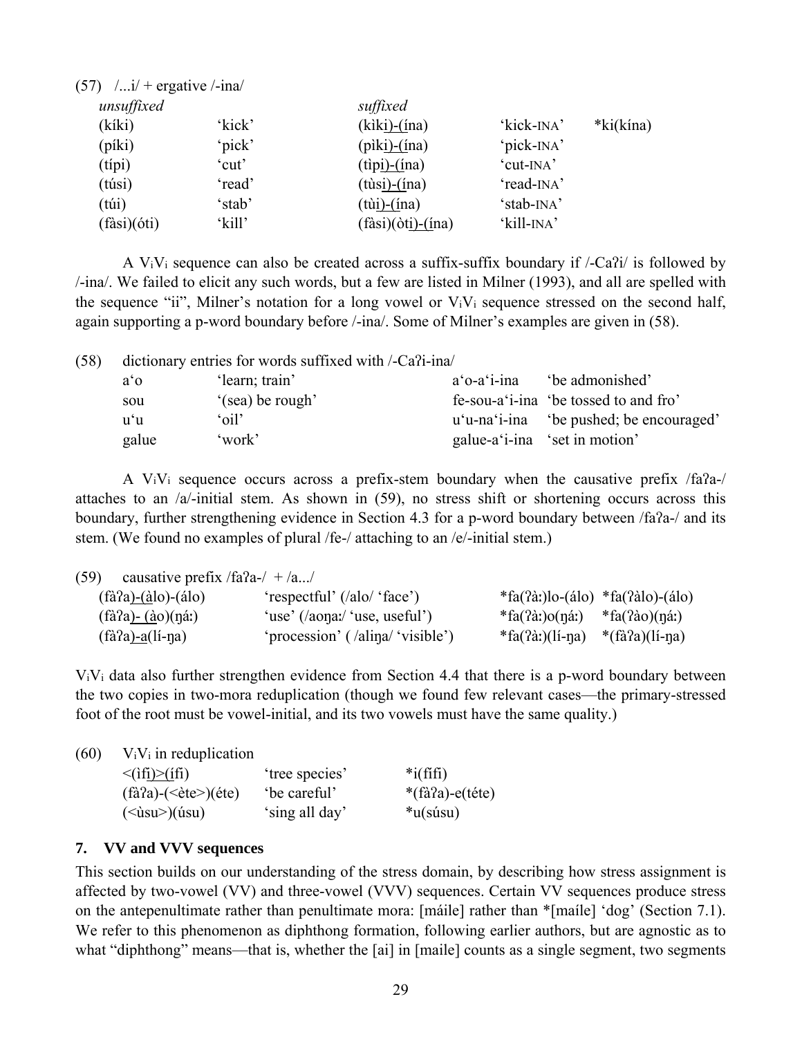| $(57)$ $/$ i/ + ergative $/$ -ina/ |        |                                  |                         |           |
|------------------------------------|--------|----------------------------------|-------------------------|-----------|
| unsuffixed                         |        | suffixed                         |                         |           |
| (kíki)                             | 'kick' | $(kik)$ - $(ina)$                | 'kick- <sub>INA</sub> ' | *ki(kína) |
| (píki)                             | 'pick' | $(\text{piki})$ - $(\text{ina})$ | 'pick-INA'              |           |
| (típi)                             | 'cut'  | $(t$ ip <u>i)-(í</u> na)         | 'cut-INA'               |           |
| (túsi)                             | 'read' | $(t$ ùsi)- $(ina)$               | 'read-INA'              |           |
| (túi)                              | 'stab' | $(t)$ <u>i)-(í</u> na)           | 'stab-INA'              |           |
| (fàsi)(óti)                        | 'kill' | $(fàsi)(òti) - (ina)$            | 'kill-INA'              |           |

A V<sub>i</sub>V<sub>i</sub> sequence can also be created across a suffix-suffix boundary if  $\ell$ -Ca $\hat{i}$  $i$  is followed by /-ina/. We failed to elicit any such words, but a few are listed in Milner (1993), and all are spelled with the sequence "ii", Milner's notation for a long vowel or ViVi sequence stressed on the second half, again supporting a p-word boundary before /-ina/. Some of Milner's examples are given in (58).

| (58) |       | dictionary entries for words suffixed with /-Ca?i-ina/ |                |                                         |
|------|-------|--------------------------------------------------------|----------------|-----------------------------------------|
|      | a'    | 'learn; train'                                         | $a'$ o-a'i-ina | be admonished'                          |
|      | sou   | '(sea) be rough'                                       |                | fe-sou-a 'i-ina 'be tossed to and fro'  |
|      | u'u   | 'oil'                                                  |                | u'u-na'i-ina 'be pushed; be encouraged' |
|      | galue | 'work'                                                 |                | galue-a'i-ina 'set in motion'           |

 A ViVi sequence occurs across a prefix-stem boundary when the causative prefix /faʔa-/ attaches to an /a/-initial stem. As shown in (59), no stress shift or shortening occurs across this boundary, further strengthening evidence in Section 4.3 for a p-word boundary between /faʔa-/ and its stem. (We found no examples of plural /fe-/ attaching to an /e/-initial stem.)

| (59)<br>causative prefix /fa?a-/ $+$ /a/ |                                  |                                               |                    |
|------------------------------------------|----------------------------------|-----------------------------------------------|--------------------|
| $(fà?a)-(àlo)-(álo)$                     | 'respectful' (/alo/ 'face')      | $*fa(2\alpha)$ lo-(álo) $*fa(2\alpha)$ -(álo) |                    |
| $(f\hat{a}$ ?a) - $(\hat{a}o)(n\hat{a})$ | 'use' $($ /aona:/ 'use, useful') | $*fa(2\alpha) o(n\alpha)$                     | $*$ fa(?ào)(ŋáː)   |
| $(fà?a)$ -a(lí-na)                       | 'procession' (/alina/ 'visible') | $*fa(?a!)$ (lí-na)                            | $*(fà?a)(l'_1-na)$ |

ViVi data also further strengthen evidence from Section 4.4 that there is a p-word boundary between the two copies in two-mora reduplication (though we found few relevant cases—the primary-stressed foot of the root must be vowel-initial, and its two vowels must have the same quality.)

| (60) | $V_iV_i$ in reduplication                              |                |                              |
|------|--------------------------------------------------------|----------------|------------------------------|
|      | $\langle$ if <u>i)&gt;(ifi</u> )                       | 'tree species' | $*$ i(fifi)                  |
|      | $(f\hat{a}a) - (\langle \hat{e}te \rangle)(\hat{e}te)$ | be careful'    | $*(\hat{a}a) - e(\hat{b}te)$ |
|      | ( <i>u</i> su <sup>&gt;)(<i>u</i>su)</sup>             | 'sing all day' | $*u$ (súsu)                  |

# **7. VV and VVV sequences**

This section builds on our understanding of the stress domain, by describing how stress assignment is affected by two-vowel (VV) and three-vowel (VVV) sequences. Certain VV sequences produce stress on the antepenultimate rather than penultimate mora: [máile] rather than \*[maíle] 'dog' (Section 7.1). We refer to this phenomenon as diphthong formation, following earlier authors, but are agnostic as to what "diphthong" means—that is, whether the [ai] in [maile] counts as a single segment, two segments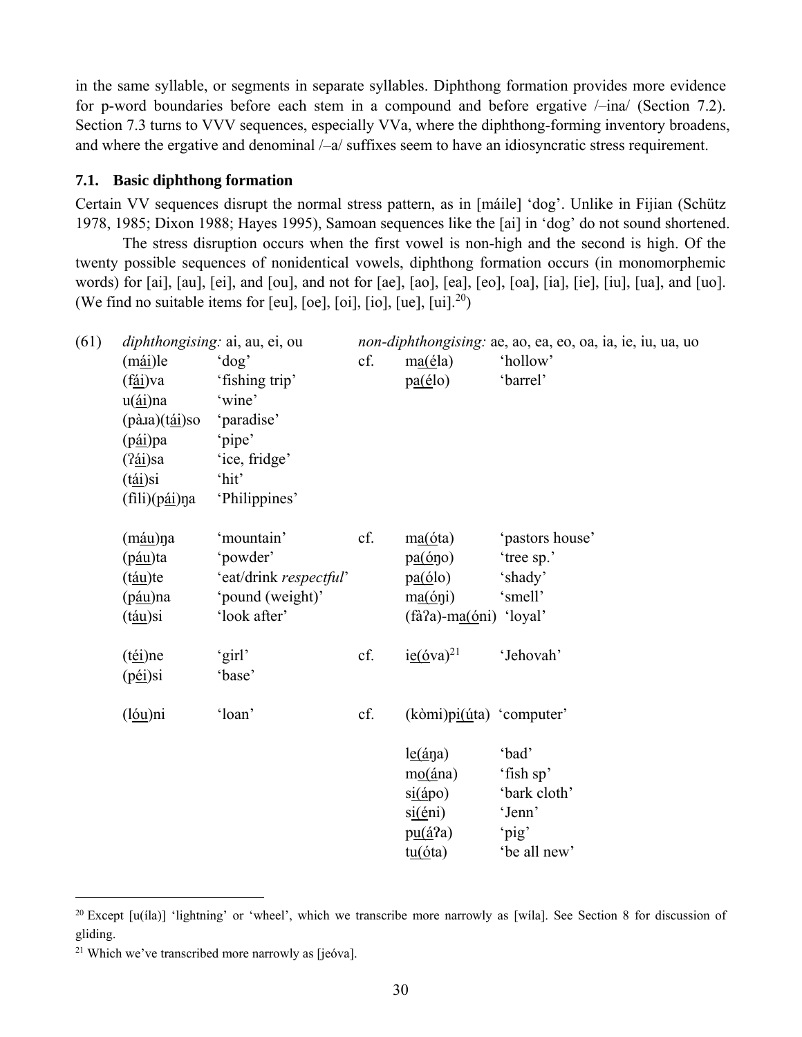in the same syllable, or segments in separate syllables. Diphthong formation provides more evidence for p-word boundaries before each stem in a compound and before ergative /–ina/ (Section 7.2). Section 7.3 turns to VVV sequences, especially VVa, where the diphthong-forming inventory broadens, and where the ergative and denominal /–a/ suffixes seem to have an idiosyncratic stress requirement.

#### **7.1. Basic diphthong formation**

Certain VV sequences disrupt the normal stress pattern, as in [máile] 'dog'. Unlike in Fijian (Schütz 1978, 1985; Dixon 1988; Hayes 1995), Samoan sequences like the [ai] in 'dog' do not sound shortened.

 The stress disruption occurs when the first vowel is non-high and the second is high. Of the twenty possible sequences of nonidentical vowels, diphthong formation occurs (in monomorphemic words) for [ai], [au], [ei], and [ou], and not for [ae], [ao], [ea], [eo], [oa], [ia], [ie], [iu], [ua], and [uo]. (We find no suitable items for [eu], [oe], [oi], [io], [ue],  $[ui].^{20}$ )

| (61) |                                      | <i>diphthongising: ai, au, ei, ou</i> |     |                                                    | <i>non-diphthongising: ae, ao, ea, eo, oa, ia, ie, iu, ua, uo</i> |
|------|--------------------------------------|---------------------------------------|-----|----------------------------------------------------|-------------------------------------------------------------------|
|      | $(mái)$ le                           | $'$ dog'                              | cf. | ma(éla)                                            | 'hollow'                                                          |
|      | (f <u>ái</u> )va                     | 'fishing trip'                        |     | $pa(\acute{e}lo)$                                  | 'barrel'                                                          |
|      | $u(\underline{\text{ai}})$ na        | 'wine'                                |     |                                                    |                                                                   |
|      | (pà.ia)(tái)so                       | 'paradise'                            |     |                                                    |                                                                   |
|      | (p <u>ái</u> )pa                     | 'pipe'                                |     |                                                    |                                                                   |
|      | (? <u>ái</u> )sa                     | 'ice, fridge'                         |     |                                                    |                                                                   |
|      | (t <u>ái</u> )si                     | 'hit'                                 |     |                                                    |                                                                   |
|      | (fili)(pái)na                        | 'Philippines'                         |     |                                                    |                                                                   |
|      |                                      | 'mountain'                            | cf. | ma(óta)                                            | 'pastors house'                                                   |
|      | (m <u>áu</u> )ŋa<br>(p <u>áu</u> )ta | 'powder'                              |     | $p\underline{a}(\underline{6}\eta o)$              | 'tree sp.'                                                        |
|      | (t <u>áu</u> )te                     | 'eat/drink respectful'                |     | $p\underline{a}(\underline{6}lo)$                  | 'shady'                                                           |
|      | (p <u>áu</u> )na                     | 'pound (weight)'                      |     | ma(6ni)                                            | 'smell'                                                           |
|      | (t <u>áu</u> )si                     | 'look after'                          |     | (fà?a)-ma(óni) 'loyal'                             |                                                                   |
|      |                                      |                                       |     |                                                    |                                                                   |
|      | (téi)ne                              | 'girl'                                | cf. | $i\underline{e}(\underline{6}va)^{21}$             | 'Jehovah'                                                         |
|      | (péi)si                              | 'base'                                |     |                                                    |                                                                   |
|      |                                      |                                       |     |                                                    |                                                                   |
|      | (l <u>óu</u> )ni                     | 'loan'                                | cf. | $(k\delta m i)p\underline{i(\dot{u}t)}$ 'computer' |                                                                   |
|      |                                      |                                       |     | $le(\angle a)$                                     | 'bad'                                                             |
|      |                                      |                                       |     | $m_0(\land n_0)$                                   | 'fish sp'                                                         |
|      |                                      |                                       |     | si( <i>ápo</i> )                                   | 'bark cloth'                                                      |
|      |                                      |                                       |     | $si(\text{én})$                                    | 'Jenn'                                                            |
|      |                                      |                                       |     | $pu(\acute{a}$ ?a)                                 | 'pig'                                                             |
|      |                                      |                                       |     | t <u>u(ó</u> ta)                                   | 'be all new'                                                      |

<sup>&</sup>lt;sup>20</sup> Except  $[u(1a)]$  'lightning' or 'wheel', which we transcribe more narrowly as [wila]. See Section 8 for discussion of gliding.

<sup>21</sup> Which we've transcribed more narrowly as [jeóva].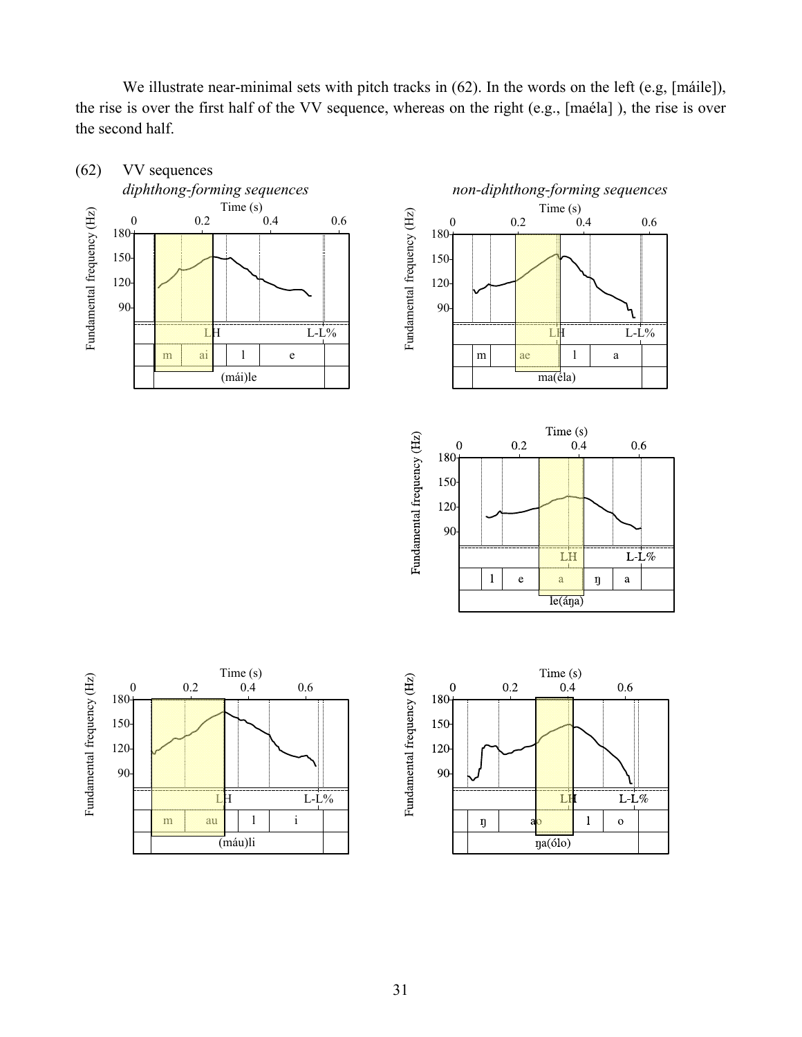We illustrate near-minimal sets with pitch tracks in (62). In the words on the left (e.g, [máile]), the rise is over the first half of the VV sequence, whereas on the right (e.g., [maéla] ), the rise is over the second half.

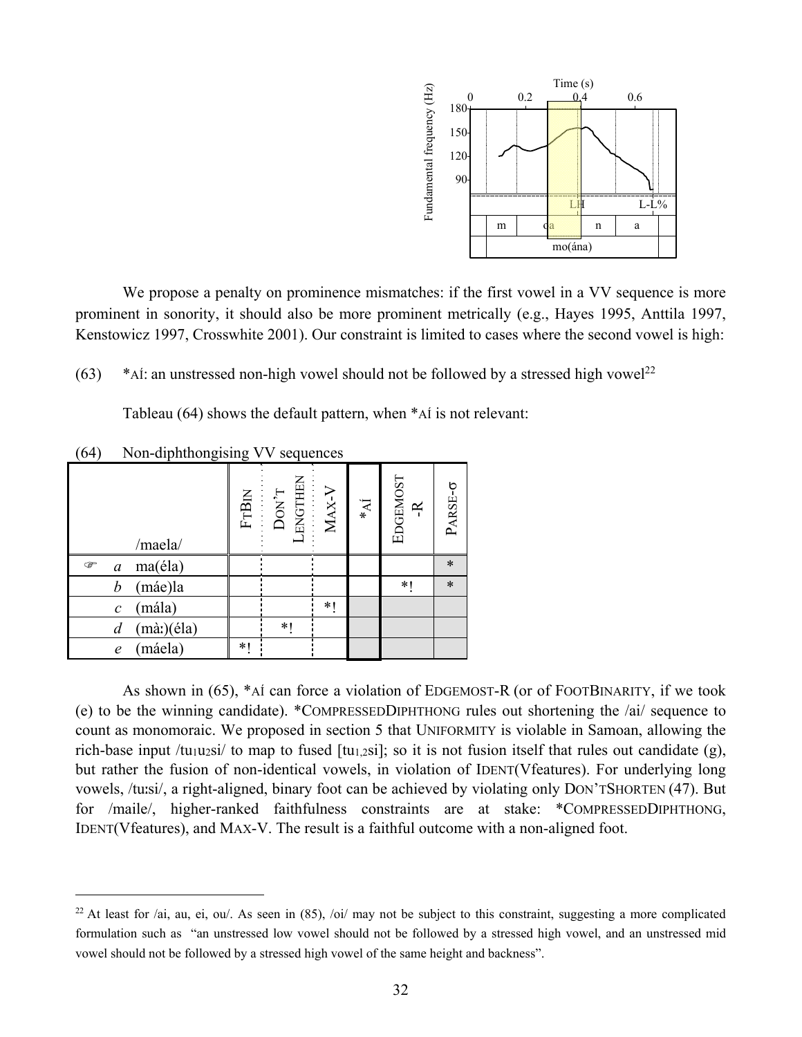

We propose a penalty on prominence mismatches: if the first vowel in a VV sequence is more prominent in sonority, it should also be more prominent metrically (e.g., Hayes 1995, Anttila 1997, Kenstowicz 1997, Crosswhite 2001). Our constraint is limited to cases where the second vowel is high:

(63) \*AÍ: an unstressed non-high vowel should not be followed by a stressed high vowel<sup>22</sup>

Tableau (64) shows the default pattern, when \*AÍ is not relevant:

| $\overline{\phantom{a}}$ | л.<br>$\check{ }$           | $\check{ }$ | л.                                                                                                                                                   |    |                |                       |         |
|--------------------------|-----------------------------|-------------|------------------------------------------------------------------------------------------------------------------------------------------------------|----|----------------|-----------------------|---------|
|                          | /maela/                     |             | $\begin{array}{ll} \text{FTBIM} \\ \text{DON}^{\gamma}\text{T} \\ \text{DUN}^{\gamma}\text{T} \\ \text{ENGTHEN} \\ \text{MAX-} \text{V} \end{array}$ |    | $\mathbf{N}^*$ | EDGEMOST<br>$\approx$ | PARSE-0 |
| ☞<br>$\boldsymbol{a}$    | ma(éla)                     |             |                                                                                                                                                      |    |                |                       | $\ast$  |
| $\boldsymbol{b}$         | (máe)la                     |             |                                                                                                                                                      |    |                | *1                    | $\ast$  |
| $\mathcal{C}_{0}^{0}$    | (mála)                      |             |                                                                                                                                                      | *1 |                |                       |         |
| $\overline{d}$           | $(m\grave{a})(\acute{e}la)$ |             | *1                                                                                                                                                   |    |                |                       |         |
| $\mathfrak{e}$           | (máela)                     | $*1$        |                                                                                                                                                      |    |                |                       |         |

(64) Non-diphthongising VV sequences

 $\overline{a}$ 

As shown in (65), \*AÍ can force a violation of EDGEMOST-R (or of FOOTBINARITY, if we took (e) to be the winning candidate). \*COMPRESSEDDIPHTHONG rules out shortening the /ai/ sequence to count as monomoraic. We proposed in section 5 that UNIFORMITY is violable in Samoan, allowing the rich-base input /tu<sub>1</sub>u<sub>2</sub>si/ to map to fused [tu<sub>1,2</sub>si]; so it is not fusion itself that rules out candidate (g), but rather the fusion of non-identical vowels, in violation of IDENT(Vfeatures). For underlying long vowels, /tuːsi/, a right-aligned, binary foot can be achieved by violating only DON'TSHORTEN (47). But for /maile/, higher-ranked faithfulness constraints are at stake: \*COMPRESSEDDIPHTHONG, IDENT(Vfeatures), and MAX-V. The result is a faithful outcome with a non-aligned foot.

<sup>&</sup>lt;sup>22</sup> At least for /ai, au, ei, ou/. As seen in  $(85)$ , /oi/ may not be subject to this constraint, suggesting a more complicated formulation such as "an unstressed low vowel should not be followed by a stressed high vowel, and an unstressed mid vowel should not be followed by a stressed high vowel of the same height and backness".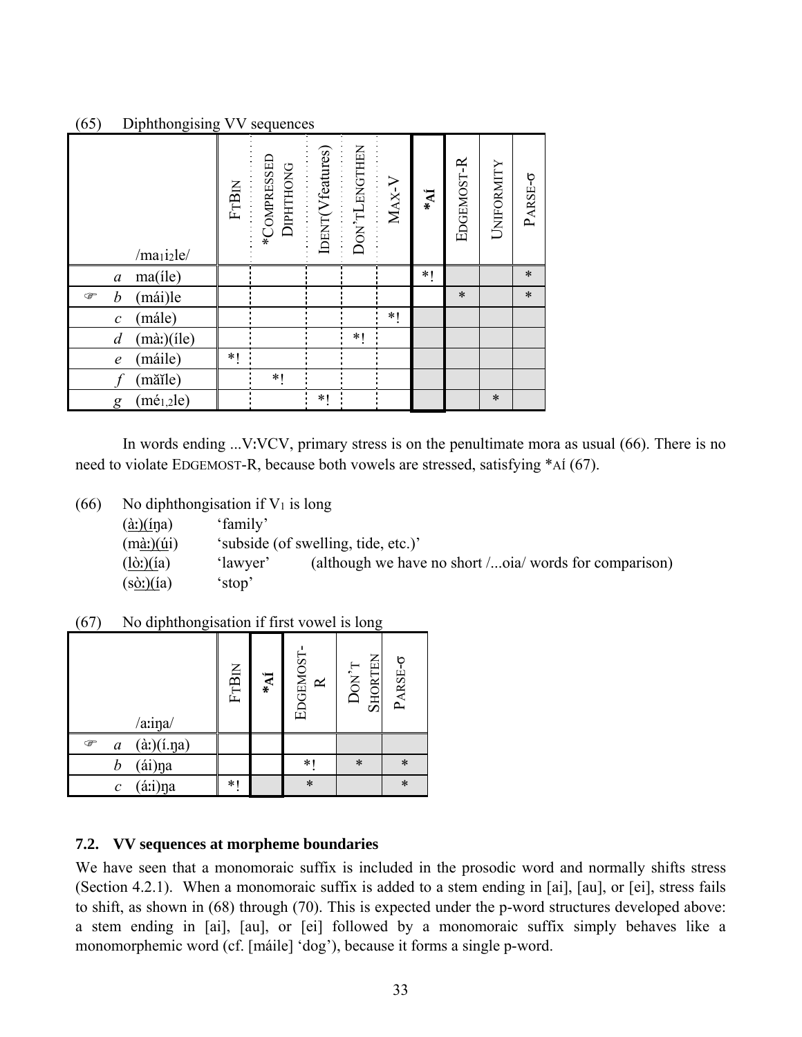# (65) Diphthongising VV sequences

| /maii2le/                              |   | FTBIN<br>*COMPRESSED<br>*COMPRESSED<br>DIPHTHONG | IDENT(Vfeatures) | DON'TLENGTHEN | $MAX-V$ | $\mathbf{N}^*$ | EDGEMOST-R | UNIFORMITY | PARSE-0 |
|----------------------------------------|---|--------------------------------------------------|------------------|---------------|---------|----------------|------------|------------|---------|
| ma(ile)<br>$\boldsymbol{a}$            |   |                                                  |                  |               |         | $*1$           |            |            | $\ast$  |
| (mái)le<br>b<br>☞                      |   |                                                  |                  |               |         |                | $\ast$     |            | $\ast$  |
| mále)<br>$\mathcal{C}$                 |   |                                                  |                  |               | *1      |                |            |            |         |
| $(m\grave{a})$ (ile)<br>$\overline{d}$ |   |                                                  |                  | $*$           |         |                |            |            |         |
| máile)<br>$\epsilon$                   | * |                                                  |                  |               |         |                |            |            |         |
| măile)                                 |   | $*1$                                             |                  |               |         |                |            |            |         |
| $(m\acute{e}_{1,2}$ le)<br>g           |   |                                                  | $*$              |               |         |                |            | $\ast$     |         |

 In words ending ...VːVCV, primary stress is on the penultimate mora as usual (66). There is no need to violate EDGEMOST-R, because both vowels are stressed, satisfying \*AÍ (67).

| No diphthongisation if $V_1$ is long<br>(66) |  |
|----------------------------------------------|--|
|----------------------------------------------|--|

| $(\hat{a})$ (ina)         | 'family' |                                                        |
|---------------------------|----------|--------------------------------------------------------|
| $(m\hat{a})$ $(i\hat{a})$ |          | 'subside (of swelling, tide, etc.)'                    |
| $(l\dot{\sigma}t)(ia)$    | 'lawyer' | (although we have no short /oia/ words for comparison) |
| $(s\delta)$ (ía)          | 'stop'   |                                                        |

(67) No diphthongisation if first vowel is long

| /a:ina/                                        | <b>FTBIN</b> | $\ast_{\mathbf{M}}$ | EDGEMOST-<br>$\simeq$ | <b>SHORTEN</b><br>$DON^T$ | PARSE-0 |
|------------------------------------------------|--------------|---------------------|-----------------------|---------------------------|---------|
| $(\hat{a})(i.\eta a)$<br>☞<br>$\boldsymbol{a}$ |              |                     |                       |                           |         |
| $({\rm \dot{a}})$ ${\rm \dot{p}}$<br>b         |              |                     | $\ast$                | $\ast$                    | $\ast$  |
| áii)na<br>$\mathcal C$                         | *1           |                     | $\ast$                |                           | $\ast$  |

# **7.2. VV sequences at morpheme boundaries**

We have seen that a monomoraic suffix is included in the prosodic word and normally shifts stress (Section 4.2.1). When a monomoraic suffix is added to a stem ending in [ai], [au], or [ei], stress fails to shift, as shown in (68) through (70). This is expected under the p-word structures developed above: a stem ending in [ai], [au], or [ei] followed by a monomoraic suffix simply behaves like a monomorphemic word (cf. [máile] 'dog'), because it forms a single p-word.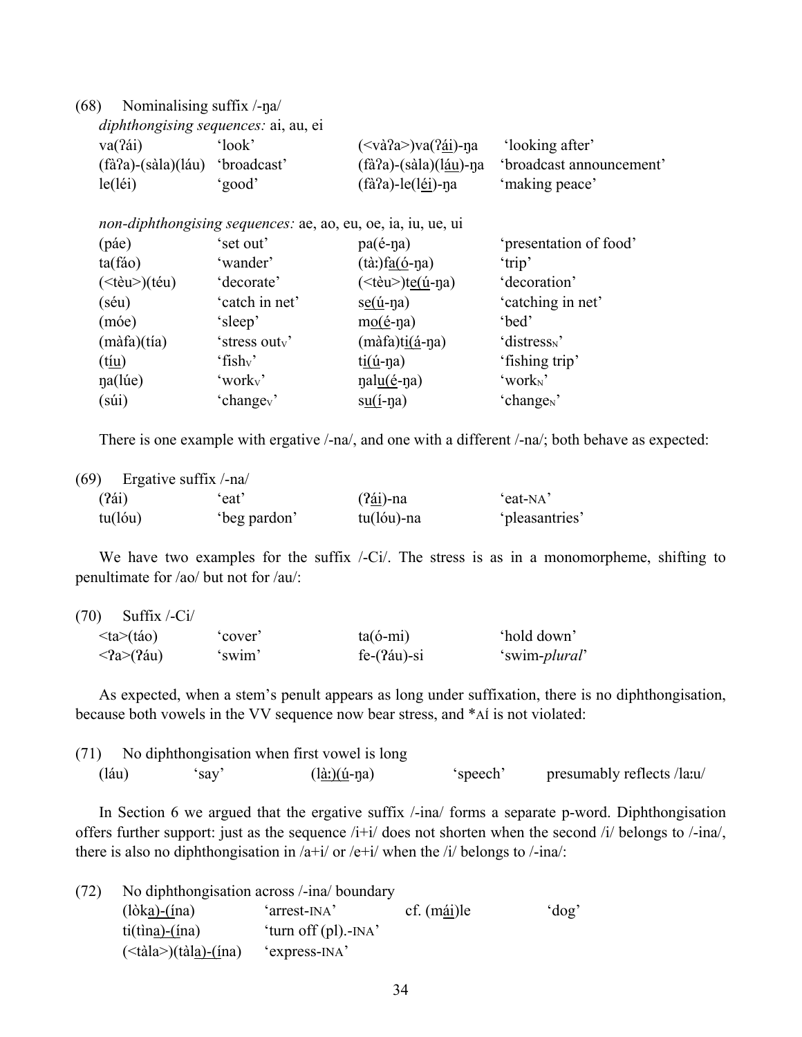(68) Nominalising suffix /-ŋa/

| va(?ái)                | 'look'      | $(<$ và?a>)va $($ ?ái)-na | 'looking after'          |
|------------------------|-------------|---------------------------|--------------------------|
| $(fà?a) - (sàla)(láu)$ | 'broadcast' | $(fà a)-(sà la)(láu)-na$  | 'broadcast announcement' |
| le(léi)                | 'good'      | $(fà?a)-le(léi)-na$       | 'making peace'           |

*iphthongising sequences: a*e, ao, eu, oe, ia, iu, ue,

| (páe)                            | 'set out'              | $pa($ é-n $a)$                                        | 'presentation of food'   |
|----------------------------------|------------------------|-------------------------------------------------------|--------------------------|
| ta(fáo)                          | 'wander'               | $(t\grave{a})f_{\underline{a}(\acute{0}}-n\grave{a})$ | 'trip'                   |
| $(\leq \hat{eu} \geq)(\hat{eu})$ | 'decorate'             | $(\leq t$ èu $\geq)$ t <u>e(ú</u> -ŋa)                | 'decoration'             |
| (séu)                            | 'catch in net'         | $s \underline{e}(\underline{i} - \eta a)$             | 'catching in net'        |
| (móe)                            | 'sleep'                | $m$ <sup>o</sup> $(e$ <sup>-na</sup> )                | 'bed'                    |
| $(m\hat{a}fa)(tia)$              | 'stress outv'          | $(m\hat{a}fa)$ t <u>i<math>(\hat{a}</math></u> -na)   | 'distress <sub>N</sub> ' |
| (t <u>íu</u> )                   | 'fish <sub>v</sub> '   | $t\underline{i}(\underline{i} - \eta a)$              | 'fishing trip'           |
| na(lúe)                          | 'worky'                | nal <u>u(é</u> -na)                                   | 'work <sub>N</sub> '     |
| $(s$ úi)                         | 'change <sub>v</sub> ' | $su(i-\etaa)$                                         | 'change <sub>N</sub> '   |

There is one example with ergative /-na/, and one with a different /-na/; both behave as expected:

| (69)    | Ergative suffix /-na/ |             |                |
|---------|-----------------------|-------------|----------------|
| (24i)   | 'eat'                 | $(24i)$ -na | 'eat-NA'       |
| tu(lóu) | beg pardon'           | tu(lóu)-na  | 'pleasantries' |

We have two examples for the suffix /-Ci/. The stress is as in a monomorpheme, shifting to penultimate for /ao/ but not for /au/:

| (70)<br>Suffix $\overline{C}$ i/ |         |                 |                        |
|----------------------------------|---------|-----------------|------------------------|
| $\langle ta \rangle$ (táo)       | 'cover' | $ta(6-mi)$      | 'hold down'            |
| $\langle 2a \rangle (2au)$       | 'swim'  | $fe-(?au) - si$ | 'swim- <i>plural</i> ' |

 As expected, when a stem's penult appears as long under suffixation, there is no diphthongisation, because both vowels in the VV sequence now bear stress, and \*AÍ is not violated:

|      | (71) No diphthongisation when first vowel is long |              |          |                            |  |  |
|------|---------------------------------------------------|--------------|----------|----------------------------|--|--|
| Iáu) | sav'                                              | $(là)(u-na)$ | 'speech' | presumably reflects /la:u/ |  |  |

In Section 6 we argued that the ergative suffix  $/$ -ina/ forms a separate p-word. Diphthongisation offers further support: just as the sequence /i+i/ does not shorten when the second /i/ belongs to /-ina/, there is also no diphthongisation in  $/a+i/$  or  $/e+i/$  when the  $/i/$  belongs to  $/$ -ina/:

| (72) | No diphthongisation across /-ina/ boundary |                                           |             |         |  |
|------|--------------------------------------------|-------------------------------------------|-------------|---------|--|
|      | $(\lambda)$ (lòk <u>a)</u>                 | 'arrest-INA'                              | cf. (mái)le | $\dots$ |  |
|      | $ti(\text{tina})-(\text{ina})$             | 'turn off $\left(\text{pl}\right)$ .-INA' |             |         |  |
|      | $(\langle$ tàla>)(tàl <u>a)-(í</u> na)     | 'express-INA'                             |             |         |  |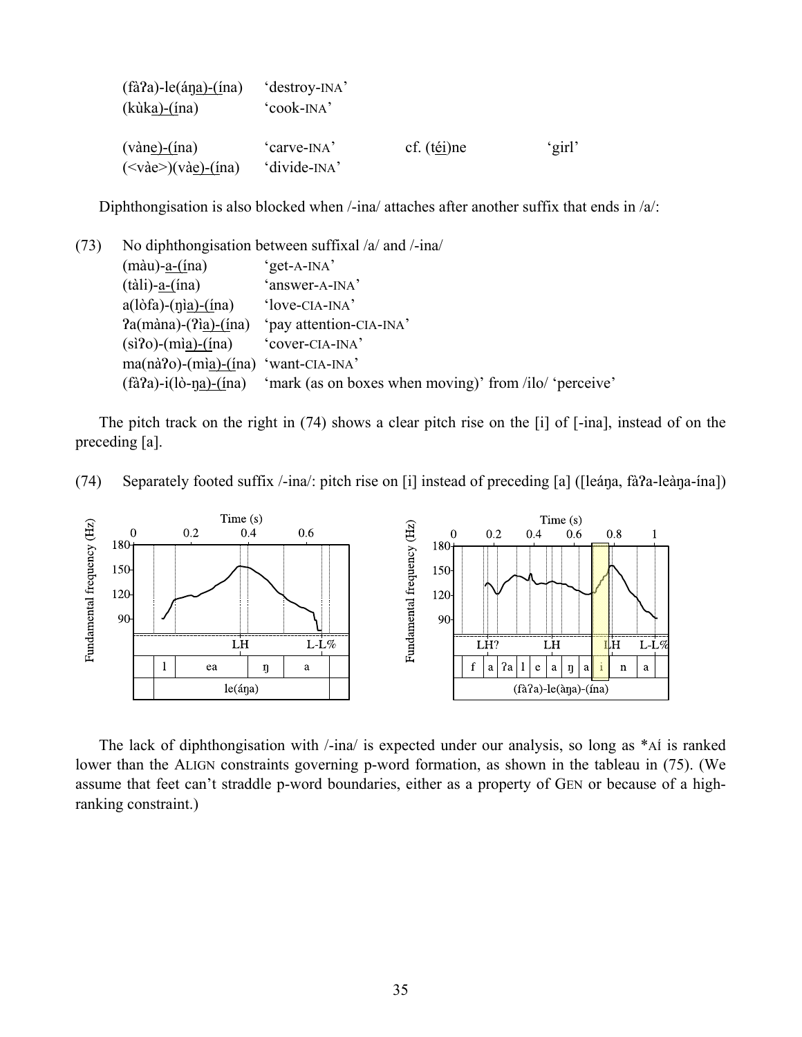| $(fà2a)$ -le $(\text{ána)}$ - $(\text{ina})$<br>$(kùka)-(ina)$                       | 'destroy-INA'<br>'cook-INA'              |                  |        |
|--------------------------------------------------------------------------------------|------------------------------------------|------------------|--------|
| $(v\text{àne})-(\text{ina})$<br>$(\langle \text{v\`ae}\rangle)(\text{v\`ae})$ -(ina) | 'carve-INA'<br>'divide- <sub>INA</sub> ' | cf. $(t_0$ ei)ne | 'girl' |

Diphthongisation is also blocked when  $/$ -ina/ attaches after another suffix that ends in  $/a$ :

(73) No diphthongisation between suffixal /a/ and /-ina/ (màu)-a-(ína) 'get-A-INA' (tàli)-a-(ína) 'answer-A-INA' a(lòfa)-(ŋìa)-(ína) 'love-CIA-INA' ?a(màna)-(?ìa)-(ína) 'pay attention-CIA-INA'  $(si'0)$ - $(mia)$ - $(ina)$  'cover-CIA-INA' ma(nà?o)-(mìa)-(ína) 'want-CIA-INA'  $(fà?a) - i(lò-na) - (ina)$  'mark (as on boxes when moving)' from /ilo/ 'perceive'

 The pitch track on the right in (74) shows a clear pitch rise on the [i] of [-ina], instead of on the preceding [a].





 The lack of diphthongisation with /-ina/ is expected under our analysis, so long as \*AÍ is ranked lower than the ALIGN constraints governing p-word formation, as shown in the tableau in (75). (We assume that feet can't straddle p-word boundaries, either as a property of GEN or because of a highranking constraint.)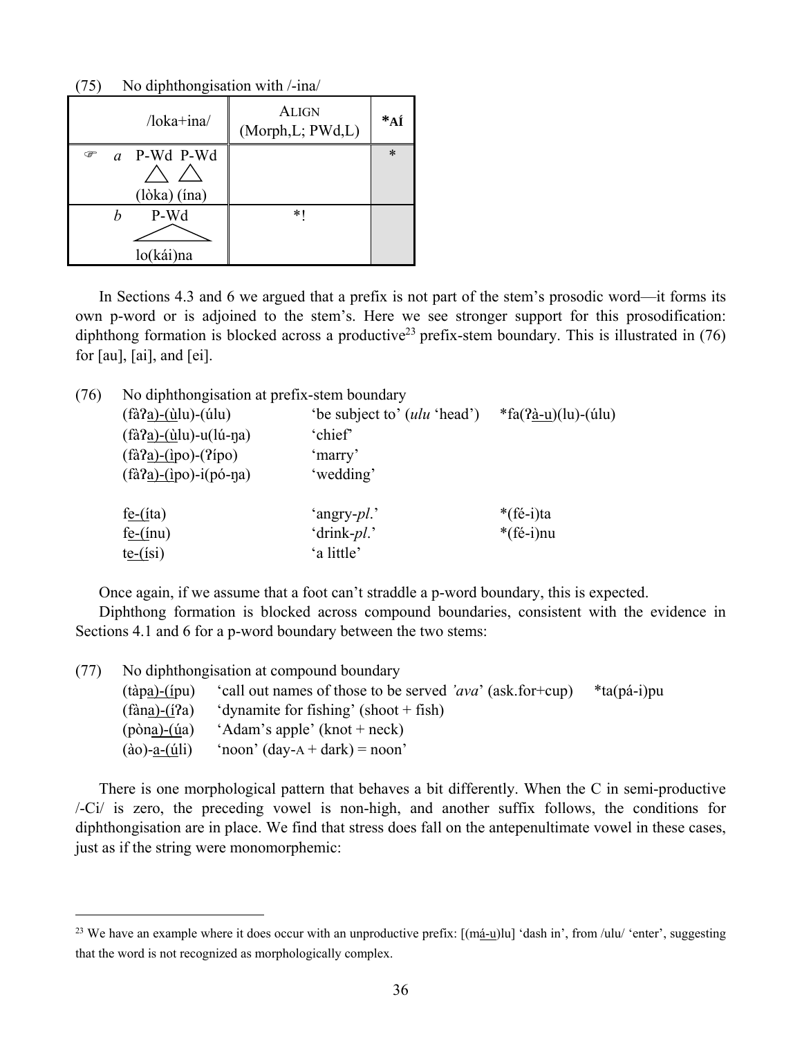| $/$ loka $+$ ina $/$               | <b>ALIGN</b><br>(Morph, L; PWd, L) | $*_{\mathbf{A}\mathbf{\acute{I}}}$ |
|------------------------------------|------------------------------------|------------------------------------|
| a P-Wd P-Wd<br>P<br>$(lòka)$ (ina) |                                    | $\ast$                             |
| P-Wd<br>lo(kái)na                  | $*$                                |                                    |

(75) No diphthongisation with /-ina/

 $\overline{a}$ 

 In Sections 4.3 and 6 we argued that a prefix is not part of the stem's prosodic word—it forms its own p-word or is adjoined to the stem's. Here we see stronger support for this prosodification: diphthong formation is blocked across a productive<sup>23</sup> prefix-stem boundary. This is illustrated in  $(76)$ for [au], [ai], and [ei].

| (76) | No diphthongisation at prefix-stem boundary                |                                      |                       |  |  |
|------|------------------------------------------------------------|--------------------------------------|-----------------------|--|--|
|      | $(f\hat{a}2a)$ - $(\hat{u}l\hat{u})$ - $(\hat{u}l\hat{u})$ | 'be subject to' ( <i>ulu</i> 'head') | $*fa(2a-u)(lu)-(ulu)$ |  |  |
|      | $(f\hat{a}2a) - (\hat{u}lu) - u(l\hat{u} - \eta a)$        | 'chief'                              |                       |  |  |
|      | $(f\hat{a}2a)$ - $(ipo)$ - $(2ipo)$                        | 'marry'                              |                       |  |  |
|      | $(f\hat{a}^2a)$ - $(ipo)$ -i $(p\hat{o}$ -na)              | 'wedding'                            |                       |  |  |
|      | $fe-(ita)$                                                 | 'angry- <i>pl</i> .'                 | *(fé-i)ta             |  |  |
|      | $fe-(inu)$                                                 | 'drink-pl.'                          | $*(f\acute{e}-i)$ nu  |  |  |
|      | $t$ <u>e-(isi</u> )                                        | 'a little'                           |                       |  |  |

Once again, if we assume that a foot can't straddle a p-word boundary, this is expected.

Diphthong formation is blocked across compound boundaries, consistent with the evidence in Sections 4.1 and 6 for a p-word boundary between the two stems:

| (77) | No diphthongisation at compound boundary |                                                           |                    |  |
|------|------------------------------------------|-----------------------------------------------------------|--------------------|--|
|      | $(t\dot{a}p\dot{a})-(i\dot{p}u)$         | 'call out names of those to be served 'ava' (ask.for+cup) | $*$ ta $(pá-i)$ pu |  |
|      | $(fàna)-(i?a)$                           | 'dynamite for fishing' (shoot + fish)                     |                    |  |
|      | $(pona)-(úa)$                            | 'Adam's apple' (knot + neck)                              |                    |  |
|      | $(ao)-a-(uli)$                           | 'noon' $(\text{day-A} + \text{dark}) = \text{noon}$ '     |                    |  |

 There is one morphological pattern that behaves a bit differently. When the C in semi-productive /-Ci/ is zero, the preceding vowel is non-high, and another suffix follows, the conditions for diphthongisation are in place. We find that stress does fall on the antepenultimate vowel in these cases, just as if the string were monomorphemic:

<sup>&</sup>lt;sup>23</sup> We have an example where it does occur with an unproductive prefix:  $[(má-u)<sup>u</sup>]$  'dash in', from /ulu/ 'enter', suggesting that the word is not recognized as morphologically complex.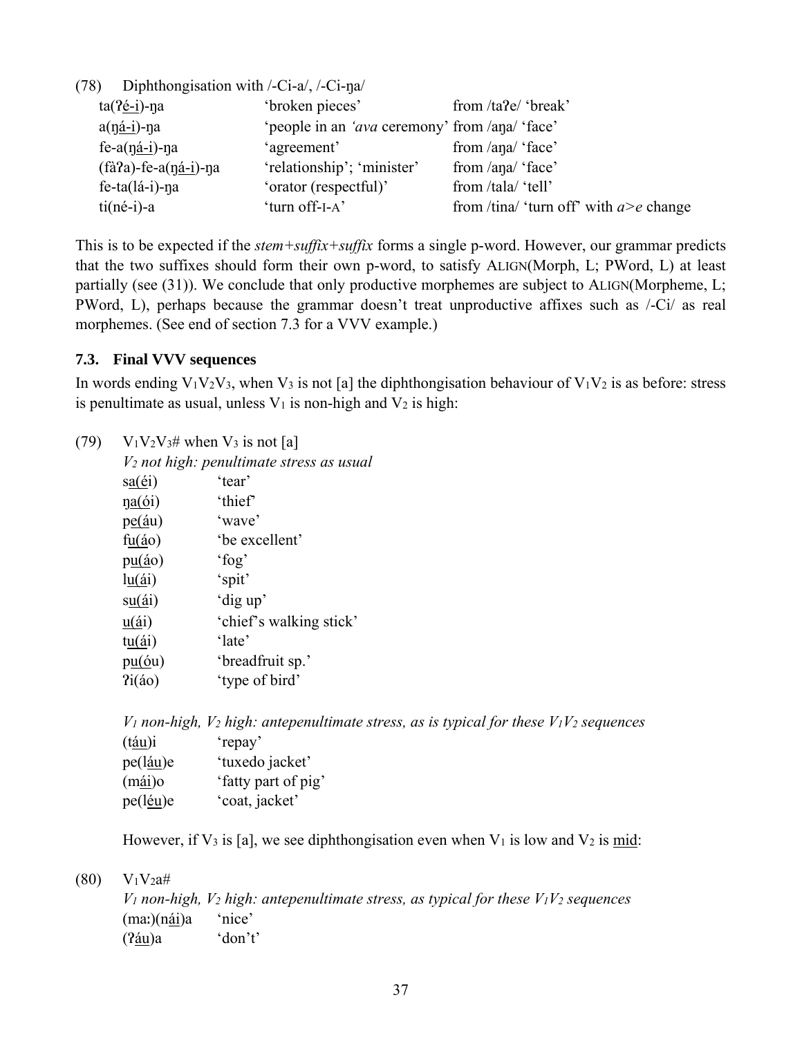(78) Diphthongisation with /-Ci-a/, /-Ci-ŋa/  $\frac{1}{2}$ <sup>throken pieces</sub>' from  $\frac{1}{2}$ <sup>(hreak)</sup></sup>

| ta(7e-1)-na                 | broken pieces                                          | from <i>tare</i> foreak                    |
|-----------------------------|--------------------------------------------------------|--------------------------------------------|
| $a(ná-i)-na$                | 'people in an ' <i>ava</i> ceremony' from /ana/ 'face' |                                            |
| $fe-a(ná-i)$ -na            | 'agreement'                                            | from /ana/ 'face'                          |
| $(fà a)$ -fe-a $(ná-i)$ -na | 'relationship'; 'minister'                             | from /ana/ 'face'                          |
| $fe-ta(lá-i)-na$            | 'orator (respectful)'                                  | from /tala/ 'tell'                         |
| $ti(né-i)-a$                | 'turn off-I-A'                                         | from /tina/ 'turn off' with $a > e$ change |

This is to be expected if the *stem+suffix+suffix* forms a single p-word. However, our grammar predicts that the two suffixes should form their own p-word, to satisfy ALIGN(Morph, L; PWord, L) at least partially (see (31)). We conclude that only productive morphemes are subject to ALIGN(Morpheme, L; PWord, L), perhaps because the grammar doesn't treat unproductive affixes such as /-Ci/ as real morphemes. (See end of section 7.3 for a VVV example.)

# **7.3. Final VVV sequences**

In words ending  $V_1V_2V_3$ , when  $V_3$  is not [a] the diphthongisation behaviour of  $V_1V_2$  is as before: stress is penultimate as usual, unless  $V_1$  is non-high and  $V_2$  is high:

| (79) |                                  | $V_1V_2V_3$ # when $V_3$ is not [a]                  |
|------|----------------------------------|------------------------------------------------------|
|      |                                  | V <sub>2</sub> not high: penultimate stress as usual |
|      | $sa(\'ei)$                       | 'tear'                                               |
|      | $\eta$ <u>a(ó</u> i)             | 'thief'                                              |
|      | $pe(\underline{á}u)$             | 'wave'                                               |
|      | f <u>u</u> ( <i>i</i> o)         | 'be excellent'                                       |
|      | $p\underline{u}(\underline{a}o)$ | $'$ fog'                                             |
|      | $\ln(\Delta i)$                  | 'spit'                                               |
|      | su(4i)                           | 'dig up'                                             |
|      | $u(\Delta i)$                    | 'chief's walking stick'                              |
|      | $t\underline{u}(\underline{a}i)$ | 'late'                                               |
|      | pu(6u)                           | 'breadfruit sp.'                                     |
|      | Pi(40)                           | 'type of bird'                                       |
|      |                                  |                                                      |

|                   | $V_1$ non-high, $V_2$ high: antepenultimate stress, as is typical for these $V_1V_2$ sequences |
|-------------------|------------------------------------------------------------------------------------------------|
| (t <u>áu</u> )i   | 'repay'                                                                                        |
| pe(l <u>áu</u> )e | 'tuxedo jacket'                                                                                |
| (m <u>ái</u> )o   | 'fatty part of pig'                                                                            |
| pe(léu)e          | 'coat, jacket'                                                                                 |

However, if  $V_3$  is [a], we see diphthongisation even when  $V_1$  is low and  $V_2$  is mid:

 $(80)$  V<sub>1</sub>V<sub>2</sub>a#

 $V_1$  non-high,  $V_2$  high: antepenultimate stress, as typical for these  $V_1V_2$  sequences (maː)(nái)a 'nice' (Ɂáu)a 'don't'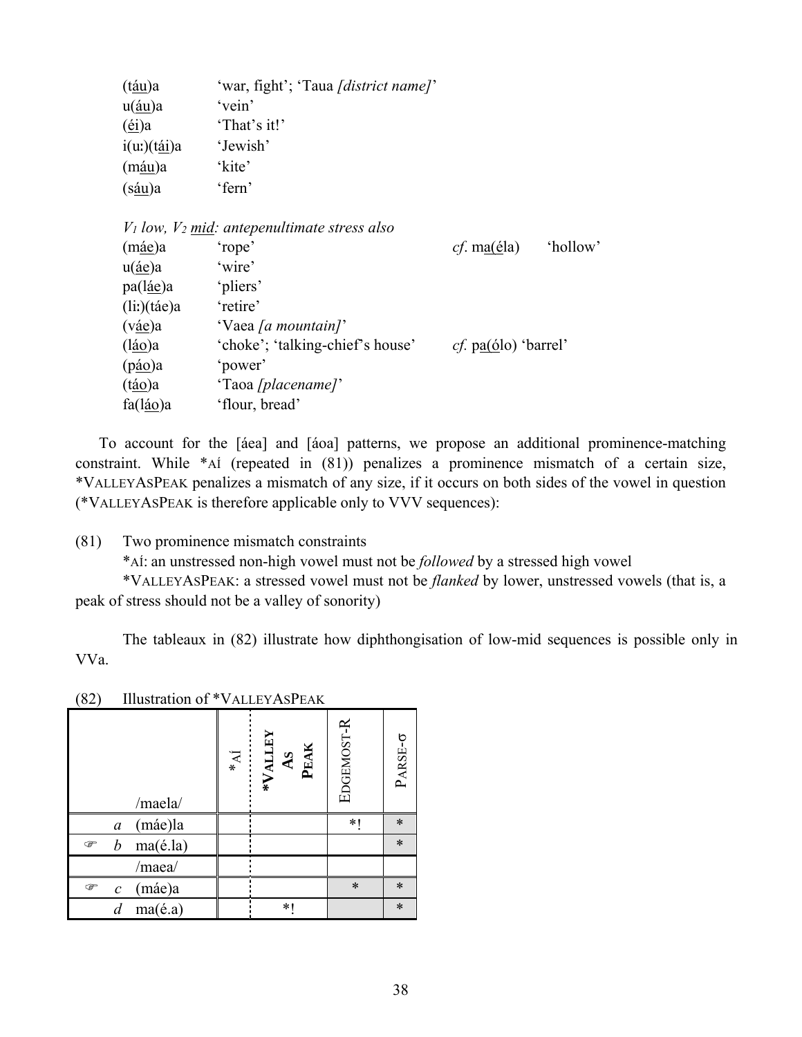| (t <u>áu</u> )a                          | 'war, fight'; 'Taua [district name]'              |                                |          |
|------------------------------------------|---------------------------------------------------|--------------------------------|----------|
| $u(\underline{\text{au}})a$              | 'vein'                                            |                                |          |
| $\left(\underline{\mathrm{ei}}\right)$ a | 'That's it!'                                      |                                |          |
| $i(u)$ $(tái)a$                          | 'Jewish'                                          |                                |          |
| (máu)a                                   | 'kite'                                            |                                |          |
| (s <u>áu</u> )a                          | 'fern'                                            |                                |          |
|                                          | $V_1$ low, $V_2$ mid: antepenultimate stress also |                                |          |
| (m <u>áe</u> )a                          | 'rope'                                            | <i>cf.</i> ma( $\acute{e}$ la) | 'hollow' |
| $u(\underline{4}e)a$                     | 'wire'                                            |                                |          |
| pa(l <u>áe</u> )a                        | 'pliers'                                          |                                |          |
| (li)(tae)a                               | retire'                                           |                                |          |
| (v <u>áe</u> )a                          | 'Vaea [a mountain]'                               |                                |          |
| (l <u>áo</u> )a                          | 'choke'; 'talking-chief's house'                  | <i>cf.</i> $pa(ólo)$ 'barrel'  |          |
| (p <u>áo</u> )a                          | 'power'                                           |                                |          |
| (t <u>áo</u> )a                          | 'Taoa [placename]'                                |                                |          |
| fa(l <u>áo</u> )a                        | 'flour, bread'                                    |                                |          |

 To account for the [áea] and [áoa] patterns, we propose an additional prominence-matching constraint. While \*AÍ (repeated in (81)) penalizes a prominence mismatch of a certain size, \*VALLEYASPEAK penalizes a mismatch of any size, if it occurs on both sides of the vowel in question (\*VALLEYASPEAK is therefore applicable only to VVV sequences):

(81) Two prominence mismatch constraints

\*AÍ: an unstressed non-high vowel must not be *followed* by a stressed high vowel

 \*VALLEYASPEAK: a stressed vowel must not be *flanked* by lower, unstressed vowels (that is, a peak of stress should not be a valley of sonority)

 The tableaux in (82) illustrate how diphthongisation of low-mid sequences is possible only in VVa.

| /maela/                           | $\mathbf{N} *$ | *VALLEY<br>AS<br>PEAK | EDGEMOST-R | $PARSE-\sigma$ |
|-----------------------------------|----------------|-----------------------|------------|----------------|
| (máe)la<br>$\mathfrak a$          |                |                       | *1         | $\ast$         |
| ma(é.la)<br>$\boldsymbol{b}$<br>☞ |                |                       |            | $\ast$         |
| /maea/                            |                |                       |            |                |
| (máe)a<br>☞<br>$\mathcal{C}$      |                |                       | $\ast$     | $\ast$         |
| ma(é.a)<br>d                      |                | $*$                   |            | $\ast$         |

(82) Illustration of \*VALLEYASPEAK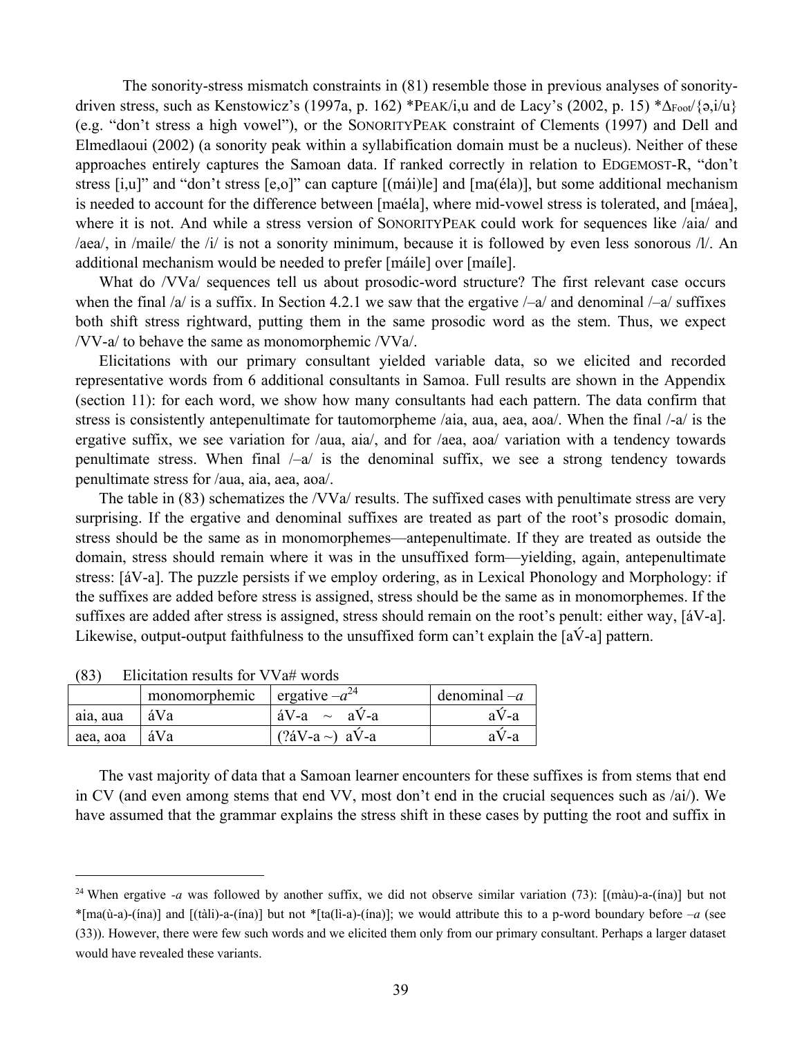The sonority-stress mismatch constraints in (81) resemble those in previous analyses of sonoritydriven stress, such as Kenstowicz's (1997a, p. 162) \*PEAK/i,u and de Lacy's (2002, p. 15) \*∆Foot/{ə,i/u} (e.g. "don't stress a high vowel"), or the SONORITYPEAK constraint of Clements (1997) and Dell and Elmedlaoui (2002) (a sonority peak within a syllabification domain must be a nucleus). Neither of these approaches entirely captures the Samoan data. If ranked correctly in relation to EDGEMOST-R, "don't stress [i,u]" and "don't stress [e,o]" can capture [(mái)le] and [ma(éla)], but some additional mechanism is needed to account for the difference between [maéla], where mid-vowel stress is tolerated, and [máea], where it is not. And while a stress version of SONORITYPEAK could work for sequences like /aia/ and /aea/, in /maile/ the /i/ is not a sonority minimum, because it is followed by even less sonorous /l/. An additional mechanism would be needed to prefer [máile] over [maíle].

What do /VVa/ sequences tell us about prosodic-word structure? The first relevant case occurs when the final  $/a$  is a suffix. In Section 4.2.1 we saw that the ergative  $/-a/$  and denominal  $/-a/$  suffixes both shift stress rightward, putting them in the same prosodic word as the stem. Thus, we expect /VV-a/ to behave the same as monomorphemic /VVa/.

 Elicitations with our primary consultant yielded variable data, so we elicited and recorded representative words from 6 additional consultants in Samoa. Full results are shown in the Appendix (section 11): for each word, we show how many consultants had each pattern. The data confirm that stress is consistently antepenultimate for tautomorpheme /aia, aua, aea, aoa/. When the final /-a/ is the ergative suffix, we see variation for /aua, aia/, and for /aea, aoa/ variation with a tendency towards penultimate stress. When final  $\frac{1}{4}$  is the denominal suffix, we see a strong tendency towards penultimate stress for /aua, aia, aea, aoa/.

 The table in (83) schematizes the /VVa/ results. The suffixed cases with penultimate stress are very surprising. If the ergative and denominal suffixes are treated as part of the root's prosodic domain, stress should be the same as in monomorphemes—antepenultimate. If they are treated as outside the domain, stress should remain where it was in the unsuffixed form—yielding, again, antepenultimate stress: [áV-a]. The puzzle persists if we employ ordering, as in Lexical Phonology and Morphology: if the suffixes are added before stress is assigned, stress should be the same as in monomorphemes. If the suffixes are added after stress is assigned, stress should remain on the root's penult: either way, [áV-a]. Likewise, output-output faithfulness to the unsuffixed form can't explain the  $[a\acute{V}$ -a] pattern.

|          | monomorphemic | ergative $-a^{24}$             | denominal $-a$ |
|----------|---------------|--------------------------------|----------------|
| aia, aua | áVa           | $\text{aV-a} \sim \text{aV-a}$ | aV-a           |
| aea, aoa | ∣áVa          | $(?aV-a \sim) aV-a$            | a V-a          |

(83) Elicitation results for VVa# words

 $\overline{a}$ 

 The vast majority of data that a Samoan learner encounters for these suffixes is from stems that end in CV (and even among stems that end VV, most don't end in the crucial sequences such as /ai/). We have assumed that the grammar explains the stress shift in these cases by putting the root and suffix in

<sup>24</sup> When ergative *-a* was followed by another suffix, we did not observe similar variation (73): [(màu)-a-(ína)] but not \*[ma( $\hat{u}$ -a)-(ina)] and [(tàli)-a-(ina)] but not \*[ta( $\hat{u}$ -a)-(ina)]; we would attribute this to a p-word boundary before  $-a$  (see (33)). However, there were few such words and we elicited them only from our primary consultant. Perhaps a larger dataset would have revealed these variants.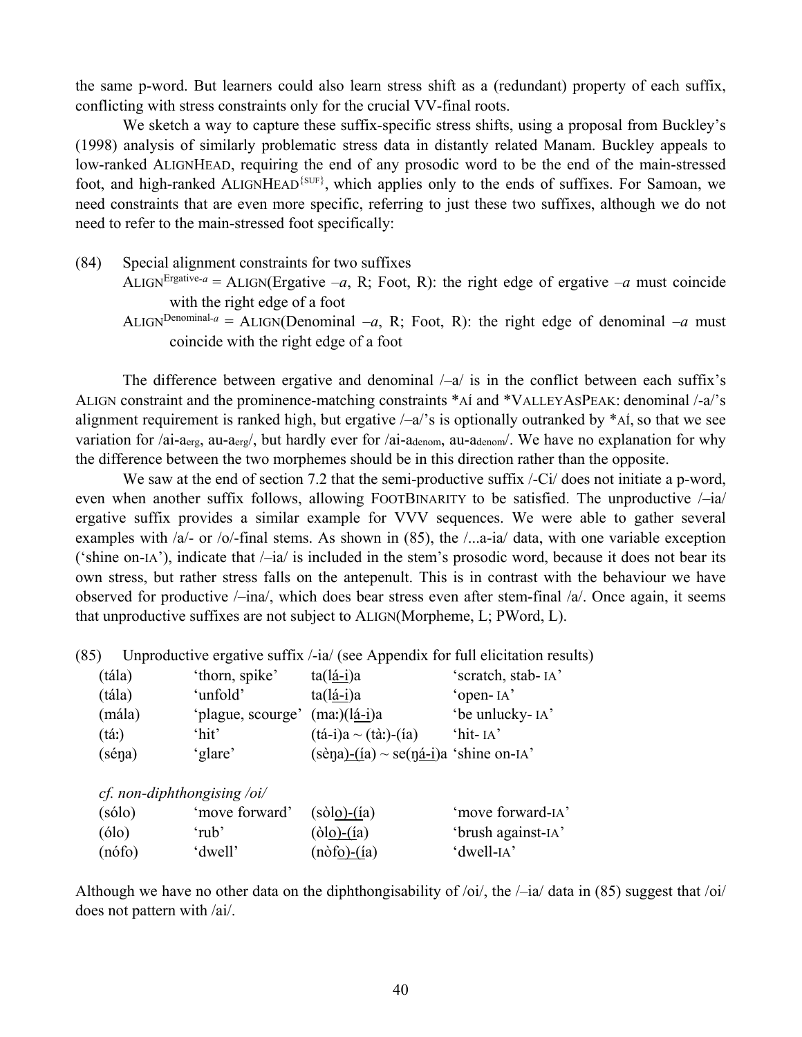the same p-word. But learners could also learn stress shift as a (redundant) property of each suffix, conflicting with stress constraints only for the crucial VV-final roots.

We sketch a way to capture these suffix-specific stress shifts, using a proposal from Buckley's (1998) analysis of similarly problematic stress data in distantly related Manam. Buckley appeals to low-ranked ALIGNHEAD, requiring the end of any prosodic word to be the end of the main-stressed foot, and high-ranked ALIGNHEAD<sup>{SUF}</sup>, which applies only to the ends of suffixes. For Samoan, we need constraints that are even more specific, referring to just these two suffixes, although we do not need to refer to the main-stressed foot specifically:

- (84) Special alignment constraints for two suffixes
	- ALIGN<sup>Ergative-a</sup> = ALIGN(Ergative  $-a$ , R; Foot, R): the right edge of ergative  $-a$  must coincide with the right edge of a foot
	- ALIGN<sup>Denominal-a</sup> = ALIGN(Denominal  $-a$ , R; Foot, R): the right edge of denominal  $-a$  must coincide with the right edge of a foot

The difference between ergative and denominal  $\frac{1}{a}$  is in the conflict between each suffix's ALIGN constraint and the prominence-matching constraints \*AÍ and \*VALLEYASPEAK: denominal /-a/'s alignment requirement is ranked high, but ergative  $\frac{\lambda}{a}$  is optionally outranked by \*AI, so that we see variation for /ai-aerg, au-aerg/, but hardly ever for /ai-adenom, au-adenom/. We have no explanation for why the difference between the two morphemes should be in this direction rather than the opposite.

We saw at the end of section 7.2 that the semi-productive suffix  $\angle$ -Ci/ does not initiate a p-word, even when another suffix follows, allowing FOOTBINARITY to be satisfied. The unproductive  $\frac{1}{a}$ ergative suffix provides a similar example for VVV sequences. We were able to gather several examples with /a/- or /o/-final stems. As shown in (85), the /...a-ia/ data, with one variable exception ('shine on-IA'), indicate that /–ia/ is included in the stem's prosodic word, because it does not bear its own stress, but rather stress falls on the antepenult. This is in contrast with the behaviour we have observed for productive  $/-\text{ina}$ , which does bear stress even after stem-final  $/a$ . Once again, it seems that unproductive suffixes are not subject to ALIGN(Morpheme, L; PWord, L).

(85) Unproductive ergative suffix /-ia/ (see Appendix for full elicitation results)

| (tála) | 'thorn, spike'    | $ta(lá-i)a$                                                                                                                                | 'scratch, stab-IA' |
|--------|-------------------|--------------------------------------------------------------------------------------------------------------------------------------------|--------------------|
| (tála) | 'unfold'          | $ta(lá-i)a$                                                                                                                                | 'open-IA'          |
| (mála) | 'plague, scourge' | $(ma)(lá-i)a$                                                                                                                              | 'be unlucky-IA'    |
| (tai)  | 'hit'             | $(t\acute{a}-i)a \sim (t\grave{a})-(ia)$                                                                                                   | $'$ hit- $IA'$     |
| (séna) | 'glare'           | $(\text{se} \underline{\text{na}})$ - $(\underline{\text{ia}}) \sim \text{se}(\underline{\text{na}-\underline{\text{i}}})$ a 'shine on-IA' |                    |

*cf. non-diphthongising /oi/* 

| (sólo) | 'move forward' | $(sòlo)-(ia)$                                       | 'move forward-IA'  |
|--------|----------------|-----------------------------------------------------|--------------------|
| (6lo)  | 'rub'          | $(\delta l \circ \underline{\delta})$ - $(i\alpha)$ | 'brush against-IA' |
| (nófo) | 'dwell'        | $(n\dot{o}f\dot{o})-(ia)$                           | 'dwell-IA'         |

Although we have no other data on the diphthongisability of  $\overline{\chi}$  oi/, the  $\overline{\chi}$  data in (85) suggest that  $\overline{\chi}$  oi/ does not pattern with /ai/.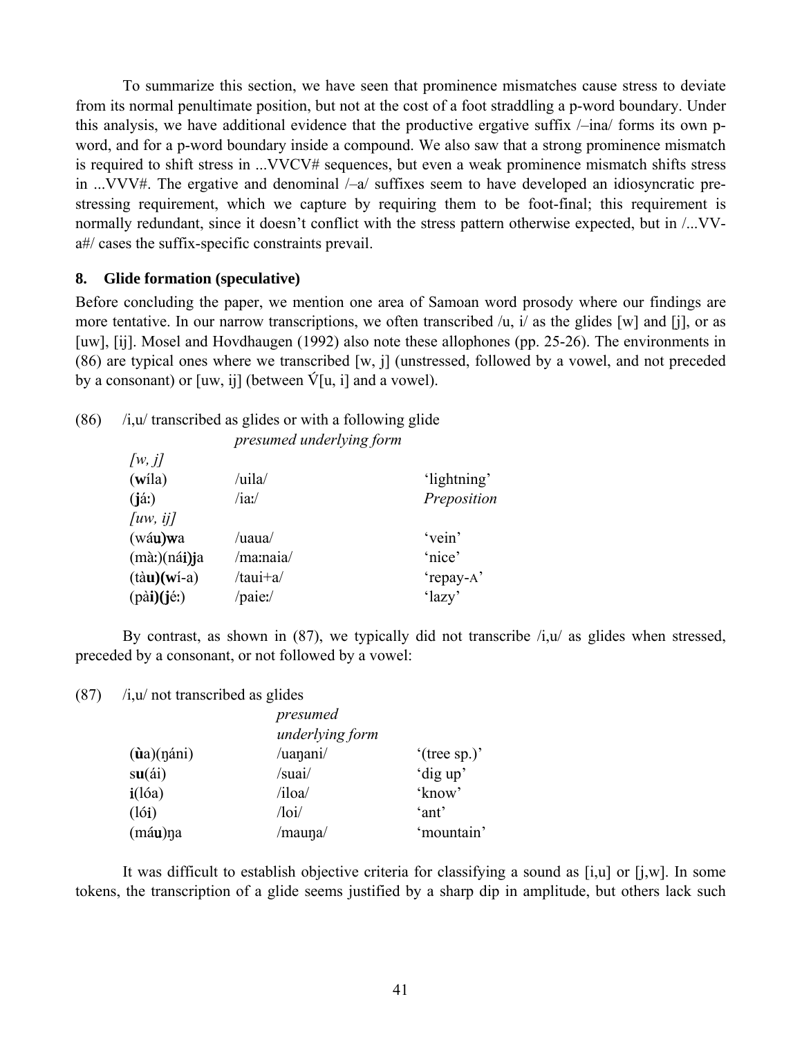To summarize this section, we have seen that prominence mismatches cause stress to deviate from its normal penultimate position, but not at the cost of a foot straddling a p-word boundary. Under this analysis, we have additional evidence that the productive ergative suffix /–ina/ forms its own pword, and for a p-word boundary inside a compound. We also saw that a strong prominence mismatch is required to shift stress in ...VVCV# sequences, but even a weak prominence mismatch shifts stress in ...VVV#. The ergative and denominal /–a/ suffixes seem to have developed an idiosyncratic prestressing requirement, which we capture by requiring them to be foot-final; this requirement is normally redundant, since it doesn't conflict with the stress pattern otherwise expected, but in /...VVa#/ cases the suffix-specific constraints prevail.

# **8. Glide formation (speculative)**

Before concluding the paper, we mention one area of Samoan word prosody where our findings are more tentative. In our narrow transcriptions, we often transcribed /u, i/ as the glides [w] and [j], or as [uw], [ij]. Mosel and Hovdhaugen (1992) also note these allophones (pp. 25-26). The environments in (86) are typical ones where we transcribed [w, j] (unstressed, followed by a vowel, and not preceded by a consonant) or [uw, ij] (between  $\acute{V}[u, i]$  and a vowel).

| $(86)$ /i,u/ transcribed as glides or with a following glide |  |  |  |  |
|--------------------------------------------------------------|--|--|--|--|
|--------------------------------------------------------------|--|--|--|--|

| presumed underlying form |
|--------------------------|
|--------------------------|

| $\lceil w, j \rceil$            |              |             |
|---------------------------------|--------------|-------------|
| (wíla)                          | $/$ uila $/$ | 'lightning' |
| $(i\acute{a})$                  | $/ia$ :/     | Preposition |
| $\lceil uw, i \rceil$           |              |             |
| (wáu)wa                         | /uaua/       | 'vein'      |
| $(m\grave{a})$ (ná <b>i</b> )ja | /ma:naia/    | 'nice'      |
| $(t\dot{a}u)(w\dot{i}-a)$       | /taui+a/     | 'repay-A'   |
| (pài)(jéː)                      | /paie:/      | 'lazy'      |

By contrast, as shown in  $(87)$ , we typically did not transcribe  $/i, u/$  as glides when stressed, preceded by a consonant, or not followed by a vowel:

 $(87)$  /i,u/ not transcribed as glides

|                        | presumed<br>underlying form |                 |  |  |  |
|------------------------|-----------------------------|-----------------|--|--|--|
| $(i\mathbf{a})$ (náni) | /uanani/                    | $'$ (tree sp.)' |  |  |  |
| su(4i)                 | /suai/                      | 'dig up'        |  |  |  |
| $i(l$ óa)              | $\lambda$ iloa              | 'know'          |  |  |  |
| (l6i)                  | $\sqrt{10i/}$               | 'ant'           |  |  |  |
| (máu)na                | /mauna/                     | 'mountain'      |  |  |  |

 It was difficult to establish objective criteria for classifying a sound as [i,u] or [j,w]. In some tokens, the transcription of a glide seems justified by a sharp dip in amplitude, but others lack such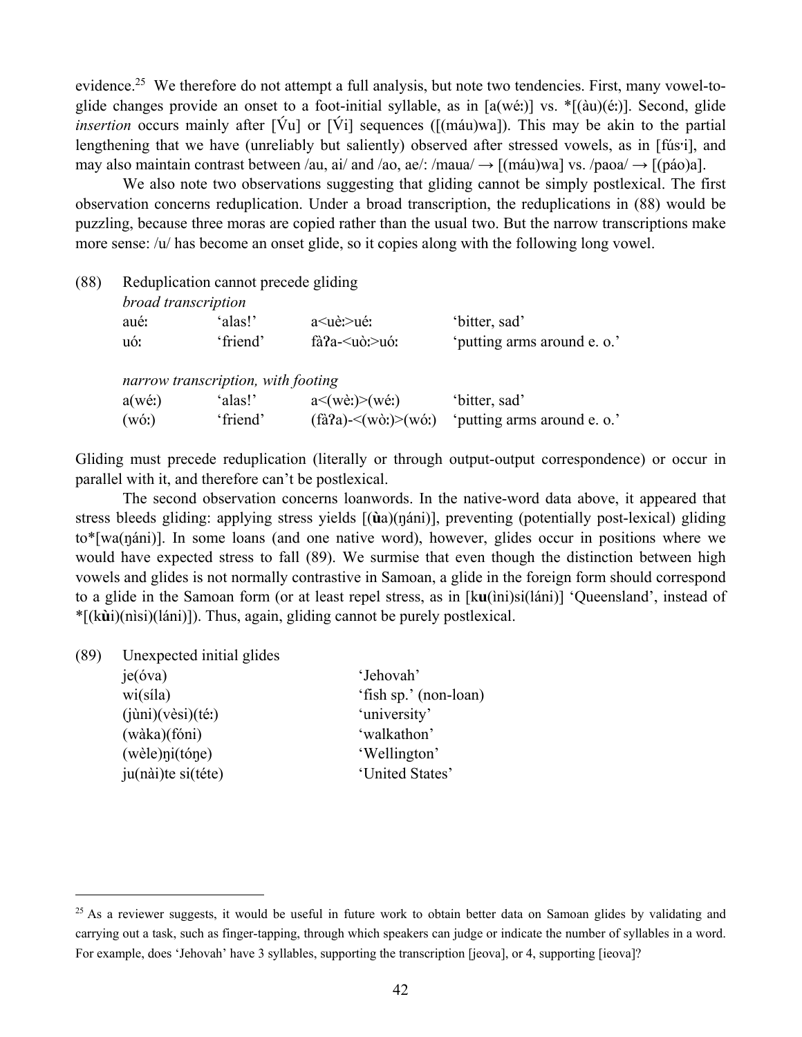evidence.<sup>25</sup> We therefore do not attempt a full analysis, but note two tendencies. First, many vowel-toglide changes provide an onset to a foot-initial syllable, as in [a(wéː)] vs. \*[(àu)(éː)]. Second, glide *insertion* occurs mainly after [Vu] or [Vi] sequences ([(máu)wa]). This may be akin to the partial lengthening that we have (unreliably but saliently) observed after stressed vowels, as in [fúsˑi], and may also maintain contrast between /au, ai/ and /ao, ae/: /maua/  $\rightarrow$  [(máu)wa] vs. /paoa/  $\rightarrow$  [(páo)a].

We also note two observations suggesting that gliding cannot be simply postlexical. The first observation concerns reduplication. Under a broad transcription, the reduplications in (88) would be puzzling, because three moras are copied rather than the usual two. But the narrow transcriptions make more sense: /u/ has become an onset glide, so it copies along with the following long vowel.

(88) Reduplication cannot precede gliding

| broad transcription |                                    |                                                                                                                                                                                                                                |                             |
|---------------------|------------------------------------|--------------------------------------------------------------------------------------------------------------------------------------------------------------------------------------------------------------------------------|-----------------------------|
| aué:                | 'alas!'                            | a  de:  a  la  ide e la estada e la estada e la estada e la estada e la estada e la estada e la estada e la estada e la estada e la estada e la estada e la estada e la estada e la estada e la estada e la estada e la estada | 'bitter, sad'               |
| uó:                 | 'friend'                           | fà?a- $\leq$ uò: $\geq$ uó:                                                                                                                                                                                                    | 'putting arms around e. o.' |
|                     | narrow transcription, with footing |                                                                                                                                                                                                                                |                             |
| $a(w \acute{e}t)$   | 'alas!'                            | $a \leq (w \dot{e}) \geq (w \dot{e})$                                                                                                                                                                                          | 'bitter, sad'               |

(wóː)  $\text{``friend''}$   $\text{(\hat{a}Pa)~< (w\text{o})~< (w\text{o})\text{''}$   $\text{butting arms around } e. o.'$ 

Gliding must precede reduplication (literally or through output-output correspondence) or occur in parallel with it, and therefore can't be postlexical.

 The second observation concerns loanwords. In the native-word data above, it appeared that stress bleeds gliding: applying stress yields [(**ù**a)(ŋáni)], preventing (potentially post-lexical) gliding to\*[wa(ŋáni)]. In some loans (and one native word), however, glides occur in positions where we would have expected stress to fall (89). We surmise that even though the distinction between high vowels and glides is not normally contrastive in Samoan, a glide in the foreign form should correspond to a glide in the Samoan form (or at least repel stress, as in [k**u**(ìni)si(láni)] 'Queensland', instead of \*[(k**ù**i)(nìsi)(láni)]). Thus, again, gliding cannot be purely postlexical.

(89) Unexpected initial glides

| je(óva)                                  | 'Jehovah'             |
|------------------------------------------|-----------------------|
| $w_i(sila)$                              | 'fish sp.' (non-loan) |
| $(i\text{u})$ $(v\text{e}si)(t\text{e})$ | 'university'          |
| (wàka)(fóni)                             | 'walkathon'           |
| (wèle)ni(tóne)                           | 'Wellington'          |
| ju(nài)te si(téte)                       | 'United States'       |

<sup>&</sup>lt;sup>25</sup> As a reviewer suggests, it would be useful in future work to obtain better data on Samoan glides by validating and carrying out a task, such as finger-tapping, through which speakers can judge or indicate the number of syllables in a word. For example, does 'Jehovah' have 3 syllables, supporting the transcription [jeova], or 4, supporting [ieova]?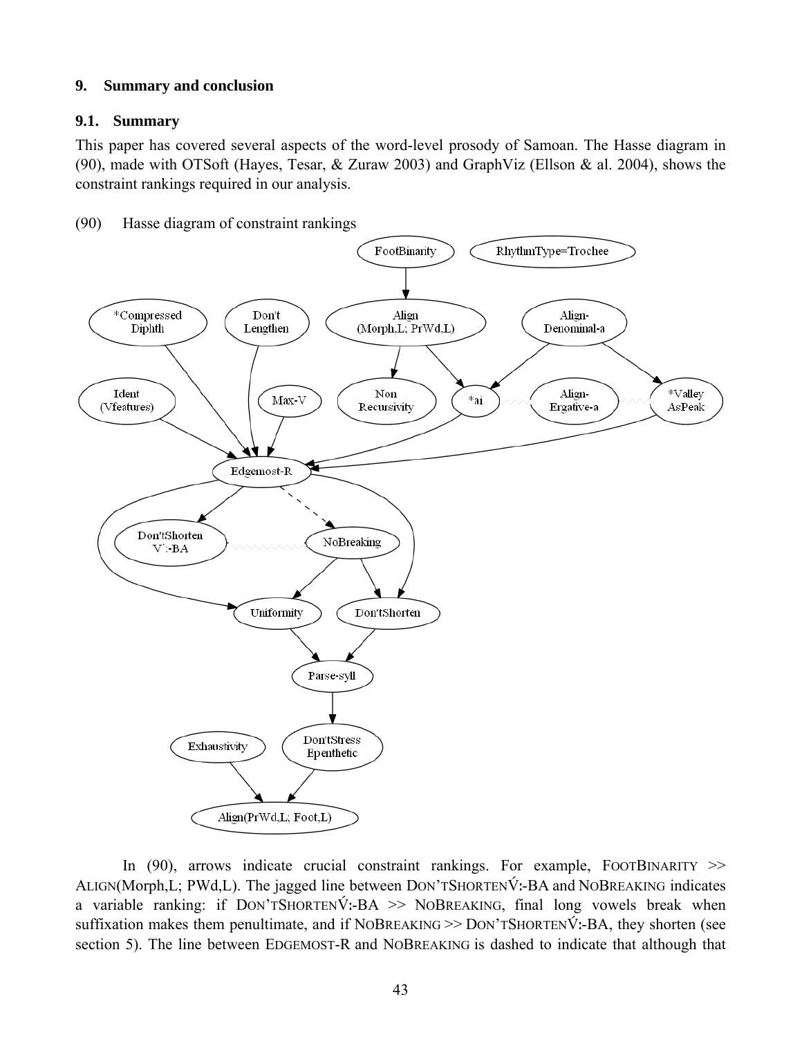# **9. Summary and conclusion**

# **9.1. Summary**

This paper has covered several aspects of the word-level prosody of Samoan. The Hasse diagram in (90), made with OTSoft (Hayes, Tesar, & Zuraw 2003) and GraphViz (Ellson & al. 2004), shows the constraint rankings required in our analysis.

(90) Hasse diagram of constraint rankings



In (90), arrows indicate crucial constraint rankings. For example, FOOTBINARITY  $\gg$ ALIGN(Morph, L; PWd, L). The jagged line between DON'TSHORTENVI-BA and NOBREAKING indicates a variable ranking: if  $Dom'TSHORTENV$ :-BA >> NOBREAKING, final long vowels break when suffixation makes them penultimate, and if NOBREAKING >> DON'TSHORTENVI-BA, they shorten (see section 5). The line between EDGEMOST-R and NOBREAKING is dashed to indicate that although that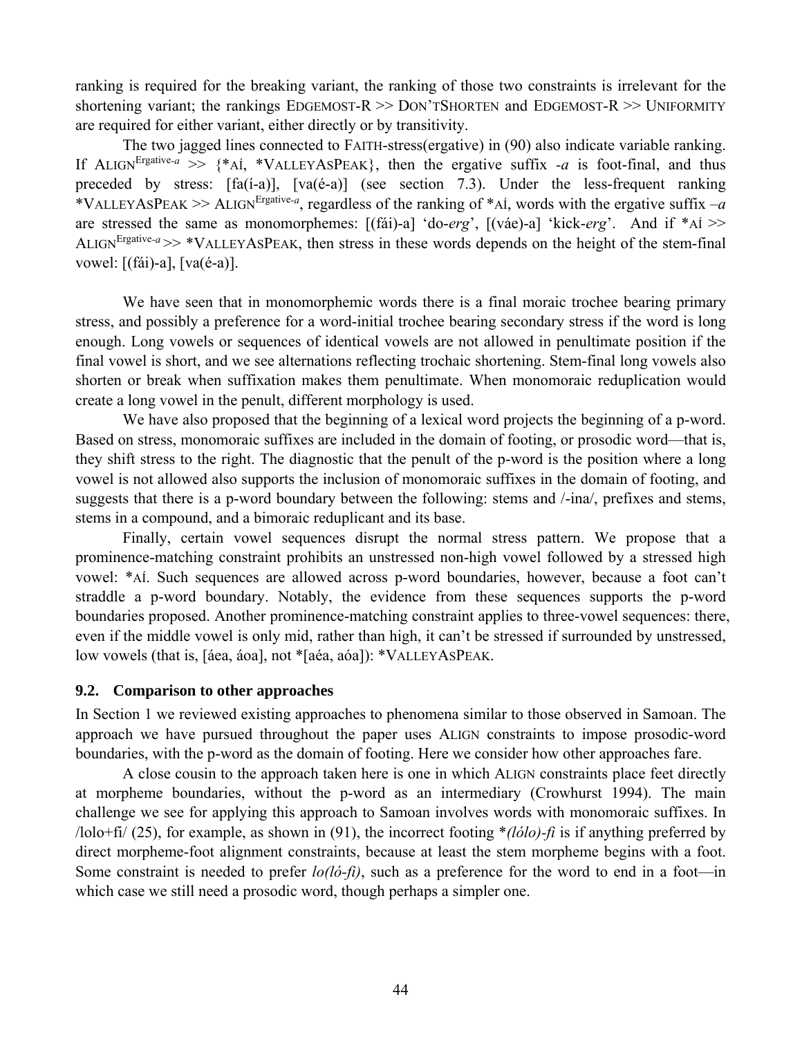ranking is required for the breaking variant, the ranking of those two constraints is irrelevant for the shortening variant; the rankings EDGEMOST-R >> DON'TSHORTEN and EDGEMOST-R >> UNIFORMITY are required for either variant, either directly or by transitivity.

 The two jagged lines connected to FAITH-stress(ergative) in (90) also indicate variable ranking. If ALIGN<sup>Ergative-a</sup> >>  $\{A_i, A_j\}$  \*VALLEYASPEAK}, then the ergative suffix  $-a$  is foot-final, and thus preceded by stress:  $[fa(i-a)]$ ,  $[va(e-a)]$  (see section 7.3). Under the less-frequent ranking \*VALLEYASPEAK >> ALIGN<sup>Ergative-a</sup>, regardless of the ranking of \*AI, words with the ergative suffix  $-a$ are stressed the same as monomorphemes: [(fái)-a] 'do-*erg*', [(váe)-a] 'kick-*erg*'. And if \*AÍ >> ALIGN<sup>Ergative- $a \gg$  \*VALLEYASPEAK, then stress in these words depends on the height of the stem-final</sup> vowel: [(fái)-a], [va(é-a)].

 We have seen that in monomorphemic words there is a final moraic trochee bearing primary stress, and possibly a preference for a word-initial trochee bearing secondary stress if the word is long enough. Long vowels or sequences of identical vowels are not allowed in penultimate position if the final vowel is short, and we see alternations reflecting trochaic shortening. Stem-final long vowels also shorten or break when suffixation makes them penultimate. When monomoraic reduplication would create a long vowel in the penult, different morphology is used.

We have also proposed that the beginning of a lexical word projects the beginning of a p-word. Based on stress, monomoraic suffixes are included in the domain of footing, or prosodic word—that is, they shift stress to the right. The diagnostic that the penult of the p-word is the position where a long vowel is not allowed also supports the inclusion of monomoraic suffixes in the domain of footing, and suggests that there is a p-word boundary between the following: stems and /-ina/, prefixes and stems, stems in a compound, and a bimoraic reduplicant and its base.

 Finally, certain vowel sequences disrupt the normal stress pattern. We propose that a prominence-matching constraint prohibits an unstressed non-high vowel followed by a stressed high vowel: \*AÍ. Such sequences are allowed across p-word boundaries, however, because a foot can't straddle a p-word boundary. Notably, the evidence from these sequences supports the p-word boundaries proposed. Another prominence-matching constraint applies to three-vowel sequences: there, even if the middle vowel is only mid, rather than high, it can't be stressed if surrounded by unstressed, low vowels (that is, [áea, áoa], not \*[aéa, aóa]): \*VALLEYASPEAK.

# **9.2. Comparison to other approaches**

In Section 1 we reviewed existing approaches to phenomena similar to those observed in Samoan. The approach we have pursued throughout the paper uses ALIGN constraints to impose prosodic-word boundaries, with the p-word as the domain of footing. Here we consider how other approaches fare.

 A close cousin to the approach taken here is one in which ALIGN constraints place feet directly at morpheme boundaries, without the p-word as an intermediary (Crowhurst 1994). The main challenge we see for applying this approach to Samoan involves words with monomoraic suffixes. In /lolo+fi/ (25), for example, as shown in (91), the incorrect footing \**(lólo)-fi* is if anything preferred by direct morpheme-foot alignment constraints, because at least the stem morpheme begins with a foot. Some constraint is needed to prefer *lo(ló-fi)*, such as a preference for the word to end in a foot—in which case we still need a prosodic word, though perhaps a simpler one.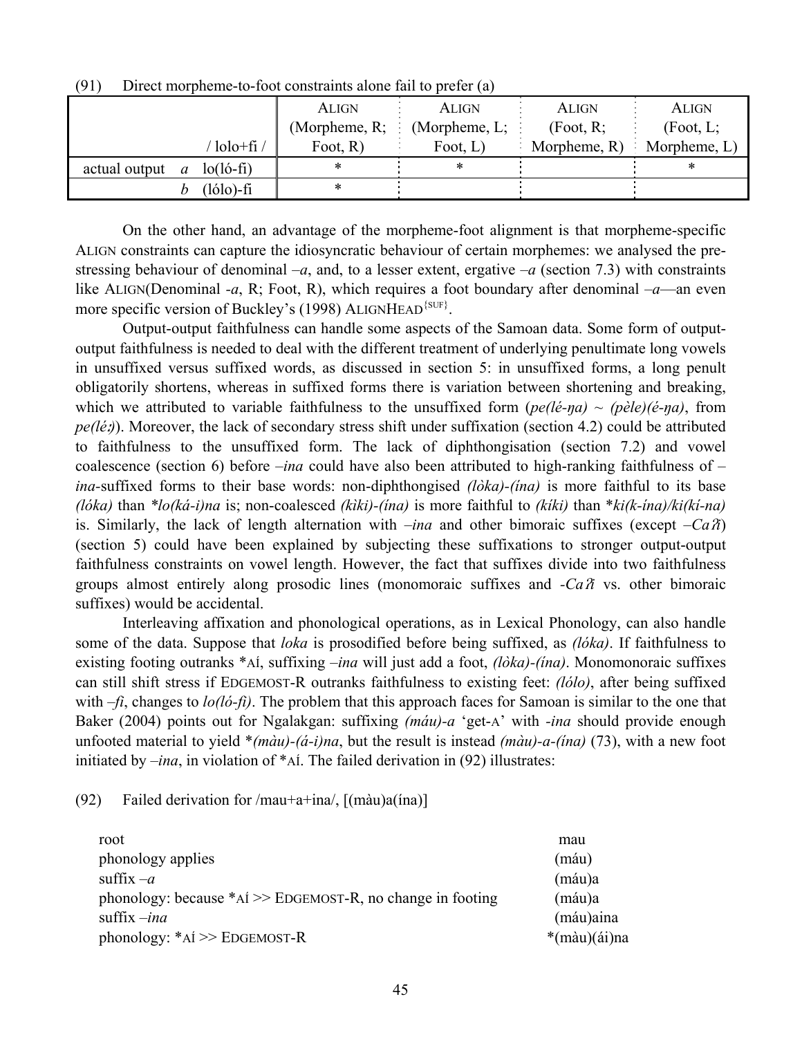|               |                                   | <b>ALIGN</b>                                  | ALIGN       | ALIGN        | <b>ALIGN</b>    |
|---------------|-----------------------------------|-----------------------------------------------|-------------|--------------|-----------------|
|               |                                   | (Morpheme, R; $\vdots$ (Morpheme, L; $\vdots$ |             | (Root, R)    | (Foot, L;       |
|               | ' lolo+fi /                       | Foot, $R$ )                                   | Foot, $L$ ) | Morpheme, R) | Morpheme, $L$ ) |
| actual output | $a \quad \text{lo}(\text{lo-fi})$ |                                               |             |              |                 |
|               | $(lólo)$ -fi                      |                                               |             |              |                 |

(91) Direct morpheme-to-foot constraints alone fail to prefer (a)

 On the other hand, an advantage of the morpheme-foot alignment is that morpheme-specific ALIGN constraints can capture the idiosyncratic behaviour of certain morphemes: we analysed the prestressing behaviour of denominal  $-a$ , and, to a lesser extent, ergative  $-a$  (section 7.3) with constraints like ALIGN(Denominal *-a*, R; Foot, R), which requires a foot boundary after denominal *–a*—an even more specific version of Buckley's (1998) ALIGNHEAD<sup>{SUF}</sup>.

 Output-output faithfulness can handle some aspects of the Samoan data. Some form of outputoutput faithfulness is needed to deal with the different treatment of underlying penultimate long vowels in unsuffixed versus suffixed words, as discussed in section 5: in unsuffixed forms, a long penult obligatorily shortens, whereas in suffixed forms there is variation between shortening and breaking, which we attributed to variable faithfulness to the unsuffixed form  $(\text{pe}(l\acute{e}\text{-}\textit{n}a) \sim (\text{pe}(l\acute{e}\text{-}\textit{n}a))$ , from *pe(léː*)). Moreover, the lack of secondary stress shift under suffixation (section 4.2) could be attributed to faithfulness to the unsuffixed form. The lack of diphthongisation (section 7.2) and vowel coalescence (section 6) before *–ina* could have also been attributed to high-ranking faithfulness of *– ina-*suffixed forms to their base words: non-diphthongised *(lòka)-(ína)* is more faithful to its base *(lóka)* than *\*lo(ká-i)na* is; non-coalesced *(kìki)-(ína)* is more faithful to *(kíki)* than \**ki(k-ína)/ki(kí-na)* is. Similarly, the lack of length alternation with *–ina* and other bimoraic suffixes (except  $-Ca\hat{x}$ ) (section 5) could have been explained by subjecting these suffixations to stronger output-output faithfulness constraints on vowel length. However, the fact that suffixes divide into two faithfulness groups almost entirely along prosodic lines (monomoraic suffixes and *-Ca*ʔ*i* vs. other bimoraic suffixes) would be accidental.

 Interleaving affixation and phonological operations, as in Lexical Phonology, can also handle some of the data. Suppose that *loka* is prosodified before being suffixed, as *(lóka)*. If faithfulness to existing footing outranks \*AÍ, suffixing *–ina* will just add a foot, *(lòka)-(ína)*. Monomonoraic suffixes can still shift stress if EDGEMOST-R outranks faithfulness to existing feet: *(lólo)*, after being suffixed with *–fi*, changes to *lo(ló-fi)*. The problem that this approach faces for Samoan is similar to the one that Baker (2004) points out for Ngalakgan: suffixing *(máu)-a* 'get-A' with *-ina* should provide enough unfooted material to yield \**(màu)-(á-i)na*, but the result is instead *(màu)-a-(ína)* (73), with a new foot initiated by *–ina*, in violation of \*AÍ. The failed derivation in (92) illustrates:

(92) Failed derivation for  $/$ mau+a+ina $/$ ,  $[$ (màu)a $(i$ na) $]$ 

| root                                                             | mau          |
|------------------------------------------------------------------|--------------|
| phonology applies                                                | (máu)        |
| suffix $-a$                                                      | (máu)a       |
| phonology: because $*$ AI $\gg$ EDGEMOST-R, no change in footing | (máu)a       |
| suffix $-$ <i>ina</i>                                            | (máu)aina    |
| phonology: $*$ AÍ $\geq$ EDGEMOST-R                              | *(màu)(ái)na |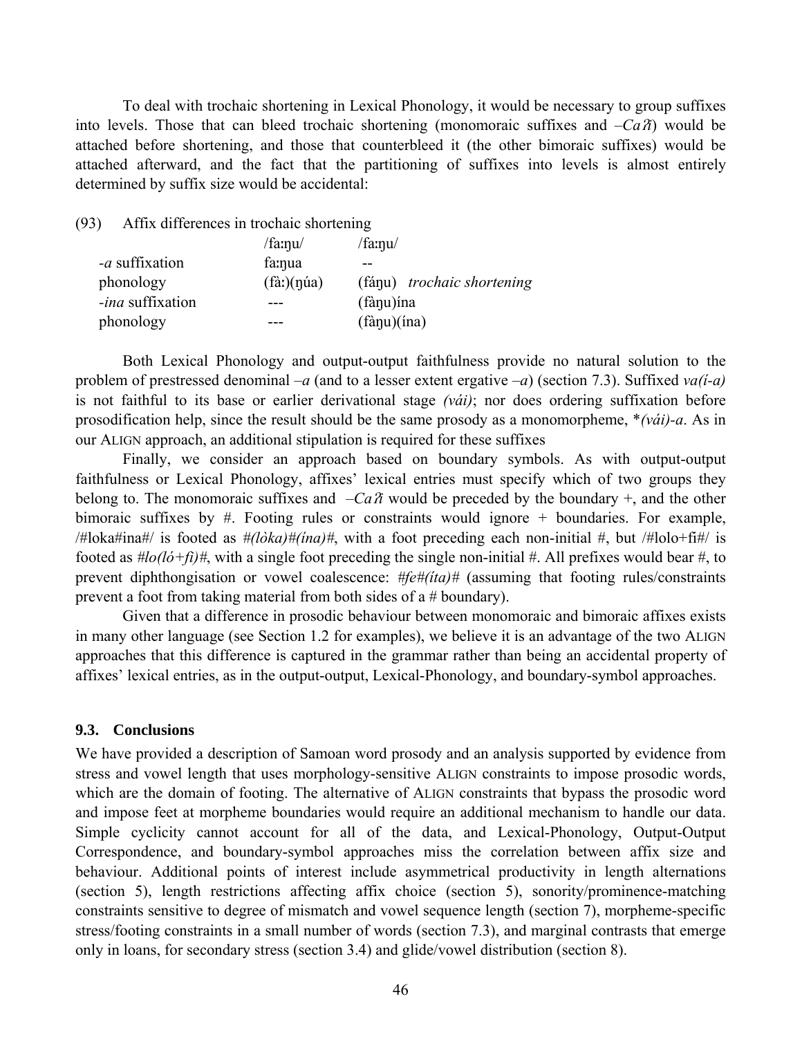To deal with trochaic shortening in Lexical Phonology, it would be necessary to group suffixes into levels. Those that can bleed trochaic shortening (monomoraic suffixes and  $-Ca\hat{a}$ ) would be attached before shortening, and those that counterbleed it (the other bimoraic suffixes) would be attached afterward, and the fact that the partitioning of suffixes into levels is almost entirely determined by suffix size would be accidental:

(93) Affix differences in trochaic shortening

|                         | $/$ fa: $\eta$ u $/$ | $/$ fa: $\eta$ u $/$       |
|-------------------------|----------------------|----------------------------|
| - <i>a</i> suffixation  | fa:nua               | --                         |
| phonology               | $(fà)$ (núa)         | (fánu) trochaic shortening |
| <i>-ina</i> suffixation |                      | (fànu) ína                 |
| phonology               |                      | $(f\)an(\text{ina})$       |

 Both Lexical Phonology and output-output faithfulness provide no natural solution to the problem of prestressed denominal *–a* (and to a lesser extent ergative *–a*) (section 7.3). Suffixed *va(í-a)*  is not faithful to its base or earlier derivational stage *(vái)*; nor does ordering suffixation before prosodification help, since the result should be the same prosody as a monomorpheme, \**(vái)-a*. As in our ALIGN approach, an additional stipulation is required for these suffixes

 Finally, we consider an approach based on boundary symbols. As with output-output faithfulness or Lexical Phonology, affixes' lexical entries must specify which of two groups they belong to. The monomoraic suffixes and  $-Ca\hat{\alpha}$  would be preceded by the boundary +, and the other bimoraic suffixes by #. Footing rules or constraints would ignore + boundaries. For example, /#loka#ina#/ is footed as *#(lòka)#(ína)#*, with a foot preceding each non-initial #, but /#lolo+fi#/ is footed as  $\#$ lo(ló+fi) $\#$ , with a single foot preceding the single non-initial  $\#$ . All prefixes would bear  $\#$ , to prevent diphthongisation or vowel coalescence: *#fe#(íta)#* (assuming that footing rules/constraints prevent a foot from taking material from both sides of a # boundary).

 Given that a difference in prosodic behaviour between monomoraic and bimoraic affixes exists in many other language (see Section 1.2 for examples), we believe it is an advantage of the two ALIGN approaches that this difference is captured in the grammar rather than being an accidental property of affixes' lexical entries, as in the output-output, Lexical-Phonology, and boundary-symbol approaches.

# **9.3. Conclusions**

We have provided a description of Samoan word prosody and an analysis supported by evidence from stress and vowel length that uses morphology-sensitive ALIGN constraints to impose prosodic words, which are the domain of footing. The alternative of ALIGN constraints that bypass the prosodic word and impose feet at morpheme boundaries would require an additional mechanism to handle our data. Simple cyclicity cannot account for all of the data, and Lexical-Phonology, Output-Output Correspondence, and boundary-symbol approaches miss the correlation between affix size and behaviour. Additional points of interest include asymmetrical productivity in length alternations (section 5), length restrictions affecting affix choice (section 5), sonority/prominence-matching constraints sensitive to degree of mismatch and vowel sequence length (section 7), morpheme-specific stress/footing constraints in a small number of words (section 7.3), and marginal contrasts that emerge only in loans, for secondary stress (section 3.4) and glide/vowel distribution (section 8).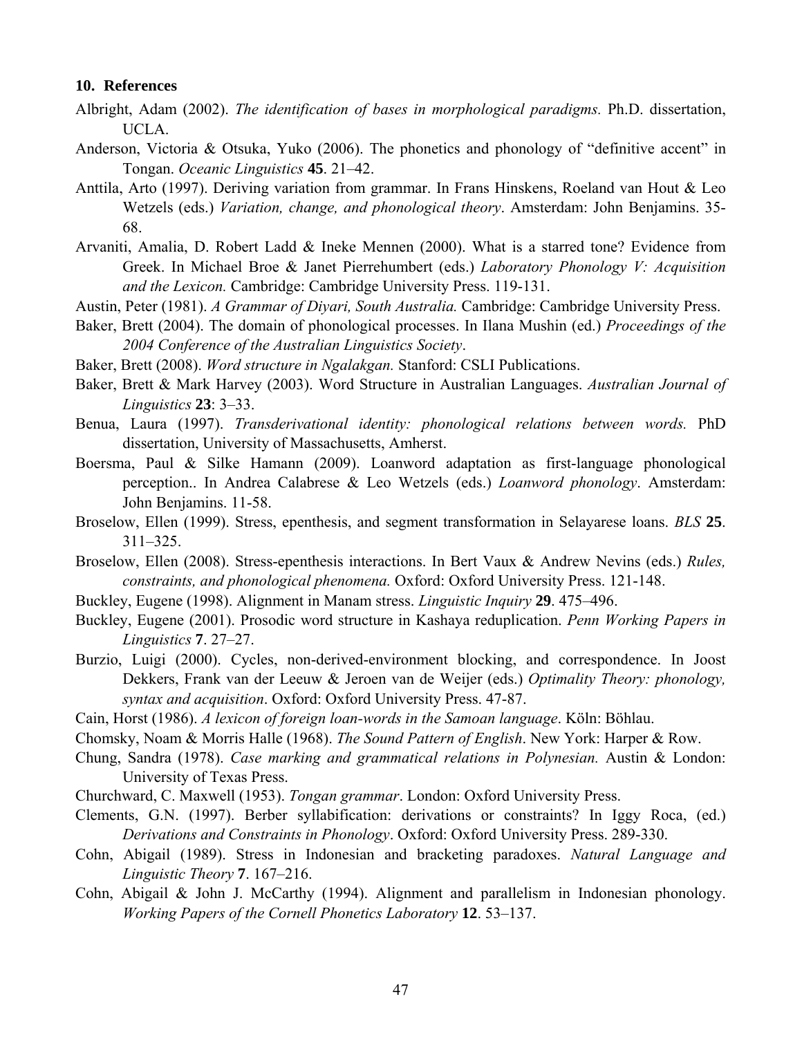#### **10. References**

- Albright, Adam (2002). *The identification of bases in morphological paradigms.* Ph.D. dissertation, UCLA.
- Anderson, Victoria & Otsuka, Yuko (2006). The phonetics and phonology of "definitive accent" in Tongan. *Oceanic Linguistics* **45**. 21–42.
- Anttila, Arto (1997). Deriving variation from grammar. In Frans Hinskens, Roeland van Hout & Leo Wetzels (eds.) *Variation, change, and phonological theory*. Amsterdam: John Benjamins. 35- 68.
- Arvaniti, Amalia, D. Robert Ladd & Ineke Mennen (2000). What is a starred tone? Evidence from Greek. In Michael Broe & Janet Pierrehumbert (eds.) *Laboratory Phonology V: Acquisition and the Lexicon.* Cambridge: Cambridge University Press. 119-131.
- Austin, Peter (1981). *A Grammar of Diyari, South Australia.* Cambridge: Cambridge University Press.
- Baker, Brett (2004). The domain of phonological processes. In Ilana Mushin (ed.) *Proceedings of the 2004 Conference of the Australian Linguistics Society*.
- Baker, Brett (2008). *Word structure in Ngalakgan.* Stanford: CSLI Publications.
- Baker, Brett & Mark Harvey (2003). Word Structure in Australian Languages. *Australian Journal of Linguistics* **23**: 3–33.
- Benua, Laura (1997). *Transderivational identity: phonological relations between words.* PhD dissertation, University of Massachusetts, Amherst.
- Boersma, Paul & Silke Hamann (2009). Loanword adaptation as first-language phonological perception.. In Andrea Calabrese & Leo Wetzels (eds.) *Loanword phonology*. Amsterdam: John Benjamins. 11-58.
- Broselow, Ellen (1999). Stress, epenthesis, and segment transformation in Selayarese loans. *BLS* **25**. 311–325.
- Broselow, Ellen (2008). Stress-epenthesis interactions. In Bert Vaux & Andrew Nevins (eds.) *Rules, constraints, and phonological phenomena.* Oxford: Oxford University Press. 121-148.
- Buckley, Eugene (1998). Alignment in Manam stress. *Linguistic Inquiry* **29**. 475–496.
- Buckley, Eugene (2001). Prosodic word structure in Kashaya reduplication. *Penn Working Papers in Linguistics* **7**. 27–27.
- Burzio, Luigi (2000). Cycles, non-derived-environment blocking, and correspondence. In Joost Dekkers, Frank van der Leeuw & Jeroen van de Weijer (eds.) *Optimality Theory: phonology, syntax and acquisition*. Oxford: Oxford University Press. 47-87.
- Cain, Horst (1986). *A lexicon of foreign loan-words in the Samoan language*. Köln: Böhlau.
- Chomsky, Noam & Morris Halle (1968). *The Sound Pattern of English*. New York: Harper & Row.
- Chung, Sandra (1978). *Case marking and grammatical relations in Polynesian.* Austin & London: University of Texas Press.
- Churchward, C. Maxwell (1953). *Tongan grammar*. London: Oxford University Press.
- Clements, G.N. (1997). Berber syllabification: derivations or constraints? In Iggy Roca, (ed.) *Derivations and Constraints in Phonology*. Oxford: Oxford University Press. 289-330.
- Cohn, Abigail (1989). Stress in Indonesian and bracketing paradoxes. *Natural Language and Linguistic Theory* **7**. 167–216.
- Cohn, Abigail & John J. McCarthy (1994). Alignment and parallelism in Indonesian phonology. *Working Papers of the Cornell Phonetics Laboratory* **12**. 53–137.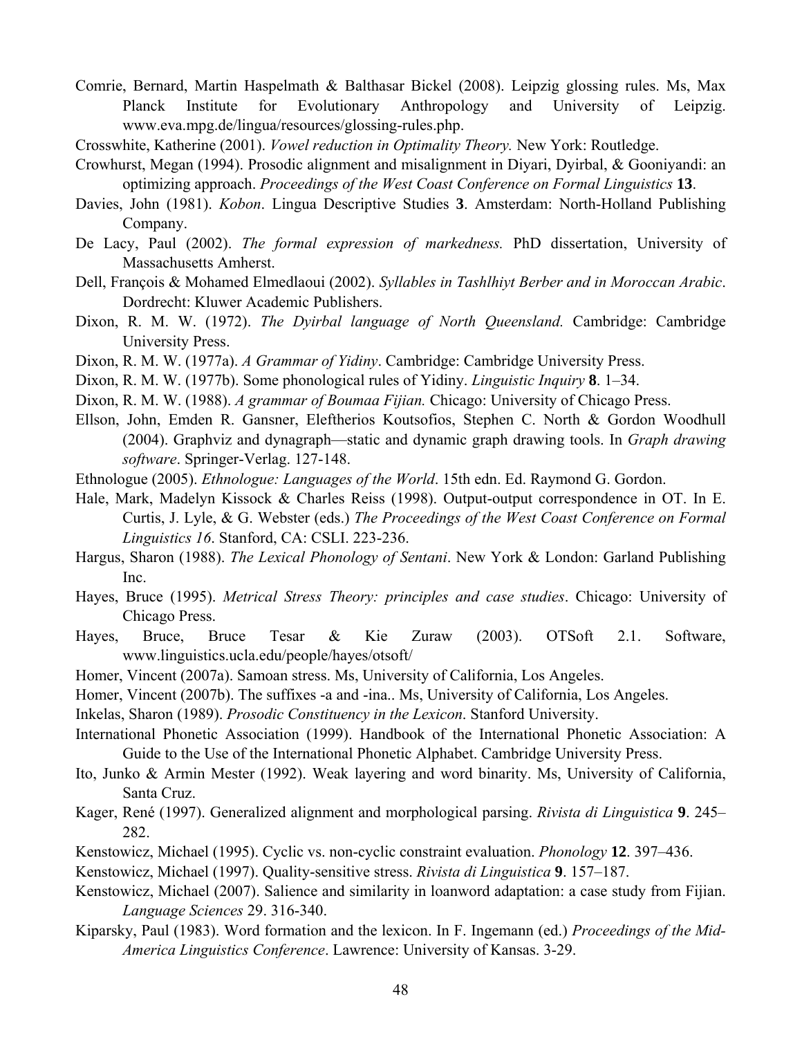- Comrie, Bernard, Martin Haspelmath & Balthasar Bickel (2008). Leipzig glossing rules. Ms, Max Planck Institute for Evolutionary Anthropology and University of Leipzig. www.eva.mpg.de/lingua/resources/glossing-rules.php.
- Crosswhite, Katherine (2001). *Vowel reduction in Optimality Theory.* New York: Routledge.
- Crowhurst, Megan (1994). Prosodic alignment and misalignment in Diyari, Dyirbal, & Gooniyandi: an optimizing approach. *Proceedings of the West Coast Conference on Formal Linguistics* **13**.
- Davies, John (1981). *Kobon*. Lingua Descriptive Studies **3**. Amsterdam: North-Holland Publishing Company.
- De Lacy, Paul (2002). *The formal expression of markedness.* PhD dissertation, University of Massachusetts Amherst.
- Dell, François & Mohamed Elmedlaoui (2002). *Syllables in Tashlhiyt Berber and in Moroccan Arabic*. Dordrecht: Kluwer Academic Publishers.
- Dixon, R. M. W. (1972). *The Dyirbal language of North Queensland.* Cambridge: Cambridge University Press.
- Dixon, R. M. W. (1977a). *A Grammar of Yidiny*. Cambridge: Cambridge University Press.
- Dixon, R. M. W. (1977b). Some phonological rules of Yidiny. *Linguistic Inquiry* **8**. 1–34.
- Dixon, R. M. W. (1988). *A grammar of Boumaa Fijian.* Chicago: University of Chicago Press.
- Ellson, John, Emden R. Gansner, Eleftherios Koutsofios, Stephen C. North & Gordon Woodhull (2004). Graphviz and dynagraph—static and dynamic graph drawing tools. In *Graph drawing software*. Springer-Verlag. 127-148.
- Ethnologue (2005). *Ethnologue: Languages of the World*. 15th edn. Ed. Raymond G. Gordon.
- Hale, Mark, Madelyn Kissock & Charles Reiss (1998). Output-output correspondence in OT. In E. Curtis, J. Lyle, & G. Webster (eds.) *The Proceedings of the West Coast Conference on Formal Linguistics 16*. Stanford, CA: CSLI. 223-236.
- Hargus, Sharon (1988). *The Lexical Phonology of Sentani*. New York & London: Garland Publishing Inc.
- Hayes, Bruce (1995). *Metrical Stress Theory: principles and case studies*. Chicago: University of Chicago Press.
- Hayes, Bruce, Bruce Tesar & Kie Zuraw (2003). OTSoft 2.1. Software, www.linguistics.ucla.edu/people/hayes/otsoft/
- Homer, Vincent (2007a). Samoan stress. Ms, University of California, Los Angeles.
- Homer, Vincent (2007b). The suffixes -a and -ina.. Ms, University of California, Los Angeles.
- Inkelas, Sharon (1989). *Prosodic Constituency in the Lexicon*. Stanford University.
- International Phonetic Association (1999). Handbook of the International Phonetic Association: A Guide to the Use of the International Phonetic Alphabet. Cambridge University Press.
- Ito, Junko & Armin Mester (1992). Weak layering and word binarity. Ms, University of California, Santa Cruz.
- Kager, René (1997). Generalized alignment and morphological parsing. *Rivista di Linguistica* **9**. 245– 282.
- Kenstowicz, Michael (1995). Cyclic vs. non-cyclic constraint evaluation. *Phonology* **12**. 397–436.
- Kenstowicz, Michael (1997). Quality-sensitive stress. *Rivista di Linguistica* **9**. 157–187.
- Kenstowicz, Michael (2007). Salience and similarity in loanword adaptation: a case study from Fijian. *Language Sciences* 29. 316-340.
- Kiparsky, Paul (1983). Word formation and the lexicon. In F. Ingemann (ed.) *Proceedings of the Mid-America Linguistics Conference*. Lawrence: University of Kansas. 3-29.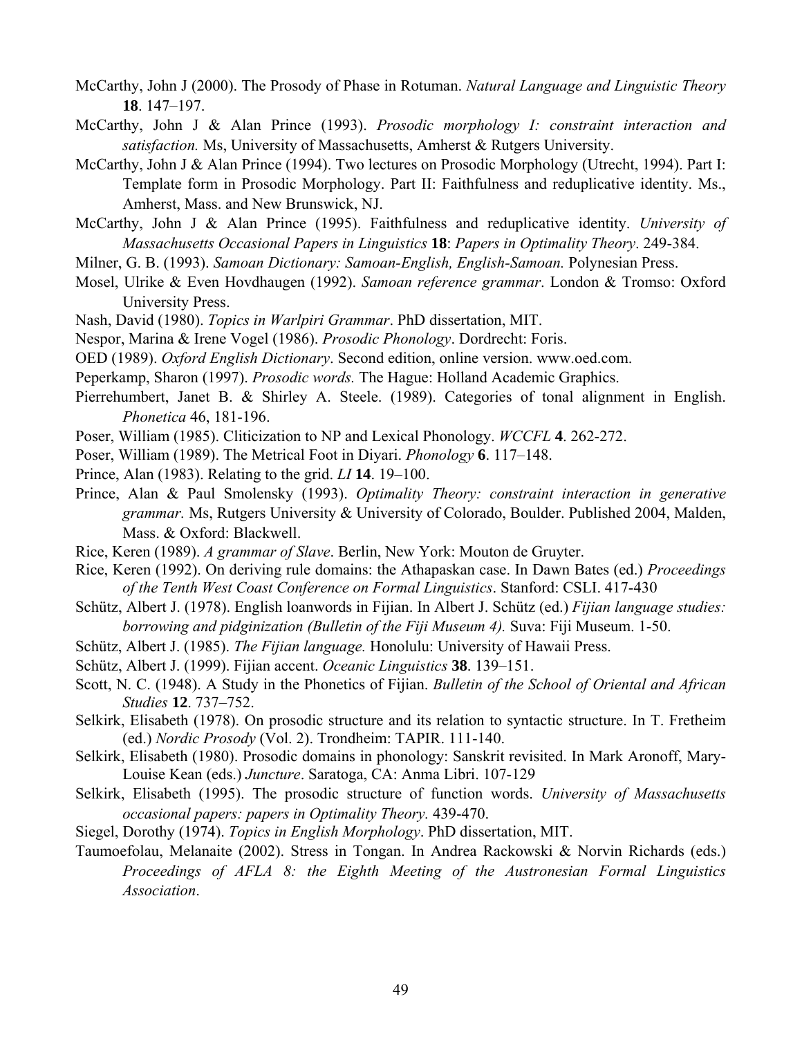- McCarthy, John J (2000). The Prosody of Phase in Rotuman. *Natural Language and Linguistic Theory* **18**. 147–197.
- McCarthy, John J & Alan Prince (1993). *Prosodic morphology I: constraint interaction and satisfaction.* Ms, University of Massachusetts, Amherst & Rutgers University.
- McCarthy, John J & Alan Prince (1994). Two lectures on Prosodic Morphology (Utrecht, 1994). Part I: Template form in Prosodic Morphology. Part II: Faithfulness and reduplicative identity. Ms., Amherst, Mass. and New Brunswick, NJ.
- McCarthy, John J & Alan Prince (1995). Faithfulness and reduplicative identity. *University of Massachusetts Occasional Papers in Linguistics* **18**: *Papers in Optimality Theory*. 249-384.
- Milner, G. B. (1993). *Samoan Dictionary: Samoan-English, English-Samoan.* Polynesian Press.
- Mosel, Ulrike & Even Hovdhaugen (1992). *Samoan reference grammar*. London & Tromso: Oxford University Press.
- Nash, David (1980). *Topics in Warlpiri Grammar*. PhD dissertation, MIT.
- Nespor, Marina & Irene Vogel (1986). *Prosodic Phonology*. Dordrecht: Foris.
- OED (1989). *Oxford English Dictionary*. Second edition, online version. www.oed.com.
- Peperkamp, Sharon (1997). *Prosodic words.* The Hague: Holland Academic Graphics.
- Pierrehumbert, Janet B. & Shirley A. Steele. (1989). Categories of tonal alignment in English. *Phonetica* 46, 181-196.
- Poser, William (1985). Cliticization to NP and Lexical Phonology. *WCCFL* **4**. 262-272.
- Poser, William (1989). The Metrical Foot in Diyari. *Phonology* **6**. 117–148.
- Prince, Alan (1983). Relating to the grid. *LI* **14**. 19–100.
- Prince, Alan & Paul Smolensky (1993). *Optimality Theory: constraint interaction in generative grammar.* Ms, Rutgers University & University of Colorado, Boulder. Published 2004, Malden, Mass. & Oxford: Blackwell.
- Rice, Keren (1989). *A grammar of Slave*. Berlin, New York: Mouton de Gruyter.
- Rice, Keren (1992). On deriving rule domains: the Athapaskan case. In Dawn Bates (ed.) *Proceedings of the Tenth West Coast Conference on Formal Linguistics*. Stanford: CSLI. 417-430
- Schütz, Albert J. (1978). English loanwords in Fijian. In Albert J. Schütz (ed.) *Fijian language studies: borrowing and pidginization (Bulletin of the Fiji Museum 4).* Suva: Fiji Museum. 1-50.
- Schütz, Albert J. (1985). *The Fijian language.* Honolulu: University of Hawaii Press.
- Schütz, Albert J. (1999). Fijian accent. *Oceanic Linguistics* **38**. 139–151.
- Scott, N. C. (1948). A Study in the Phonetics of Fijian. *Bulletin of the School of Oriental and African Studies* **12**. 737–752.
- Selkirk, Elisabeth (1978). On prosodic structure and its relation to syntactic structure. In T. Fretheim (ed.) *Nordic Prosody* (Vol. 2). Trondheim: TAPIR. 111-140.
- Selkirk, Elisabeth (1980). Prosodic domains in phonology: Sanskrit revisited. In Mark Aronoff, Mary-Louise Kean (eds.) *Juncture*. Saratoga, CA: Anma Libri. 107-129
- Selkirk, Elisabeth (1995). The prosodic structure of function words. *University of Massachusetts occasional papers: papers in Optimality Theory.* 439-470.
- Siegel, Dorothy (1974). *Topics in English Morphology*. PhD dissertation, MIT.
- Taumoefolau, Melanaite (2002). Stress in Tongan. In Andrea Rackowski & Norvin Richards (eds.) *Proceedings of AFLA 8: the Eighth Meeting of the Austronesian Formal Linguistics Association*.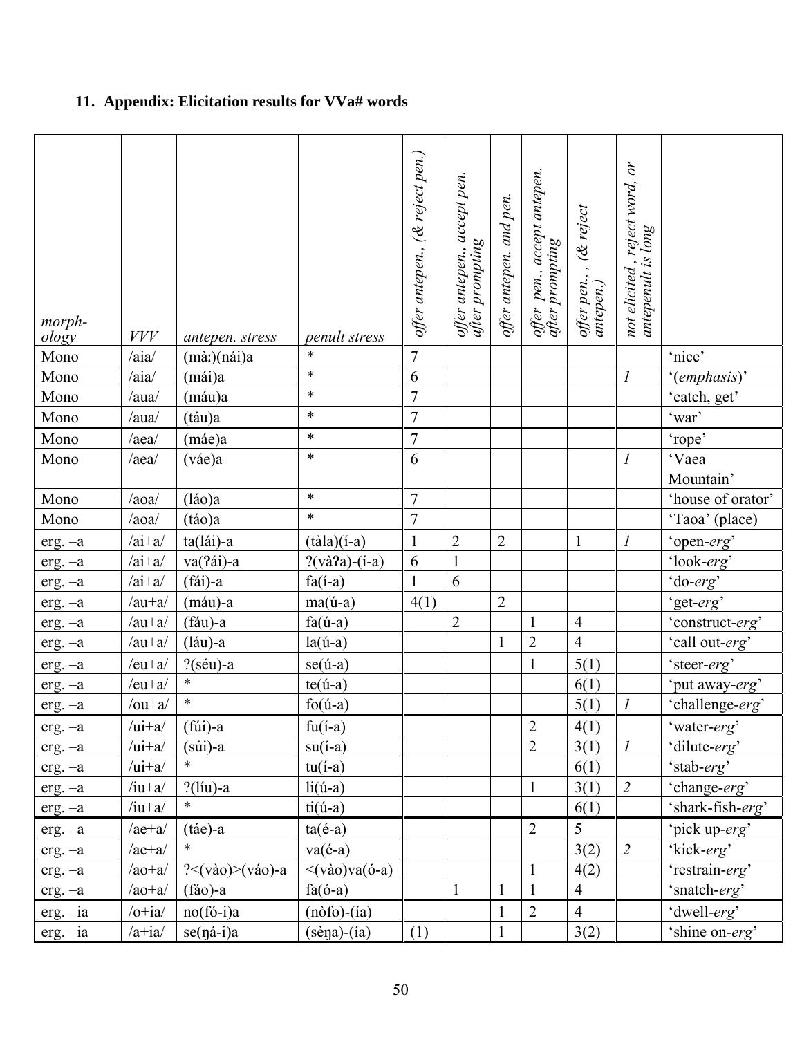# **11. Appendix: Elicitation results for VVa# words**

| morph-<br>ology | $VVV$        | antepen. stress                    | <i>penult stress</i>                | offer antepen., (& reject pen.) | offer antepen., accept pen.<br>after prompting | offer antepen. and pen. | offer pen., accept antepen.<br>after prompting | offer pen., ,  (& reject<br>antepen.) | not elicited , reject word, or<br>antepenult is long |                   |
|-----------------|--------------|------------------------------------|-------------------------------------|---------------------------------|------------------------------------------------|-------------------------|------------------------------------------------|---------------------------------------|------------------------------------------------------|-------------------|
| Mono            | /aia/        | (màː)(nái)a                        | $\ast$                              | $\boldsymbol{7}$                |                                                |                         |                                                |                                       |                                                      | 'nice'            |
| Mono            | /aia/        | (mái)a                             | $\ast$                              | $\sqrt{6}$                      |                                                |                         |                                                |                                       | $\boldsymbol{l}$                                     | '(emphasis)'      |
| Mono            | /aua/        | (máu)a                             | $\ast$                              | $\boldsymbol{7}$                |                                                |                         |                                                |                                       |                                                      | 'catch, get'      |
| Mono            | $/au$ a      | (táu)a                             | $\ast$                              | $\overline{7}$                  |                                                |                         |                                                |                                       |                                                      | 'war'             |
| Mono            | /aea/        | (máe)a                             | $\ast$                              | $\boldsymbol{7}$                |                                                |                         |                                                |                                       |                                                      | 'rope'            |
| Mono            | /aea/        | (váe)a                             | $\ast$                              | 6                               |                                                |                         |                                                |                                       | $\boldsymbol{l}$                                     | 'Vaea             |
|                 |              |                                    |                                     |                                 |                                                |                         |                                                |                                       |                                                      | Mountain'         |
| Mono            | /aoa/        | (láo)a                             | $\ast$                              | $\boldsymbol{7}$                |                                                |                         |                                                |                                       |                                                      | 'house of orator' |
| Mono            | /aoa/        | (táo)a                             | $\ast$                              | $\overline{7}$                  |                                                |                         |                                                |                                       |                                                      | 'Taoa' (place)    |
| $erg. -a$       | $/ai+a/$     | ta(lái)-a                          | $(t\hat{a}la)(i-a)$                 | $\mathbf{1}$                    | $\overline{c}$                                 | $\sqrt{2}$              |                                                | $\mathbf{1}$                          | $\boldsymbol{l}$                                     | 'open-erg'        |
| $erg. -a$       | $/ai+a/$     | va(?ái)-a                          | $?(\text{và2a})-(i-a)$              | 6                               | $\mathbf{1}$                                   |                         |                                                |                                       |                                                      | 'look-erg'        |
| erg. - a        | $/ai+a/$     | (fái)-a                            | $fa(i-a)$                           | $\mathbf{1}$                    | 6                                              |                         |                                                |                                       |                                                      | 'do-erg'          |
| $erg. -a$       | $/au+a/$     | (máu)-a                            | $ma($ ú-a $)$                       | 4(1)                            |                                                | $\overline{2}$          |                                                |                                       |                                                      | 'get-erg'         |
| $erg. -a$       | $/au+a/$     | (fáu)-a                            | $fa($ ú-a $)$                       |                                 | $\overline{2}$                                 |                         | $\mathbf{1}$                                   | $\overline{4}$                        |                                                      | 'construct-erg'   |
| $erg. -a$       | $/au+a/$     | (láu)-a                            | $la($ ú-a $)$                       |                                 |                                                | $\mathbf{1}$            | $\overline{2}$                                 | $\overline{4}$                        |                                                      | 'call out-erg'    |
| $erg. -a$       | $/eu+a/$     | $?$ (séu)-a                        | $se($ ú-a $)$                       |                                 |                                                |                         | $\mathbf{1}$                                   | 5(1)                                  |                                                      | 'steer-erg'       |
| $erg. -a$       | $/eu+a/$     | $\ast$                             | $te($ ú-a $)$                       |                                 |                                                |                         |                                                | 6(1)                                  |                                                      | 'put away-erg'    |
| $erg. -a$       | $/ou+a/$     | $\ast$                             | $f_0(\mathbf{u}$ -a)                |                                 |                                                |                         |                                                | 5(1)                                  | $\boldsymbol{l}$                                     | 'challenge-erg'   |
| $erg. -a$       | $/ui+a/$     | $(fiii)$ -a                        | $fu(i-a)$                           |                                 |                                                |                         | $\overline{c}$                                 | 4(1)                                  |                                                      | 'water-erg'       |
| $erg. -a$       | $/ui+a/$     | $(s$ úi)-a                         | $su(i-a)$                           |                                 |                                                |                         | $\overline{2}$                                 | 3(1)                                  | $\cal I$                                             | 'dilute-erg'      |
| $erg. -a$       | $/ui+a/$     | $\ast$                             | $tu(i-a)$                           |                                 |                                                |                         |                                                | 6(1)                                  |                                                      | 'stab-erg'        |
| $erg. -a$       | $/iu+a/$     | $?$ (líu)-a                        | $li(\text{ú-a})$                    |                                 |                                                |                         | $\mathbf{1}$                                   | 3(1)                                  | $\overline{2}$                                       | 'change-erg'      |
| $erg. -a$       | $/iu+a/$     | $\ast$                             | $ti($ ú-a $)$                       |                                 |                                                |                         |                                                | 6(1)                                  |                                                      | 'shark-fish-erg'  |
| $erg. -a$       | $/ae+a/$     | $(tae)-a$                          | $ta($ é-a $)$                       |                                 |                                                |                         | $\overline{2}$                                 | 5                                     |                                                      | 'pick up-erg'     |
| $erg. -a$       | $/ae+a/$     | $\ast$                             | $va(e-a)$                           |                                 |                                                |                         |                                                | 3(2)                                  | $\overline{2}$                                       | 'kick-erg'        |
| $erg. -a$       | $/ao+a/$     | $?<(v\grave{a}o)>(v\acute{a}o)$ -a | $\langle \text{vào}\rangle$ va(ó-a) |                                 |                                                |                         | $\mathbf{1}$                                   | 4(2)                                  |                                                      | 'restrain-erg'    |
| $erg. -a$       | $/ao+a/$     | $(fao)-a$                          | $fa(6-a)$                           |                                 | $\mathbf{1}$                                   | 1                       | 1                                              | $\overline{4}$                        |                                                      | 'snatch-erg'      |
| $erg. -ia$      | $/o+ia/$     | $no(fó-i)a$                        | $(n\delta f)$ - $(ia)$              |                                 |                                                | $\mathbf{1}$            | $\overline{2}$                                 | $\overline{4}$                        |                                                      | 'dwell-erg'       |
| $erg. -ia$      | $/$ a+ia $/$ | se(ná-i)a                          | $(sèna)-(ia)$                       | (1)                             |                                                | $\mathbf{1}$            |                                                | 3(2)                                  |                                                      | 'shine on-erg'    |